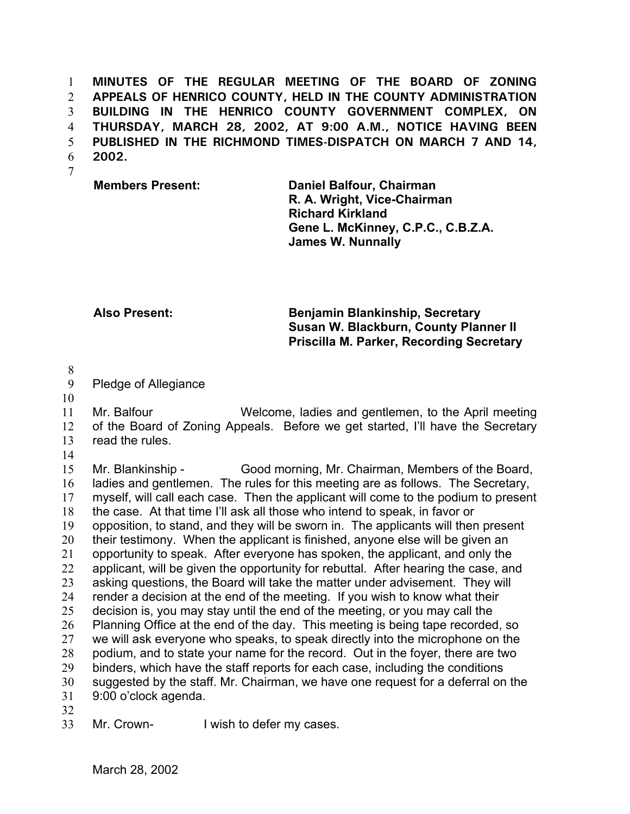1 2 3 4 5 6 **MINUTES OF THE REGULAR MEETING OF THE BOARD OF ZONING APPEALS OF HENRICO COUNTY, HELD IN THE COUNTY ADMINISTRATION BUILDING IN THE HENRICO COUNTY GOVERNMENT COMPLEX, ON THURSDAY, MARCH 28, 2002, AT 9:00 A.M., NOTICE HAVING BEEN PUBLISHED IN THE RICHMOND TIMES-DISPATCH ON MARCH 7 AND 14, 2002.**

7

**Members Present: Daniel Balfour, Chairman R. A. Wright, Vice-Chairman Richard Kirkland Gene L. McKinney, C.P.C., C.B.Z.A. James W. Nunnally**

**Also Present: Benjamin Blankinship, Secretary Susan W. Blackburn, County Planner II Priscilla M. Parker, Recording Secretary**

8

## 9 Pledge of Allegiance

10

11 12 13 Mr. Balfour Welcome, ladies and gentlemen, to the April meeting of the Board of Zoning Appeals. Before we get started, I'll have the Secretary read the rules.

14

15 16 17 18 19 20 21 22 23 24 25 26 27 28 29 30 31 32 Mr. Blankinship - Good morning, Mr. Chairman, Members of the Board, ladies and gentlemen. The rules for this meeting are as follows. The Secretary, myself, will call each case. Then the applicant will come to the podium to present the case. At that time I'll ask all those who intend to speak, in favor or opposition, to stand, and they will be sworn in. The applicants will then present their testimony. When the applicant is finished, anyone else will be given an opportunity to speak. After everyone has spoken, the applicant, and only the applicant, will be given the opportunity for rebuttal. After hearing the case, and asking questions, the Board will take the matter under advisement. They will render a decision at the end of the meeting. If you wish to know what their decision is, you may stay until the end of the meeting, or you may call the Planning Office at the end of the day. This meeting is being tape recorded, so we will ask everyone who speaks, to speak directly into the microphone on the podium, and to state your name for the record. Out in the foyer, there are two binders, which have the staff reports for each case, including the conditions suggested by the staff. Mr. Chairman, we have one request for a deferral on the 9:00 o'clock agenda.

33 Mr. Crown- I wish to defer my cases.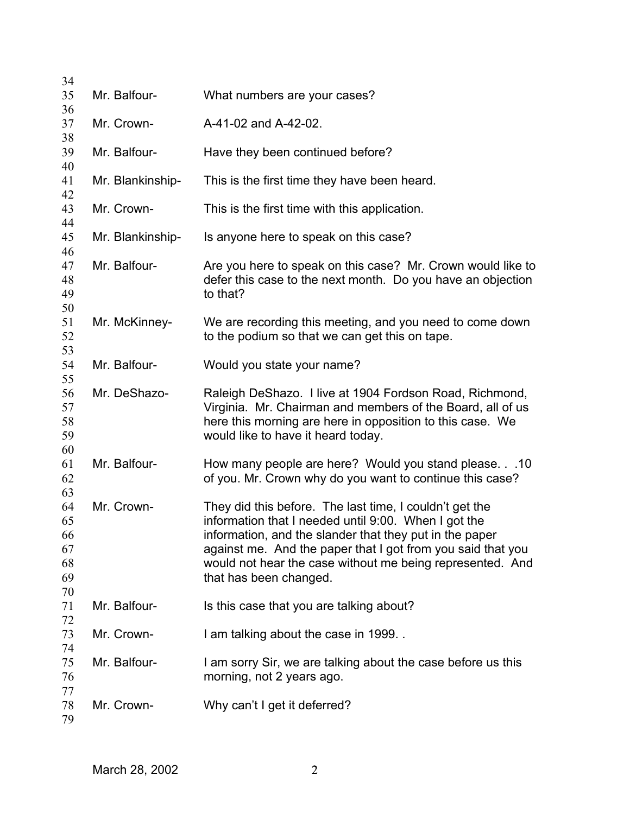| 34<br>35                                     | Mr. Balfour-     | What numbers are your cases?                                                                                                                                                                                                                                                                                                     |
|----------------------------------------------|------------------|----------------------------------------------------------------------------------------------------------------------------------------------------------------------------------------------------------------------------------------------------------------------------------------------------------------------------------|
| 36<br>37                                     | Mr. Crown-       | A-41-02 and A-42-02.                                                                                                                                                                                                                                                                                                             |
| 38<br>39                                     | Mr. Balfour-     | Have they been continued before?                                                                                                                                                                                                                                                                                                 |
| 40<br>41                                     | Mr. Blankinship- | This is the first time they have been heard.                                                                                                                                                                                                                                                                                     |
| 42<br>43                                     | Mr. Crown-       | This is the first time with this application.                                                                                                                                                                                                                                                                                    |
| 44<br>45                                     | Mr. Blankinship- | Is anyone here to speak on this case?                                                                                                                                                                                                                                                                                            |
| 46<br>47<br>48<br>49                         | Mr. Balfour-     | Are you here to speak on this case? Mr. Crown would like to<br>defer this case to the next month. Do you have an objection<br>to that?                                                                                                                                                                                           |
| 50<br>51<br>52                               | Mr. McKinney-    | We are recording this meeting, and you need to come down<br>to the podium so that we can get this on tape.                                                                                                                                                                                                                       |
| 53<br>54<br>55                               | Mr. Balfour-     | Would you state your name?                                                                                                                                                                                                                                                                                                       |
| 56<br>57<br>58<br>59                         | Mr. DeShazo-     | Raleigh DeShazo. I live at 1904 Fordson Road, Richmond,<br>Virginia. Mr. Chairman and members of the Board, all of us<br>here this morning are here in opposition to this case. We<br>would like to have it heard today.                                                                                                         |
| 60<br>61<br>62                               | Mr. Balfour-     | How many people are here? Would you stand please.10<br>of you. Mr. Crown why do you want to continue this case?                                                                                                                                                                                                                  |
| 63<br>64<br>65<br>66<br>67<br>68<br>69<br>70 | Mr. Crown-       | They did this before. The last time, I couldn't get the<br>information that I needed until 9:00. When I got the<br>information, and the slander that they put in the paper<br>against me. And the paper that I got from you said that you<br>would not hear the case without me being represented. And<br>that has been changed. |
| 71<br>72                                     | Mr. Balfour-     | Is this case that you are talking about?                                                                                                                                                                                                                                                                                         |
| 73<br>74                                     | Mr. Crown-       | I am talking about the case in 1999                                                                                                                                                                                                                                                                                              |
| 75<br>76<br>77                               | Mr. Balfour-     | I am sorry Sir, we are talking about the case before us this<br>morning, not 2 years ago.                                                                                                                                                                                                                                        |
| 78<br>79                                     | Mr. Crown-       | Why can't I get it deferred?                                                                                                                                                                                                                                                                                                     |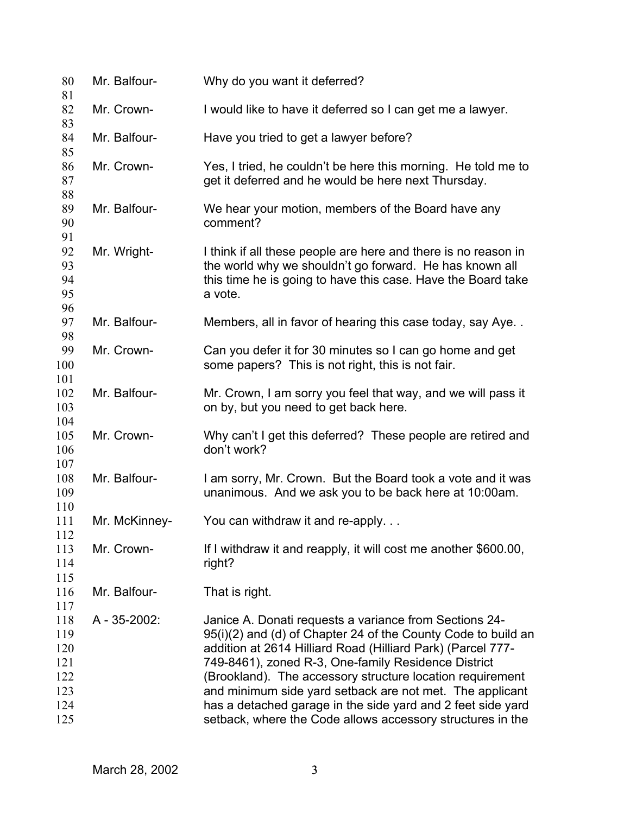| 80<br>81                                                    | Mr. Balfour-  | Why do you want it deferred?                                                                                                                                                                                                                                                                                                                                                                                                                                                                        |
|-------------------------------------------------------------|---------------|-----------------------------------------------------------------------------------------------------------------------------------------------------------------------------------------------------------------------------------------------------------------------------------------------------------------------------------------------------------------------------------------------------------------------------------------------------------------------------------------------------|
| 82<br>83                                                    | Mr. Crown-    | I would like to have it deferred so I can get me a lawyer.                                                                                                                                                                                                                                                                                                                                                                                                                                          |
| 84                                                          | Mr. Balfour-  | Have you tried to get a lawyer before?                                                                                                                                                                                                                                                                                                                                                                                                                                                              |
| 85<br>86<br>87                                              | Mr. Crown-    | Yes, I tried, he couldn't be here this morning. He told me to<br>get it deferred and he would be here next Thursday.                                                                                                                                                                                                                                                                                                                                                                                |
| 88<br>89<br>90                                              | Mr. Balfour-  | We hear your motion, members of the Board have any<br>comment?                                                                                                                                                                                                                                                                                                                                                                                                                                      |
| 91<br>92<br>93<br>94<br>95                                  | Mr. Wright-   | I think if all these people are here and there is no reason in<br>the world why we shouldn't go forward. He has known all<br>this time he is going to have this case. Have the Board take<br>a vote.                                                                                                                                                                                                                                                                                                |
| 96<br>97<br>98                                              | Mr. Balfour-  | Members, all in favor of hearing this case today, say Aye                                                                                                                                                                                                                                                                                                                                                                                                                                           |
| 99<br>100                                                   | Mr. Crown-    | Can you defer it for 30 minutes so I can go home and get<br>some papers? This is not right, this is not fair.                                                                                                                                                                                                                                                                                                                                                                                       |
| 101<br>102<br>103                                           | Mr. Balfour-  | Mr. Crown, I am sorry you feel that way, and we will pass it<br>on by, but you need to get back here.                                                                                                                                                                                                                                                                                                                                                                                               |
| 104<br>105<br>106                                           | Mr. Crown-    | Why can't I get this deferred? These people are retired and<br>don't work?                                                                                                                                                                                                                                                                                                                                                                                                                          |
| 107<br>108<br>109<br>110                                    | Mr. Balfour-  | I am sorry, Mr. Crown. But the Board took a vote and it was<br>unanimous. And we ask you to be back here at 10:00am.                                                                                                                                                                                                                                                                                                                                                                                |
| 111<br>112                                                  | Mr. McKinney- | You can withdraw it and re-apply.                                                                                                                                                                                                                                                                                                                                                                                                                                                                   |
| 113<br>114<br>115                                           | Mr. Crown-    | If I withdraw it and reapply, it will cost me another \$600.00,<br>right?                                                                                                                                                                                                                                                                                                                                                                                                                           |
| 116                                                         | Mr. Balfour-  | That is right.                                                                                                                                                                                                                                                                                                                                                                                                                                                                                      |
| 117<br>118<br>119<br>120<br>121<br>122<br>123<br>124<br>125 | A - 35-2002:  | Janice A. Donati requests a variance from Sections 24-<br>95(i)(2) and (d) of Chapter 24 of the County Code to build an<br>addition at 2614 Hilliard Road (Hilliard Park) (Parcel 777-<br>749-8461), zoned R-3, One-family Residence District<br>(Brookland). The accessory structure location requirement<br>and minimum side yard setback are not met. The applicant<br>has a detached garage in the side yard and 2 feet side yard<br>setback, where the Code allows accessory structures in the |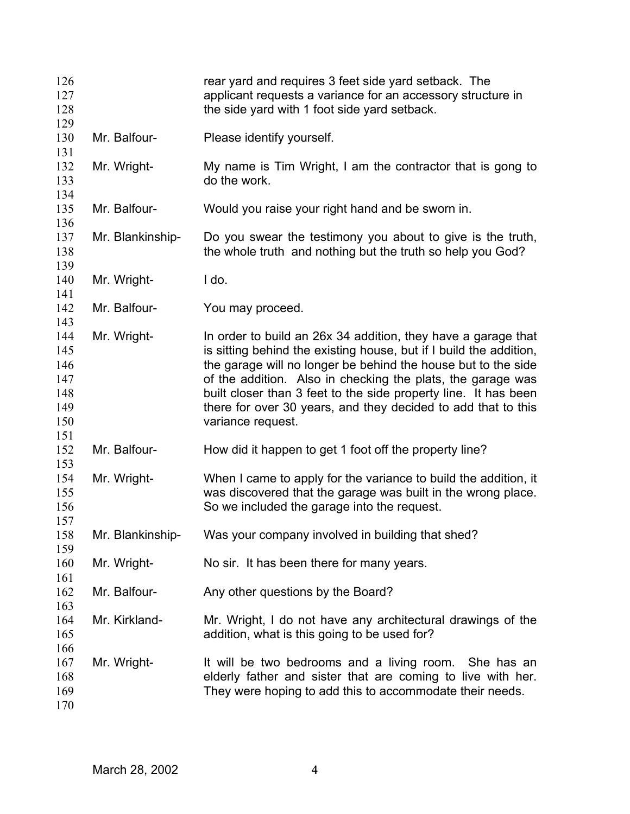| 126<br>127<br>128                                    |                  | rear yard and requires 3 feet side yard setback. The<br>applicant requests a variance for an accessory structure in<br>the side yard with 1 foot side yard setback.                                                                                                                                                                                                                                                          |
|------------------------------------------------------|------------------|------------------------------------------------------------------------------------------------------------------------------------------------------------------------------------------------------------------------------------------------------------------------------------------------------------------------------------------------------------------------------------------------------------------------------|
| 129<br>130<br>131                                    | Mr. Balfour-     | Please identify yourself.                                                                                                                                                                                                                                                                                                                                                                                                    |
| 132<br>133<br>134                                    | Mr. Wright-      | My name is Tim Wright, I am the contractor that is gong to<br>do the work.                                                                                                                                                                                                                                                                                                                                                   |
| 135<br>136                                           | Mr. Balfour-     | Would you raise your right hand and be sworn in.                                                                                                                                                                                                                                                                                                                                                                             |
| 137<br>138<br>139                                    | Mr. Blankinship- | Do you swear the testimony you about to give is the truth,<br>the whole truth and nothing but the truth so help you God?                                                                                                                                                                                                                                                                                                     |
| 140<br>141                                           | Mr. Wright-      | I do.                                                                                                                                                                                                                                                                                                                                                                                                                        |
| 142<br>143                                           | Mr. Balfour-     | You may proceed.                                                                                                                                                                                                                                                                                                                                                                                                             |
| 144<br>145<br>146<br>147<br>148<br>149<br>150<br>151 | Mr. Wright-      | In order to build an 26x 34 addition, they have a garage that<br>is sitting behind the existing house, but if I build the addition,<br>the garage will no longer be behind the house but to the side<br>of the addition. Also in checking the plats, the garage was<br>built closer than 3 feet to the side property line. It has been<br>there for over 30 years, and they decided to add that to this<br>variance request. |
| 152<br>153                                           | Mr. Balfour-     | How did it happen to get 1 foot off the property line?                                                                                                                                                                                                                                                                                                                                                                       |
| 154<br>155<br>156<br>157                             | Mr. Wright-      | When I came to apply for the variance to build the addition, it<br>was discovered that the garage was built in the wrong place.<br>So we included the garage into the request.                                                                                                                                                                                                                                               |
| 158<br>159                                           | Mr. Blankinship- | Was your company involved in building that shed?                                                                                                                                                                                                                                                                                                                                                                             |
| 160<br>161                                           | Mr. Wright-      | No sir. It has been there for many years.                                                                                                                                                                                                                                                                                                                                                                                    |
| 162<br>163                                           | Mr. Balfour-     | Any other questions by the Board?                                                                                                                                                                                                                                                                                                                                                                                            |
| 164<br>165                                           | Mr. Kirkland-    | Mr. Wright, I do not have any architectural drawings of the<br>addition, what is this going to be used for?                                                                                                                                                                                                                                                                                                                  |
| 166<br>167<br>168<br>169<br>170                      | Mr. Wright-      | It will be two bedrooms and a living room. She has an<br>elderly father and sister that are coming to live with her.<br>They were hoping to add this to accommodate their needs.                                                                                                                                                                                                                                             |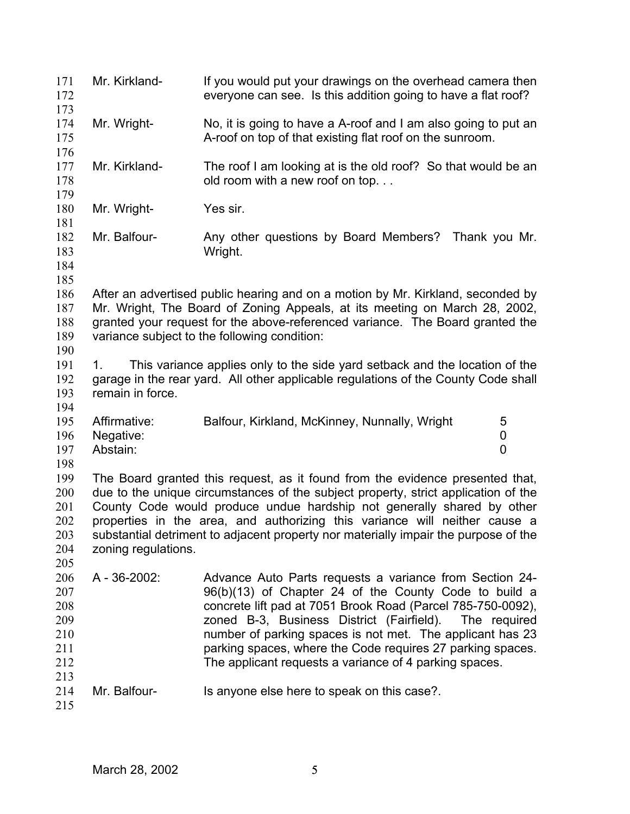| 171<br>172<br>173                                           | Mr. Kirkland-                         | If you would put your drawings on the overhead camera then<br>everyone can see. Is this addition going to have a flat roof?                                                                                                                                                                                                                                                                                                    |
|-------------------------------------------------------------|---------------------------------------|--------------------------------------------------------------------------------------------------------------------------------------------------------------------------------------------------------------------------------------------------------------------------------------------------------------------------------------------------------------------------------------------------------------------------------|
| 174<br>175                                                  | Mr. Wright-                           | No, it is going to have a A-roof and I am also going to put an<br>A-roof on top of that existing flat roof on the sunroom.                                                                                                                                                                                                                                                                                                     |
| 176<br>177<br>178<br>179                                    | Mr. Kirkland-                         | The roof I am looking at is the old roof? So that would be an<br>old room with a new roof on top                                                                                                                                                                                                                                                                                                                               |
| 180<br>181                                                  | Mr. Wright-                           | Yes sir.                                                                                                                                                                                                                                                                                                                                                                                                                       |
| 182<br>183<br>184<br>185                                    | Mr. Balfour-                          | Any other questions by Board Members? Thank you Mr.<br>Wright.                                                                                                                                                                                                                                                                                                                                                                 |
| 186<br>187<br>188<br>189<br>190                             |                                       | After an advertised public hearing and on a motion by Mr. Kirkland, seconded by<br>Mr. Wright, The Board of Zoning Appeals, at its meeting on March 28, 2002,<br>granted your request for the above-referenced variance. The Board granted the<br>variance subject to the following condition:                                                                                                                                 |
| 191<br>192<br>193<br>194                                    | 1.<br>remain in force.                | This variance applies only to the side yard setback and the location of the<br>garage in the rear yard. All other applicable regulations of the County Code shall                                                                                                                                                                                                                                                              |
| 195<br>196<br>197<br>198                                    | Affirmative:<br>Negative:<br>Abstain: | Balfour, Kirkland, McKinney, Nunnally, Wright<br>5<br>0<br>0                                                                                                                                                                                                                                                                                                                                                                   |
| 199<br>200<br>201<br>202<br>203<br>204                      | zoning regulations.                   | The Board granted this request, as it found from the evidence presented that,<br>due to the unique circumstances of the subject property, strict application of the<br>County Code would produce undue hardship not generally shared by other<br>properties in the area, and authorizing this variance will neither cause a<br>substantial detriment to adjacent property nor materially impair the purpose of the             |
| 205<br>206<br>207<br>208<br>209<br>210<br>211<br>212<br>213 | A - 36-2002:                          | Advance Auto Parts requests a variance from Section 24-<br>96(b)(13) of Chapter 24 of the County Code to build a<br>concrete lift pad at 7051 Brook Road (Parcel 785-750-0092),<br>zoned B-3, Business District (Fairfield). The required<br>number of parking spaces is not met. The applicant has 23<br>parking spaces, where the Code requires 27 parking spaces.<br>The applicant requests a variance of 4 parking spaces. |
| 214<br>215                                                  | Mr. Balfour-                          | Is anyone else here to speak on this case?.                                                                                                                                                                                                                                                                                                                                                                                    |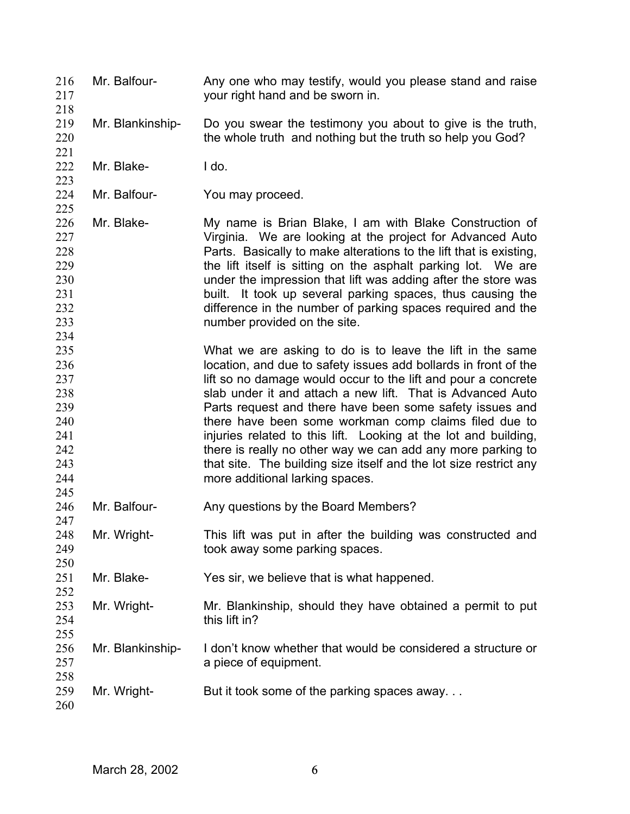- Mr. Balfour- Any one who may testify, would you please stand and raise your right hand and be sworn in. 216 217 218
- 219 220 Mr. Blankinship- Do you swear the testimony you about to give is the truth, the whole truth and nothing but the truth so help you God?
- 222 Mr. Blake- I do.

221

223

225

234

- 224 Mr. Balfour- You may proceed.
- 226 227 228 229 230 231 232 233 Mr. Blake- My name is Brian Blake, I am with Blake Construction of Virginia. We are looking at the project for Advanced Auto Parts. Basically to make alterations to the lift that is existing, the lift itself is sitting on the asphalt parking lot. We are under the impression that lift was adding after the store was built. It took up several parking spaces, thus causing the difference in the number of parking spaces required and the number provided on the site.
- 235 236 237 238 239 240 241 242 243 244 245 What we are asking to do is to leave the lift in the same location, and due to safety issues add bollards in front of the lift so no damage would occur to the lift and pour a concrete slab under it and attach a new lift. That is Advanced Auto Parts request and there have been some safety issues and there have been some workman comp claims filed due to injuries related to this lift. Looking at the lot and building, there is really no other way we can add any more parking to that site. The building size itself and the lot size restrict any more additional larking spaces.
- 246 247 Mr. Balfour- Any questions by the Board Members?
- 248 249 250 Mr. Wright- This lift was put in after the building was constructed and took away some parking spaces.
- 251 Mr. Blake- Yes sir, we believe that is what happened.
- 253 254 255 Mr. Wright- Mr. Blankinship, should they have obtained a permit to put this lift in?
- 256 257 Mr. Blankinship- I don't know whether that would be considered a structure or a piece of equipment.
- 259 Mr. Wright- But it took some of the parking spaces away...

260

258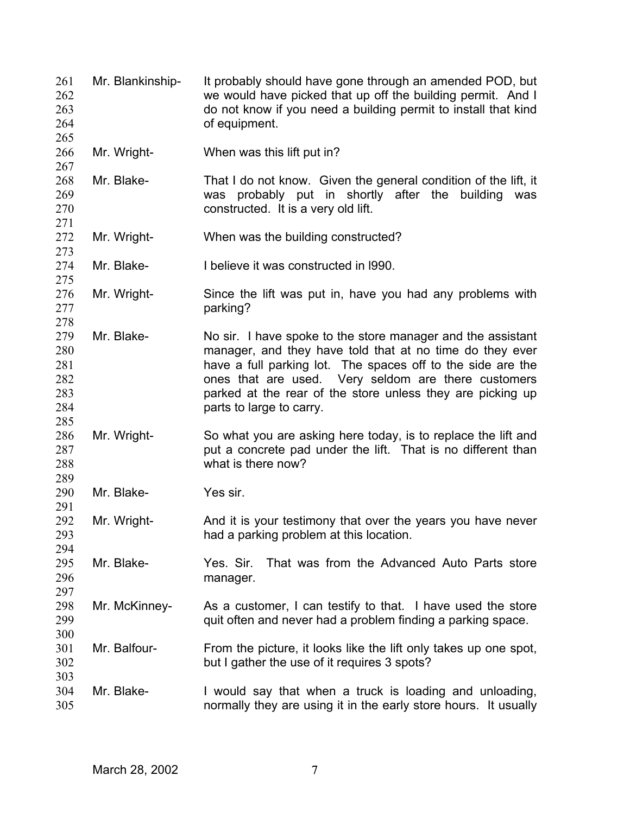| 261<br>262<br>263<br>264                      | Mr. Blankinship- | It probably should have gone through an amended POD, but<br>we would have picked that up off the building permit. And I<br>do not know if you need a building permit to install that kind<br>of equipment.                                                                                                                              |
|-----------------------------------------------|------------------|-----------------------------------------------------------------------------------------------------------------------------------------------------------------------------------------------------------------------------------------------------------------------------------------------------------------------------------------|
| 265<br>266<br>267                             | Mr. Wright-      | When was this lift put in?                                                                                                                                                                                                                                                                                                              |
| 268<br>269<br>270<br>271                      | Mr. Blake-       | That I do not know. Given the general condition of the lift, it<br>was probably put in shortly after the building<br>was<br>constructed. It is a very old lift.                                                                                                                                                                         |
| 272<br>273                                    | Mr. Wright-      | When was the building constructed?                                                                                                                                                                                                                                                                                                      |
| 274<br>275                                    | Mr. Blake-       | I believe it was constructed in 1990.                                                                                                                                                                                                                                                                                                   |
| 276<br>277<br>278                             | Mr. Wright-      | Since the lift was put in, have you had any problems with<br>parking?                                                                                                                                                                                                                                                                   |
| 279<br>280<br>281<br>282<br>283<br>284<br>285 | Mr. Blake-       | No sir. I have spoke to the store manager and the assistant<br>manager, and they have told that at no time do they ever<br>have a full parking lot. The spaces off to the side are the<br>ones that are used. Very seldom are there customers<br>parked at the rear of the store unless they are picking up<br>parts to large to carry. |
| 286<br>287<br>288<br>289                      | Mr. Wright-      | So what you are asking here today, is to replace the lift and<br>put a concrete pad under the lift. That is no different than<br>what is there now?                                                                                                                                                                                     |
| 290<br>291                                    | Mr. Blake-       | Yes sir.                                                                                                                                                                                                                                                                                                                                |
| 292<br>293<br>294                             | Mr. Wright-      | And it is your testimony that over the years you have never<br>had a parking problem at this location.                                                                                                                                                                                                                                  |
| 295<br>296<br>297                             | Mr. Blake-       | That was from the Advanced Auto Parts store<br>Yes. Sir.<br>manager.                                                                                                                                                                                                                                                                    |
| 298<br>299<br>300                             | Mr. McKinney-    | As a customer, I can testify to that. I have used the store<br>quit often and never had a problem finding a parking space.                                                                                                                                                                                                              |
| 301<br>302<br>303                             | Mr. Balfour-     | From the picture, it looks like the lift only takes up one spot,<br>but I gather the use of it requires 3 spots?                                                                                                                                                                                                                        |
| 304<br>305                                    | Mr. Blake-       | I would say that when a truck is loading and unloading,<br>normally they are using it in the early store hours. It usually                                                                                                                                                                                                              |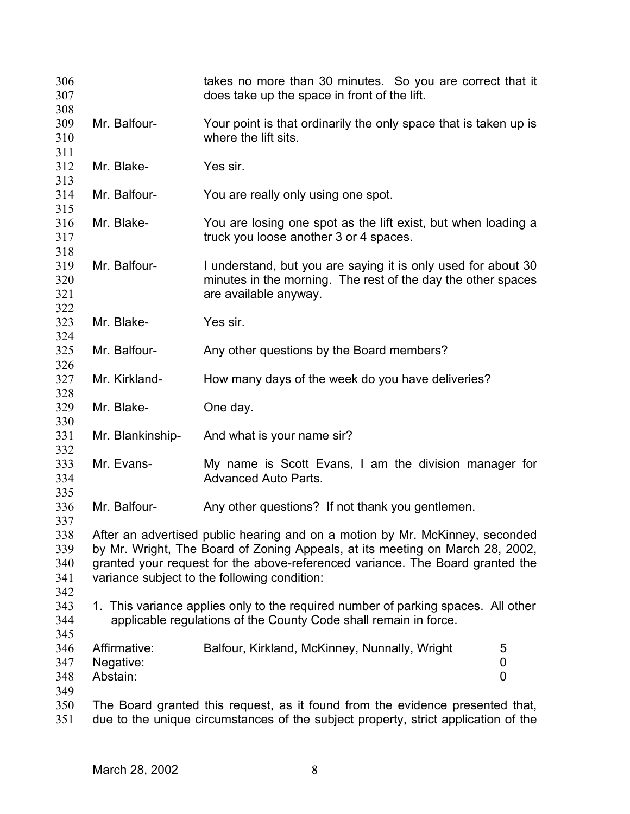| 306<br>307                      |                                                                                                                                                                                                                                                                                                | takes no more than 30 minutes. So you are correct that it<br>does take up the space in front of the lift.                                                           |  |
|---------------------------------|------------------------------------------------------------------------------------------------------------------------------------------------------------------------------------------------------------------------------------------------------------------------------------------------|---------------------------------------------------------------------------------------------------------------------------------------------------------------------|--|
| 308<br>309<br>310               | Mr. Balfour-                                                                                                                                                                                                                                                                                   | Your point is that ordinarily the only space that is taken up is<br>where the lift sits.                                                                            |  |
| 311<br>312<br>313               | Mr. Blake-                                                                                                                                                                                                                                                                                     | Yes sir.                                                                                                                                                            |  |
| 314<br>315                      | Mr. Balfour-                                                                                                                                                                                                                                                                                   | You are really only using one spot.                                                                                                                                 |  |
| 316<br>317<br>318               | Mr. Blake-                                                                                                                                                                                                                                                                                     | You are losing one spot as the lift exist, but when loading a<br>truck you loose another 3 or 4 spaces.                                                             |  |
| 319<br>320<br>321<br>322        | Mr. Balfour-                                                                                                                                                                                                                                                                                   | I understand, but you are saying it is only used for about 30<br>minutes in the morning. The rest of the day the other spaces<br>are available anyway.              |  |
| 323<br>324                      | Mr. Blake-                                                                                                                                                                                                                                                                                     | Yes sir.                                                                                                                                                            |  |
| 325<br>326                      | Mr. Balfour-                                                                                                                                                                                                                                                                                   | Any other questions by the Board members?                                                                                                                           |  |
| 327<br>328                      | Mr. Kirkland-                                                                                                                                                                                                                                                                                  | How many days of the week do you have deliveries?                                                                                                                   |  |
| 329<br>330                      | Mr. Blake-                                                                                                                                                                                                                                                                                     | One day.                                                                                                                                                            |  |
| 331<br>332                      | Mr. Blankinship-                                                                                                                                                                                                                                                                               | And what is your name sir?                                                                                                                                          |  |
| 333<br>334<br>335               | Mr. Evans-                                                                                                                                                                                                                                                                                     | My name is Scott Evans, I am the division manager for<br><b>Advanced Auto Parts.</b>                                                                                |  |
| 336<br>337                      | Mr. Balfour-                                                                                                                                                                                                                                                                                   | Any other questions? If not thank you gentlemen.                                                                                                                    |  |
| 338<br>339<br>340<br>341<br>342 | After an advertised public hearing and on a motion by Mr. McKinney, seconded<br>by Mr. Wright, The Board of Zoning Appeals, at its meeting on March 28, 2002,<br>granted your request for the above-referenced variance. The Board granted the<br>variance subject to the following condition: |                                                                                                                                                                     |  |
| 343<br>344                      |                                                                                                                                                                                                                                                                                                | 1. This variance applies only to the required number of parking spaces. All other<br>applicable regulations of the County Code shall remain in force.               |  |
| 345<br>346<br>347<br>348        | Affirmative:<br>Negative:<br>Abstain:                                                                                                                                                                                                                                                          | Balfour, Kirkland, McKinney, Nunnally, Wright<br>5<br>$\pmb{0}$<br>0                                                                                                |  |
| 349<br>350<br>351               |                                                                                                                                                                                                                                                                                                | The Board granted this request, as it found from the evidence presented that,<br>due to the unique circumstances of the subject property, strict application of the |  |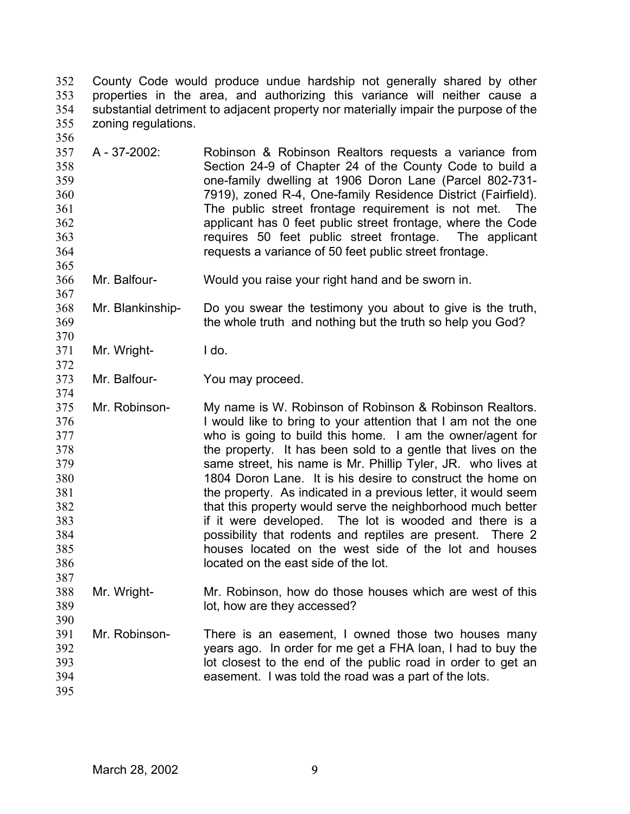County Code would produce undue hardship not generally shared by other properties in the area, and authorizing this variance will neither cause a substantial detriment to adjacent property nor materially impair the purpose of the zoning regulations. 352 353 354 355 356

- 357 358 359 360 361 362 363 364 A - 37-2002: Robinson & Robinson Realtors requests a variance from Section 24-9 of Chapter 24 of the County Code to build a one-family dwelling at 1906 Doron Lane (Parcel 802-731- 7919), zoned R-4, One-family Residence District (Fairfield). The public street frontage requirement is not met. The applicant has 0 feet public street frontage, where the Code requires 50 feet public street frontage. The applicant requests a variance of 50 feet public street frontage.
- 366 Mr. Balfour- Would you raise your right hand and be sworn in.

368 369 Mr. Blankinship- Do you swear the testimony you about to give is the truth, the whole truth and nothing but the truth so help you God?

- 371 Mr. Wright- I do.
- 373 Mr. Balfour-<br>
You may proceed.

375 376 377 378 379 380 381 382 383 384 385 386 387 Mr. Robinson- My name is W. Robinson of Robinson & Robinson Realtors. I would like to bring to your attention that I am not the one who is going to build this home. I am the owner/agent for the property. It has been sold to a gentle that lives on the same street, his name is Mr. Phillip Tyler, JR. who lives at 1804 Doron Lane. It is his desire to construct the home on the property. As indicated in a previous letter, it would seem that this property would serve the neighborhood much better if it were developed. The lot is wooded and there is a possibility that rodents and reptiles are present. There 2 houses located on the west side of the lot and houses located on the east side of the lot.

- 388 389 390 Mr. Wright- Mr. Robinson, how do those houses which are west of this lot, how are they accessed?
- 391 392 393 394 Mr. Robinson- There is an easement, I owned those two houses many years ago. In order for me get a FHA loan, I had to buy the lot closest to the end of the public road in order to get an easement. I was told the road was a part of the lots.
- 395

365

367

370

372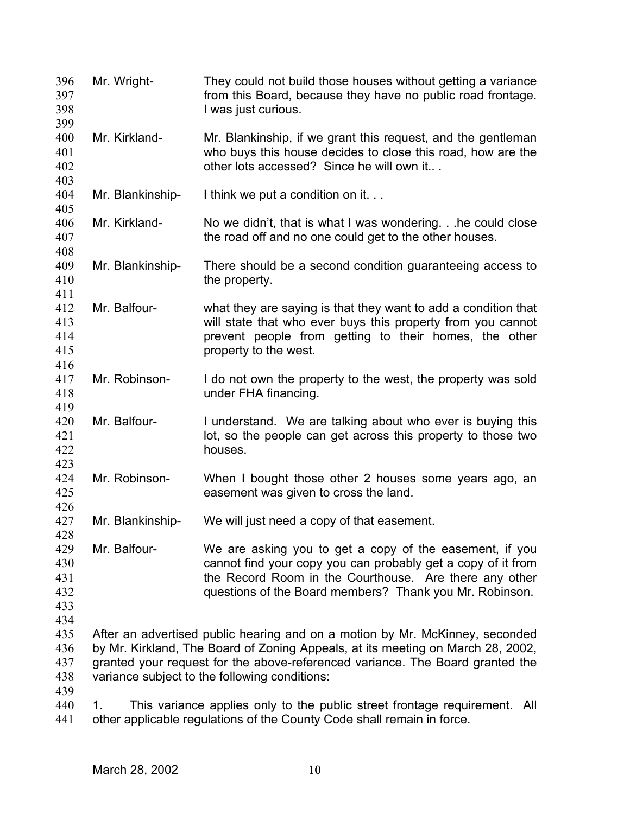| 396<br>397<br>398                      | Mr. Wright-      | They could not build those houses without getting a variance<br>from this Board, because they have no public road frontage.<br>I was just curious.                                                                                                                                                |
|----------------------------------------|------------------|---------------------------------------------------------------------------------------------------------------------------------------------------------------------------------------------------------------------------------------------------------------------------------------------------|
| 399<br>400<br>401<br>402<br>403        | Mr. Kirkland-    | Mr. Blankinship, if we grant this request, and the gentleman<br>who buys this house decides to close this road, how are the<br>other lots accessed? Since he will own it                                                                                                                          |
| 404                                    | Mr. Blankinship- | I think we put a condition on it                                                                                                                                                                                                                                                                  |
| 405<br>406<br>407                      | Mr. Kirkland-    | No we didn't, that is what I was wondering. he could close<br>the road off and no one could get to the other houses.                                                                                                                                                                              |
| 408<br>409<br>410                      | Mr. Blankinship- | There should be a second condition guaranteeing access to<br>the property.                                                                                                                                                                                                                        |
| 411<br>412<br>413<br>414<br>415        | Mr. Balfour-     | what they are saying is that they want to add a condition that<br>will state that who ever buys this property from you cannot<br>prevent people from getting to their homes, the other<br>property to the west.                                                                                   |
| 416<br>417<br>418                      | Mr. Robinson-    | I do not own the property to the west, the property was sold<br>under FHA financing.                                                                                                                                                                                                              |
| 419<br>420<br>421<br>422<br>423        | Mr. Balfour-     | I understand. We are talking about who ever is buying this<br>lot, so the people can get across this property to those two<br>houses.                                                                                                                                                             |
| 424<br>425                             | Mr. Robinson-    | When I bought those other 2 houses some years ago, an<br>easement was given to cross the land.                                                                                                                                                                                                    |
| 426<br>427                             | Mr. Blankinship- | We will just need a copy of that easement.                                                                                                                                                                                                                                                        |
| 428<br>429<br>430<br>431<br>432<br>433 | Mr. Balfour-     | We are asking you to get a copy of the easement, if you<br>cannot find your copy you can probably get a copy of it from<br>the Record Room in the Courthouse. Are there any other<br>questions of the Board members? Thank you Mr. Robinson.                                                      |
| 434<br>435<br>436<br>437<br>438        |                  | After an advertised public hearing and on a motion by Mr. McKinney, seconded<br>by Mr. Kirkland, The Board of Zoning Appeals, at its meeting on March 28, 2002,<br>granted your request for the above-referenced variance. The Board granted the<br>variance subject to the following conditions: |
| 439<br>440<br>441                      | 1.               | This variance applies only to the public street frontage requirement. All<br>other applicable regulations of the County Code shall remain in force.                                                                                                                                               |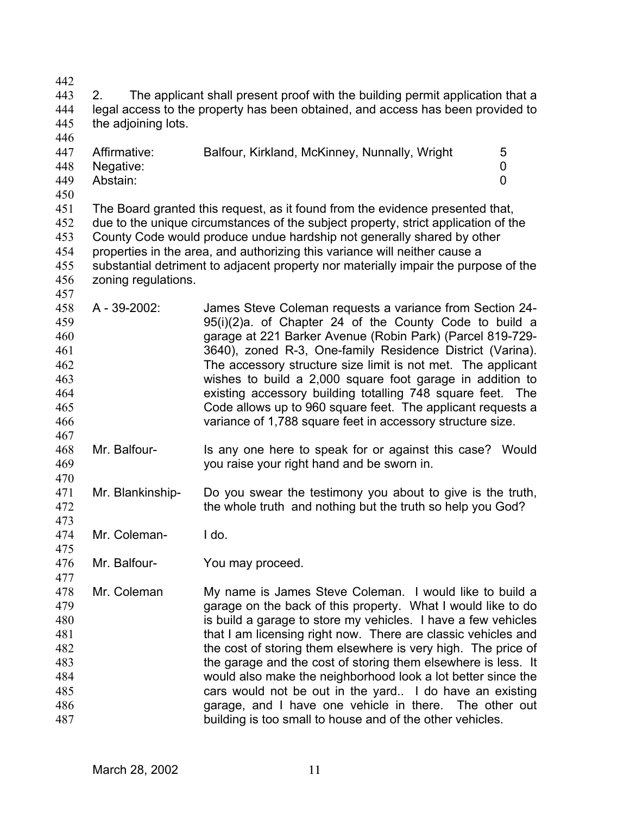| 442 |                                                                                 |                                                                                     |   |  |
|-----|---------------------------------------------------------------------------------|-------------------------------------------------------------------------------------|---|--|
| 443 | 2.                                                                              | The applicant shall present proof with the building permit application that a       |   |  |
| 444 | legal access to the property has been obtained, and access has been provided to |                                                                                     |   |  |
| 445 | the adjoining lots.                                                             |                                                                                     |   |  |
| 446 |                                                                                 |                                                                                     |   |  |
|     |                                                                                 |                                                                                     |   |  |
| 447 | Affirmative:                                                                    | Balfour, Kirkland, McKinney, Nunnally, Wright                                       | 5 |  |
| 448 | Negative:                                                                       |                                                                                     | 0 |  |
| 449 | Abstain:                                                                        |                                                                                     | 0 |  |
| 450 |                                                                                 |                                                                                     |   |  |
| 451 |                                                                                 | The Board granted this request, as it found from the evidence presented that,       |   |  |
| 452 |                                                                                 | due to the unique circumstances of the subject property, strict application of the  |   |  |
| 453 | County Code would produce undue hardship not generally shared by other          |                                                                                     |   |  |
| 454 |                                                                                 | properties in the area, and authorizing this variance will neither cause a          |   |  |
| 455 |                                                                                 | substantial detriment to adjacent property nor materially impair the purpose of the |   |  |
| 456 | zoning regulations.                                                             |                                                                                     |   |  |
| 457 |                                                                                 |                                                                                     |   |  |
|     | A - 39-2002:                                                                    |                                                                                     |   |  |
| 458 |                                                                                 | James Steve Coleman requests a variance from Section 24-                            |   |  |
| 459 |                                                                                 | 95(i)(2)a. of Chapter 24 of the County Code to build a                              |   |  |
| 460 |                                                                                 | garage at 221 Barker Avenue (Robin Park) (Parcel 819-729-                           |   |  |
| 461 |                                                                                 | 3640), zoned R-3, One-family Residence District (Varina).                           |   |  |
| 462 |                                                                                 | The accessory structure size limit is not met. The applicant                        |   |  |
| 463 |                                                                                 | wishes to build a 2,000 square foot garage in addition to                           |   |  |
| 464 |                                                                                 | existing accessory building totalling 748 square feet. The                          |   |  |
| 465 |                                                                                 | Code allows up to 960 square feet. The applicant requests a                         |   |  |
| 466 |                                                                                 | variance of 1,788 square feet in accessory structure size.                          |   |  |
| 467 |                                                                                 |                                                                                     |   |  |
| 468 | Mr. Balfour-                                                                    | Is any one here to speak for or against this case? Would                            |   |  |
| 469 |                                                                                 | you raise your right hand and be sworn in.                                          |   |  |
| 470 |                                                                                 |                                                                                     |   |  |
| 471 | Mr. Blankinship-                                                                |                                                                                     |   |  |
|     |                                                                                 | Do you swear the testimony you about to give is the truth,                          |   |  |
| 472 |                                                                                 | the whole truth and nothing but the truth so help you God?                          |   |  |
| 473 |                                                                                 |                                                                                     |   |  |
| 474 | Mr. Coleman-                                                                    | I do.                                                                               |   |  |
| 475 |                                                                                 |                                                                                     |   |  |
| 476 | Mr. Balfour-                                                                    | You may proceed.                                                                    |   |  |
| 477 |                                                                                 |                                                                                     |   |  |
| 478 | Mr. Coleman                                                                     | My name is James Steve Coleman. I would like to build a                             |   |  |
| 479 |                                                                                 | garage on the back of this property. What I would like to do                        |   |  |
| 480 |                                                                                 | is build a garage to store my vehicles. I have a few vehicles                       |   |  |
| 481 |                                                                                 | that I am licensing right now. There are classic vehicles and                       |   |  |
| 482 |                                                                                 | the cost of storing them elsewhere is very high. The price of                       |   |  |
| 483 |                                                                                 | the garage and the cost of storing them elsewhere is less. It                       |   |  |
| 484 |                                                                                 | would also make the neighborhood look a lot better since the                        |   |  |
| 485 |                                                                                 |                                                                                     |   |  |
|     |                                                                                 | cars would not be out in the yard. I do have an existing                            |   |  |
| 486 |                                                                                 | garage, and I have one vehicle in there. The other out                              |   |  |
| 487 |                                                                                 | building is too small to house and of the other vehicles.                           |   |  |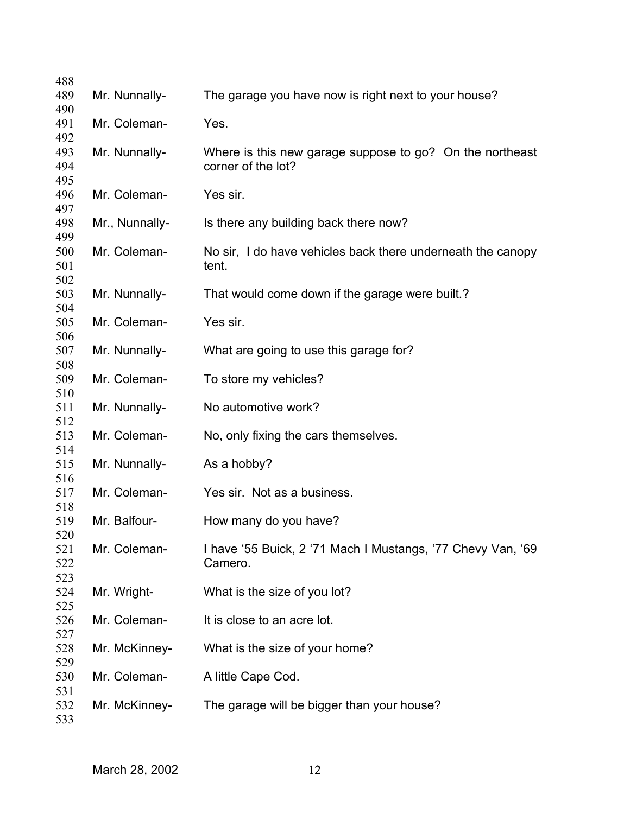| 488        |                |                                                                                |
|------------|----------------|--------------------------------------------------------------------------------|
| 489        | Mr. Nunnally-  | The garage you have now is right next to your house?                           |
| 490        |                |                                                                                |
| 491        | Mr. Coleman-   | Yes.                                                                           |
| 492        |                |                                                                                |
| 493<br>494 | Mr. Nunnally-  | Where is this new garage suppose to go? On the northeast<br>corner of the lot? |
| 495        |                |                                                                                |
| 496        | Mr. Coleman-   | Yes sir.                                                                       |
| 497        |                |                                                                                |
| 498        | Mr., Nunnally- | Is there any building back there now?                                          |
| 499        |                |                                                                                |
| 500        | Mr. Coleman-   | No sir, I do have vehicles back there underneath the canopy                    |
| 501        |                | tent.                                                                          |
| 502        |                |                                                                                |
| 503        | Mr. Nunnally-  | That would come down if the garage were built.?                                |
| 504        |                |                                                                                |
| 505        | Mr. Coleman-   | Yes sir.                                                                       |
| 506        |                |                                                                                |
| 507        | Mr. Nunnally-  | What are going to use this garage for?                                         |
| 508        |                |                                                                                |
| 509        | Mr. Coleman-   | To store my vehicles?                                                          |
| 510        |                | No automotive work?                                                            |
| 511<br>512 | Mr. Nunnally-  |                                                                                |
| 513        | Mr. Coleman-   | No, only fixing the cars themselves.                                           |
| 514        |                |                                                                                |
| 515        | Mr. Nunnally-  | As a hobby?                                                                    |
| 516        |                |                                                                                |
| 517        | Mr. Coleman-   | Yes sir. Not as a business.                                                    |
| 518        |                |                                                                                |
| 519        | Mr. Balfour-   | How many do you have?                                                          |
| 520        |                |                                                                                |
| 521        | Mr. Coleman-   | I have '55 Buick, 2 '71 Mach I Mustangs, '77 Chevy Van, '69                    |
| 522        |                | Camero.                                                                        |
| 523        |                |                                                                                |
| 524        | Mr. Wright-    | What is the size of you lot?                                                   |
| 525        |                |                                                                                |
| 526<br>527 | Mr. Coleman-   | It is close to an acre lot.                                                    |
| 528        | Mr. McKinney-  | What is the size of your home?                                                 |
| 529        |                |                                                                                |
| 530        | Mr. Coleman-   | A little Cape Cod.                                                             |
| 531        |                |                                                                                |
| 532        | Mr. McKinney-  | The garage will be bigger than your house?                                     |
| 533        |                |                                                                                |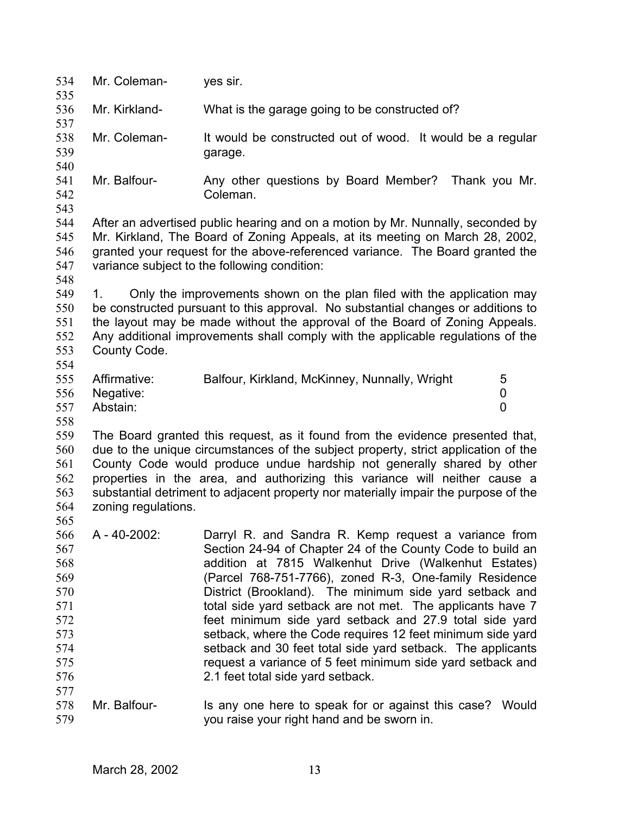| 534<br>535                                                                              | Mr. Coleman-                                                                                                                                                                                                                                                                                                                                                                                                                              | yes sir.                                                                                                                                                                                                                                                                                                                                                                                                                                                                                                                                                                                                                                                 |  |
|-----------------------------------------------------------------------------------------|-------------------------------------------------------------------------------------------------------------------------------------------------------------------------------------------------------------------------------------------------------------------------------------------------------------------------------------------------------------------------------------------------------------------------------------------|----------------------------------------------------------------------------------------------------------------------------------------------------------------------------------------------------------------------------------------------------------------------------------------------------------------------------------------------------------------------------------------------------------------------------------------------------------------------------------------------------------------------------------------------------------------------------------------------------------------------------------------------------------|--|
| 536                                                                                     | Mr. Kirkland-                                                                                                                                                                                                                                                                                                                                                                                                                             | What is the garage going to be constructed of?                                                                                                                                                                                                                                                                                                                                                                                                                                                                                                                                                                                                           |  |
| 537<br>538<br>539                                                                       | Mr. Coleman-                                                                                                                                                                                                                                                                                                                                                                                                                              | It would be constructed out of wood. It would be a regular<br>garage.                                                                                                                                                                                                                                                                                                                                                                                                                                                                                                                                                                                    |  |
| 540<br>541<br>542                                                                       | Mr. Balfour-                                                                                                                                                                                                                                                                                                                                                                                                                              | Any other questions by Board Member? Thank you Mr.<br>Coleman.                                                                                                                                                                                                                                                                                                                                                                                                                                                                                                                                                                                           |  |
| 543<br>544<br>545<br>546<br>547                                                         |                                                                                                                                                                                                                                                                                                                                                                                                                                           | After an advertised public hearing and on a motion by Mr. Nunnally, seconded by<br>Mr. Kirkland, The Board of Zoning Appeals, at its meeting on March 28, 2002,<br>granted your request for the above-referenced variance. The Board granted the<br>variance subject to the following condition:                                                                                                                                                                                                                                                                                                                                                         |  |
| 548<br>549<br>550<br>551<br>552<br>553<br>554                                           | 1.<br>County Code.                                                                                                                                                                                                                                                                                                                                                                                                                        | Only the improvements shown on the plan filed with the application may<br>be constructed pursuant to this approval. No substantial changes or additions to<br>the layout may be made without the approval of the Board of Zoning Appeals.<br>Any additional improvements shall comply with the applicable regulations of the                                                                                                                                                                                                                                                                                                                             |  |
| 555<br>556<br>557<br>558                                                                | Affirmative:<br>Negative:<br>Abstain:                                                                                                                                                                                                                                                                                                                                                                                                     | Balfour, Kirkland, McKinney, Nunnally, Wright<br>5<br>0<br>0                                                                                                                                                                                                                                                                                                                                                                                                                                                                                                                                                                                             |  |
| 559<br>560<br>561<br>562<br>563<br>564                                                  | The Board granted this request, as it found from the evidence presented that,<br>due to the unique circumstances of the subject property, strict application of the<br>County Code would produce undue hardship not generally shared by other<br>properties in the area, and authorizing this variance will neither cause a<br>substantial detriment to adjacent property nor materially impair the purpose of the<br>zoning regulations. |                                                                                                                                                                                                                                                                                                                                                                                                                                                                                                                                                                                                                                                          |  |
| 565<br>566<br>567<br>568<br>569<br>570<br>571<br>572<br>573<br>574<br>575<br>576<br>577 | A - 40-2002:                                                                                                                                                                                                                                                                                                                                                                                                                              | Darryl R. and Sandra R. Kemp request a variance from<br>Section 24-94 of Chapter 24 of the County Code to build an<br>addition at 7815 Walkenhut Drive (Walkenhut Estates)<br>(Parcel 768-751-7766), zoned R-3, One-family Residence<br>District (Brookland). The minimum side yard setback and<br>total side yard setback are not met. The applicants have 7<br>feet minimum side yard setback and 27.9 total side yard<br>setback, where the Code requires 12 feet minimum side yard<br>setback and 30 feet total side yard setback. The applicants<br>request a variance of 5 feet minimum side yard setback and<br>2.1 feet total side yard setback. |  |
| 578<br>579                                                                              | Mr. Balfour-                                                                                                                                                                                                                                                                                                                                                                                                                              | Is any one here to speak for or against this case? Would<br>you raise your right hand and be sworn in.                                                                                                                                                                                                                                                                                                                                                                                                                                                                                                                                                   |  |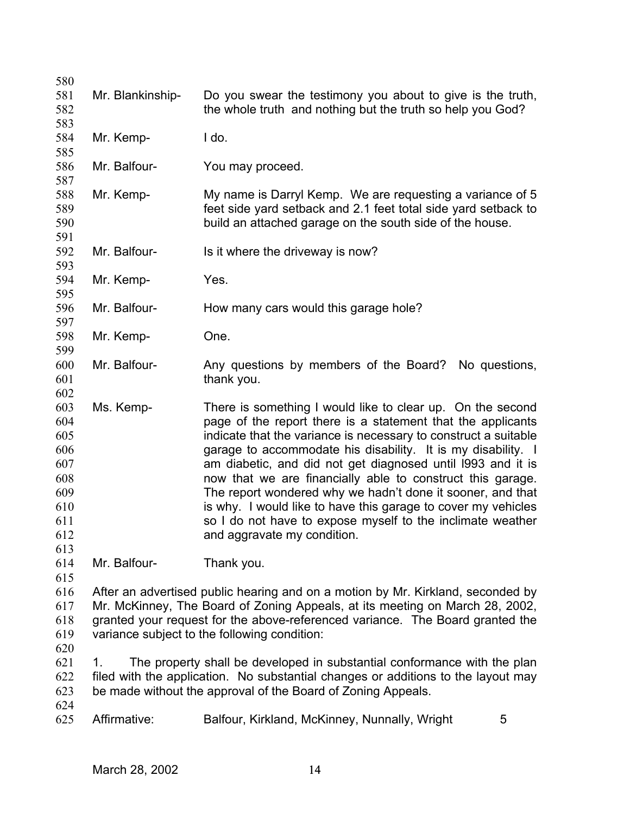| 580 |                  |                                                                                   |  |
|-----|------------------|-----------------------------------------------------------------------------------|--|
| 581 | Mr. Blankinship- | Do you swear the testimony you about to give is the truth,                        |  |
| 582 |                  | the whole truth and nothing but the truth so help you God?                        |  |
| 583 |                  |                                                                                   |  |
| 584 | Mr. Kemp-        | I do.                                                                             |  |
| 585 |                  |                                                                                   |  |
| 586 | Mr. Balfour-     | You may proceed.                                                                  |  |
| 587 |                  |                                                                                   |  |
| 588 | Mr. Kemp-        | My name is Darryl Kemp. We are requesting a variance of 5                         |  |
| 589 |                  | feet side yard setback and 2.1 feet total side yard setback to                    |  |
| 590 |                  | build an attached garage on the south side of the house.                          |  |
| 591 |                  |                                                                                   |  |
| 592 | Mr. Balfour-     | Is it where the driveway is now?                                                  |  |
| 593 |                  |                                                                                   |  |
| 594 | Mr. Kemp-        | Yes.                                                                              |  |
| 595 |                  |                                                                                   |  |
| 596 | Mr. Balfour-     | How many cars would this garage hole?                                             |  |
| 597 |                  |                                                                                   |  |
| 598 | Mr. Kemp-        | One.                                                                              |  |
| 599 |                  |                                                                                   |  |
| 600 | Mr. Balfour-     | Any questions by members of the Board?<br>No questions,                           |  |
| 601 |                  | thank you.                                                                        |  |
| 602 |                  |                                                                                   |  |
| 603 | Ms. Kemp-        | There is something I would like to clear up. On the second                        |  |
| 604 |                  | page of the report there is a statement that the applicants                       |  |
| 605 |                  | indicate that the variance is necessary to construct a suitable                   |  |
| 606 |                  | garage to accommodate his disability. It is my disability. I                      |  |
| 607 |                  | am diabetic, and did not get diagnosed until 1993 and it is                       |  |
| 608 |                  | now that we are financially able to construct this garage.                        |  |
| 609 |                  | The report wondered why we hadn't done it sooner, and that                        |  |
| 610 |                  | is why. I would like to have this garage to cover my vehicles                     |  |
| 611 |                  | so I do not have to expose myself to the inclimate weather                        |  |
| 612 |                  | and aggravate my condition.                                                       |  |
| 613 |                  |                                                                                   |  |
| 614 | Mr. Balfour-     | Thank you.                                                                        |  |
| 615 |                  |                                                                                   |  |
| 616 |                  | After an advertised public hearing and on a motion by Mr. Kirkland, seconded by   |  |
| 617 |                  | Mr. McKinney, The Board of Zoning Appeals, at its meeting on March 28, 2002,      |  |
| 618 |                  | granted your request for the above-referenced variance. The Board granted the     |  |
| 619 |                  | variance subject to the following condition:                                      |  |
| 620 |                  |                                                                                   |  |
| 621 | 1.               | The property shall be developed in substantial conformance with the plan          |  |
| 622 |                  | filed with the application. No substantial changes or additions to the layout may |  |
| 623 |                  | be made without the approval of the Board of Zoning Appeals.                      |  |
| 624 |                  |                                                                                   |  |
| 625 | Affirmative:     | Balfour, Kirkland, McKinney, Nunnally, Wright<br>5                                |  |
|     |                  |                                                                                   |  |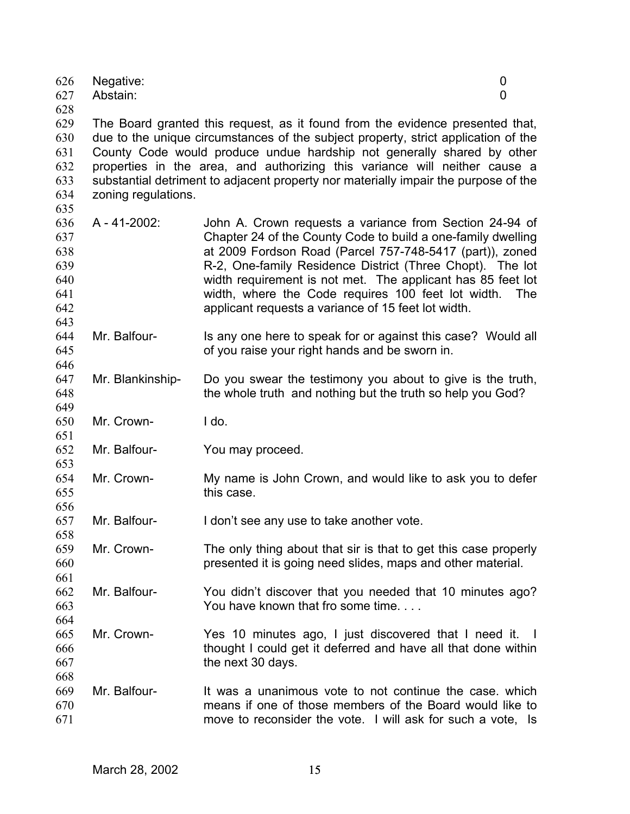| 626<br>627                                           | Negative:<br>Abstain: | 0<br>0                                                                                                                                                                                                                                                                                                                                                                                                                              |  |
|------------------------------------------------------|-----------------------|-------------------------------------------------------------------------------------------------------------------------------------------------------------------------------------------------------------------------------------------------------------------------------------------------------------------------------------------------------------------------------------------------------------------------------------|--|
| 628<br>629<br>630<br>631<br>632<br>633<br>634<br>635 | zoning regulations.   | The Board granted this request, as it found from the evidence presented that,<br>due to the unique circumstances of the subject property, strict application of the<br>County Code would produce undue hardship not generally shared by other<br>properties in the area, and authorizing this variance will neither cause a<br>substantial detriment to adjacent property nor materially impair the purpose of the                  |  |
| 636<br>637<br>638<br>639<br>640<br>641<br>642<br>643 | A - 41-2002:          | John A. Crown requests a variance from Section 24-94 of<br>Chapter 24 of the County Code to build a one-family dwelling<br>at 2009 Fordson Road (Parcel 757-748-5417 (part)), zoned<br>R-2, One-family Residence District (Three Chopt). The lot<br>width requirement is not met. The applicant has 85 feet lot<br>width, where the Code requires 100 feet lot width.<br>The<br>applicant requests a variance of 15 feet lot width. |  |
| 644<br>645<br>646                                    | Mr. Balfour-          | Is any one here to speak for or against this case? Would all<br>of you raise your right hands and be sworn in.                                                                                                                                                                                                                                                                                                                      |  |
| 647<br>648<br>649                                    | Mr. Blankinship-      | Do you swear the testimony you about to give is the truth,<br>the whole truth and nothing but the truth so help you God?                                                                                                                                                                                                                                                                                                            |  |
| 650<br>651                                           | Mr. Crown-            | I do.                                                                                                                                                                                                                                                                                                                                                                                                                               |  |
| 652<br>653                                           | Mr. Balfour-          | You may proceed.                                                                                                                                                                                                                                                                                                                                                                                                                    |  |
| 654<br>655<br>656                                    | Mr. Crown-            | My name is John Crown, and would like to ask you to defer<br>this case.                                                                                                                                                                                                                                                                                                                                                             |  |
| 657<br>658                                           | Mr. Balfour-          | I don't see any use to take another vote.                                                                                                                                                                                                                                                                                                                                                                                           |  |
| 659<br>660<br>661                                    | Mr. Crown-            | The only thing about that sir is that to get this case properly<br>presented it is going need slides, maps and other material.                                                                                                                                                                                                                                                                                                      |  |
| 662<br>663<br>664                                    | Mr. Balfour-          | You didn't discover that you needed that 10 minutes ago?<br>You have known that fro some time.                                                                                                                                                                                                                                                                                                                                      |  |
| 665<br>666<br>667                                    | Mr. Crown-            | Yes 10 minutes ago, I just discovered that I need it.<br>$\mathbf{I}$<br>thought I could get it deferred and have all that done within<br>the next 30 days.                                                                                                                                                                                                                                                                         |  |
| 668<br>669<br>670<br>671                             | Mr. Balfour-          | It was a unanimous vote to not continue the case, which<br>means if one of those members of the Board would like to<br>move to reconsider the vote. I will ask for such a vote, Is                                                                                                                                                                                                                                                  |  |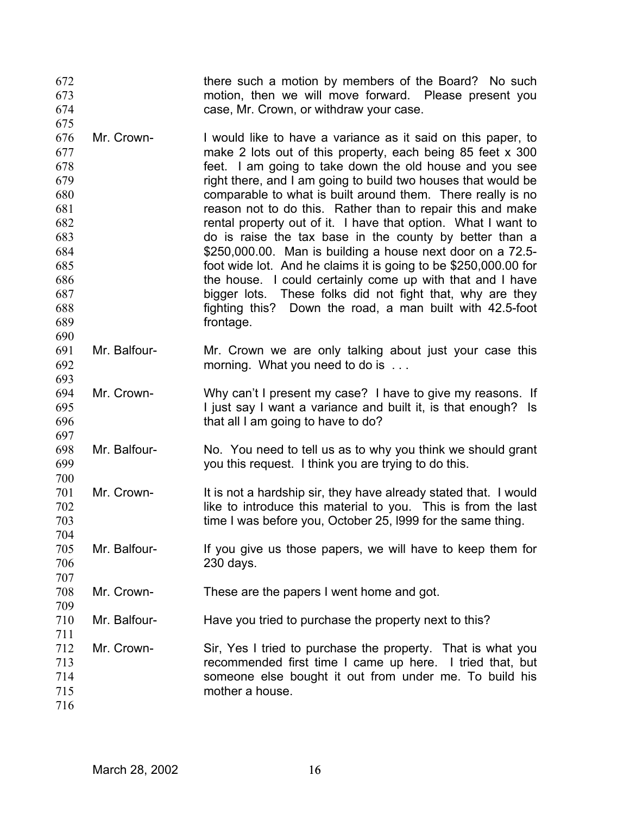there such a motion by members of the Board? No such motion, then we will move forward. Please present you case, Mr. Crown, or withdraw your case. 672 673 674

676 677 678 679 680 681 682 683 684 685 686 687 688 689 Mr. Crown- I would like to have a variance as it said on this paper, to make 2 lots out of this property, each being 85 feet x 300 feet. I am going to take down the old house and you see right there, and I am going to build two houses that would be comparable to what is built around them. There really is no reason not to do this. Rather than to repair this and make rental property out of it. I have that option. What I want to do is raise the tax base in the county by better than a \$250,000.00. Man is building a house next door on a 72.5 foot wide lot. And he claims it is going to be \$250,000.00 for the house. I could certainly come up with that and I have bigger lots. These folks did not fight that, why are they fighting this? Down the road, a man built with 42.5-foot frontage.

- 691 692 693 Mr. Balfour- Mr. Crown we are only talking about just your case this morning. What you need to do is ...
- 694 695 696 697 Mr. Crown- Why can't I present my case? I have to give my reasons. If I just say I want a variance and built it, is that enough? Is that all I am going to have to do?
- 698 699 700 Mr. Balfour- No. You need to tell us as to why you think we should grant you this request. I think you are trying to do this.
- 701 702 703 Mr. Crown- It is not a hardship sir, they have already stated that. I would like to introduce this material to you. This is from the last time I was before you, October 25, l999 for the same thing.
- 705 706 707 Mr. Balfour- If you give us those papers, we will have to keep them for 230 days.
- 708 Mr. Crown- These are the papers I went home and got.
- 710 711 Mr. Balfour- Have you tried to purchase the property next to this?
- 712 713 714 715 Mr. Crown- Sir, Yes I tried to purchase the property. That is what you recommended first time I came up here. I tried that, but someone else bought it out from under me. To build his mother a house.
- 716

704

709

675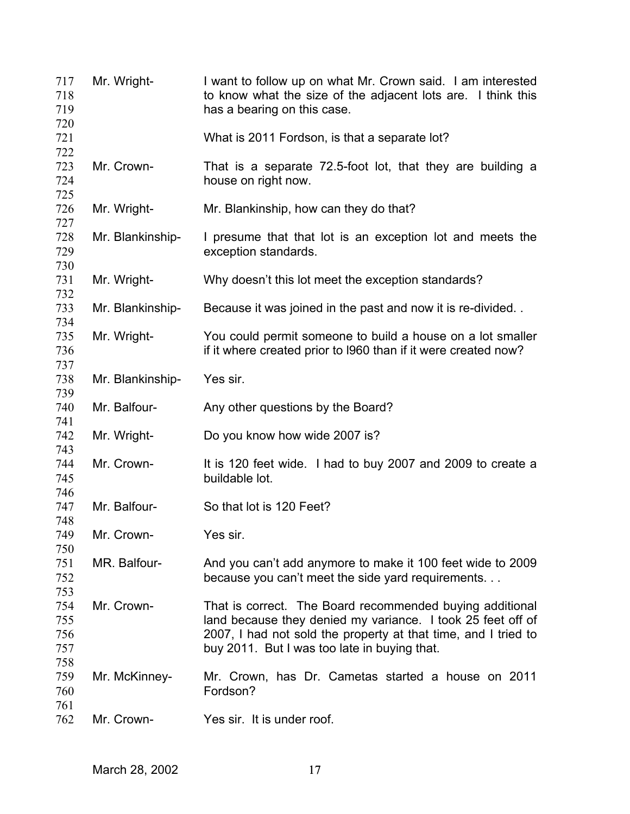| 717<br>718<br>719        | Mr. Wright-      | I want to follow up on what Mr. Crown said. I am interested<br>to know what the size of the adjacent lots are. I think this<br>has a bearing on this case.                                                                                |
|--------------------------|------------------|-------------------------------------------------------------------------------------------------------------------------------------------------------------------------------------------------------------------------------------------|
| 720<br>721               |                  | What is 2011 Fordson, is that a separate lot?                                                                                                                                                                                             |
| 722<br>723<br>724<br>725 | Mr. Crown-       | That is a separate 72.5-foot lot, that they are building a<br>house on right now.                                                                                                                                                         |
| 726<br>727               | Mr. Wright-      | Mr. Blankinship, how can they do that?                                                                                                                                                                                                    |
| 728<br>729               | Mr. Blankinship- | I presume that that lot is an exception lot and meets the<br>exception standards.                                                                                                                                                         |
| 730<br>731               | Mr. Wright-      | Why doesn't this lot meet the exception standards?                                                                                                                                                                                        |
| 732<br>733               | Mr. Blankinship- | Because it was joined in the past and now it is re-divided                                                                                                                                                                                |
| 734<br>735<br>736<br>737 | Mr. Wright-      | You could permit someone to build a house on a lot smaller<br>if it where created prior to 1960 than if it were created now?                                                                                                              |
| 738<br>739               | Mr. Blankinship- | Yes sir.                                                                                                                                                                                                                                  |
| 740<br>741               | Mr. Balfour-     | Any other questions by the Board?                                                                                                                                                                                                         |
| 742                      | Mr. Wright-      | Do you know how wide 2007 is?                                                                                                                                                                                                             |
| 743<br>744<br>745        | Mr. Crown-       | It is 120 feet wide. I had to buy 2007 and 2009 to create a<br>buildable lot.                                                                                                                                                             |
| 746<br>747               | Mr. Balfour-     | So that lot is 120 Feet?                                                                                                                                                                                                                  |
| 748<br>749               | Mr. Crown-       | Yes sir.                                                                                                                                                                                                                                  |
| 750<br>751<br>752<br>753 | MR. Balfour-     | And you can't add anymore to make it 100 feet wide to 2009<br>because you can't meet the side yard requirements                                                                                                                           |
| 754<br>755<br>756<br>757 | Mr. Crown-       | That is correct. The Board recommended buying additional<br>land because they denied my variance. I took 25 feet off of<br>2007, I had not sold the property at that time, and I tried to<br>buy 2011. But I was too late in buying that. |
| 758<br>759<br>760        | Mr. McKinney-    | Mr. Crown, has Dr. Cametas started a house on 2011<br>Fordson?                                                                                                                                                                            |
| 761<br>762               | Mr. Crown-       | Yes sir. It is under roof.                                                                                                                                                                                                                |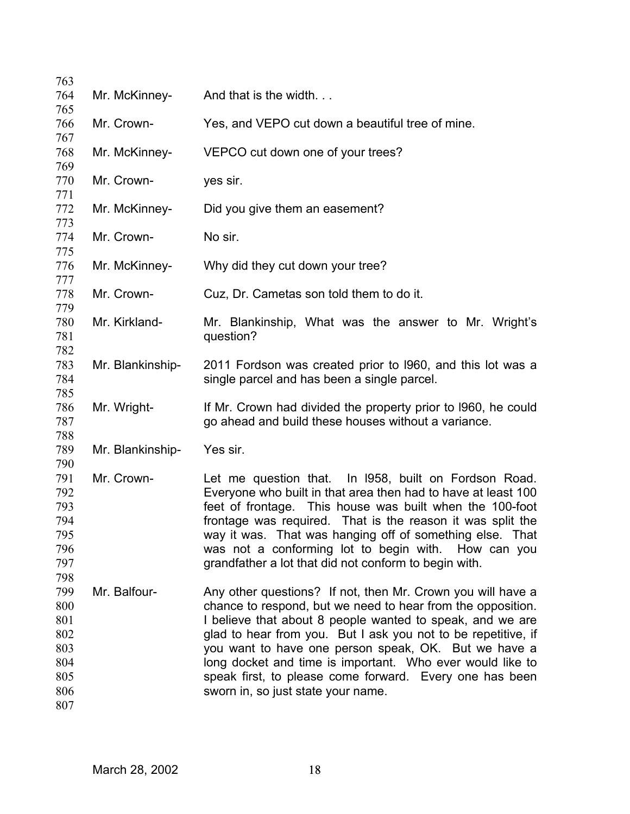| 763        |                  |                                                                                                                 |
|------------|------------------|-----------------------------------------------------------------------------------------------------------------|
| 764        | Mr. McKinney-    | And that is the width                                                                                           |
| 765        |                  |                                                                                                                 |
| 766        | Mr. Crown-       | Yes, and VEPO cut down a beautiful tree of mine.                                                                |
| 767        |                  |                                                                                                                 |
| 768<br>769 | Mr. McKinney-    | VEPCO cut down one of your trees?                                                                               |
| 770        | Mr. Crown-       | yes sir.                                                                                                        |
| 771        |                  |                                                                                                                 |
| 772        | Mr. McKinney-    | Did you give them an easement?                                                                                  |
| 773        |                  |                                                                                                                 |
| 774        | Mr. Crown-       | No sir.                                                                                                         |
| 775        |                  |                                                                                                                 |
| 776        | Mr. McKinney-    | Why did they cut down your tree?                                                                                |
| 777        |                  |                                                                                                                 |
| 778        | Mr. Crown-       | Cuz, Dr. Cametas son told them to do it.                                                                        |
| 779        |                  |                                                                                                                 |
| 780        | Mr. Kirkland-    | Mr. Blankinship, What was the answer to Mr. Wright's                                                            |
| 781<br>782 |                  | question?                                                                                                       |
| 783        | Mr. Blankinship- | 2011 Fordson was created prior to 1960, and this lot was a                                                      |
| 784        |                  | single parcel and has been a single parcel.                                                                     |
| 785        |                  |                                                                                                                 |
| 786        | Mr. Wright-      | If Mr. Crown had divided the property prior to 1960, he could                                                   |
| 787        |                  | go ahead and build these houses without a variance.                                                             |
| 788        |                  |                                                                                                                 |
| 789        | Mr. Blankinship- | Yes sir.                                                                                                        |
| 790        |                  |                                                                                                                 |
| 791        | Mr. Crown-       | Let me question that. In 1958, built on Fordson Road.                                                           |
| 792        |                  | Everyone who built in that area then had to have at least 100                                                   |
| 793        |                  | feet of frontage. This house was built when the 100-foot                                                        |
| 794        |                  | frontage was required. That is the reason it was split the                                                      |
| 795<br>796 |                  | way it was. That was hanging off of something else. That<br>was not a conforming lot to begin with. How can you |
| 797        |                  | grandfather a lot that did not conform to begin with.                                                           |
| 798        |                  |                                                                                                                 |
| 799        | Mr. Balfour-     | Any other questions? If not, then Mr. Crown you will have a                                                     |
| 800        |                  | chance to respond, but we need to hear from the opposition.                                                     |
| 801        |                  | I believe that about 8 people wanted to speak, and we are                                                       |
| 802        |                  | glad to hear from you. But I ask you not to be repetitive, if                                                   |
| 803        |                  | you want to have one person speak, OK. But we have a                                                            |
| 804        |                  | long docket and time is important. Who ever would like to                                                       |
| 805        |                  | speak first, to please come forward. Every one has been                                                         |
| 806        |                  | sworn in, so just state your name.                                                                              |
| 807        |                  |                                                                                                                 |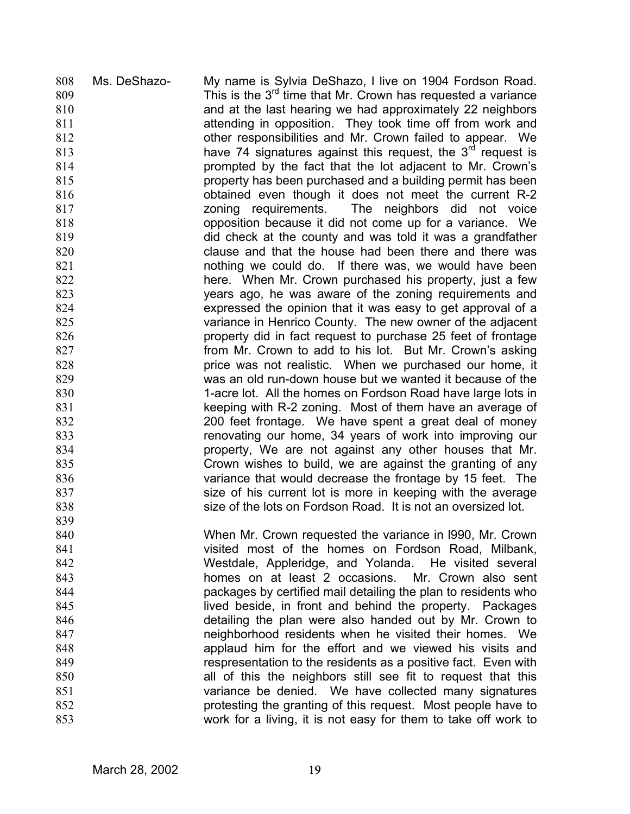Ms. DeShazo- My name is Sylvia DeShazo, I live on 1904 Fordson Road. This is the  $3<sup>rd</sup>$  time that Mr. Crown has requested a variance 808 809 810 811 812 813 814 815 816 817 818 819 820 821 822 823 824 825 826 827 828 829 830 831 832 833 834 835 836 837 838 839 840 841 842 843 844 845 846 847 848 849 850 851 852 853 and at the last hearing we had approximately 22 neighbors attending in opposition. They took time off from work and other responsibilities and Mr. Crown failed to appear. We have 74 signatures against this request, the  $3<sup>rd</sup>$  request is prompted by the fact that the lot adjacent to Mr. Crown's property has been purchased and a building permit has been obtained even though it does not meet the current R-2 zoning requirements. The neighbors did not voice opposition because it did not come up for a variance. We did check at the county and was told it was a grandfather clause and that the house had been there and there was nothing we could do. If there was, we would have been here. When Mr. Crown purchased his property, just a few years ago, he was aware of the zoning requirements and expressed the opinion that it was easy to get approval of a variance in Henrico County. The new owner of the adjacent property did in fact request to purchase 25 feet of frontage from Mr. Crown to add to his lot. But Mr. Crown's asking price was not realistic. When we purchased our home, it was an old run-down house but we wanted it because of the 1-acre lot. All the homes on Fordson Road have large lots in keeping with R-2 zoning. Most of them have an average of 200 feet frontage. We have spent a great deal of money renovating our home, 34 years of work into improving our property, We are not against any other houses that Mr. Crown wishes to build, we are against the granting of any variance that would decrease the frontage by 15 feet. The size of his current lot is more in keeping with the average size of the lots on Fordson Road. It is not an oversized lot. When Mr. Crown requested the variance in l990, Mr. Crown visited most of the homes on Fordson Road, Milbank, Westdale, Appleridge, and Yolanda. He visited several homes on at least 2 occasions. Mr. Crown also sent packages by certified mail detailing the plan to residents who lived beside, in front and behind the property. Packages detailing the plan were also handed out by Mr. Crown to neighborhood residents when he visited their homes. We applaud him for the effort and we viewed his visits and respresentation to the residents as a positive fact. Even with all of this the neighbors still see fit to request that this variance be denied. We have collected many signatures protesting the granting of this request. Most people have to work for a living, it is not easy for them to take off work to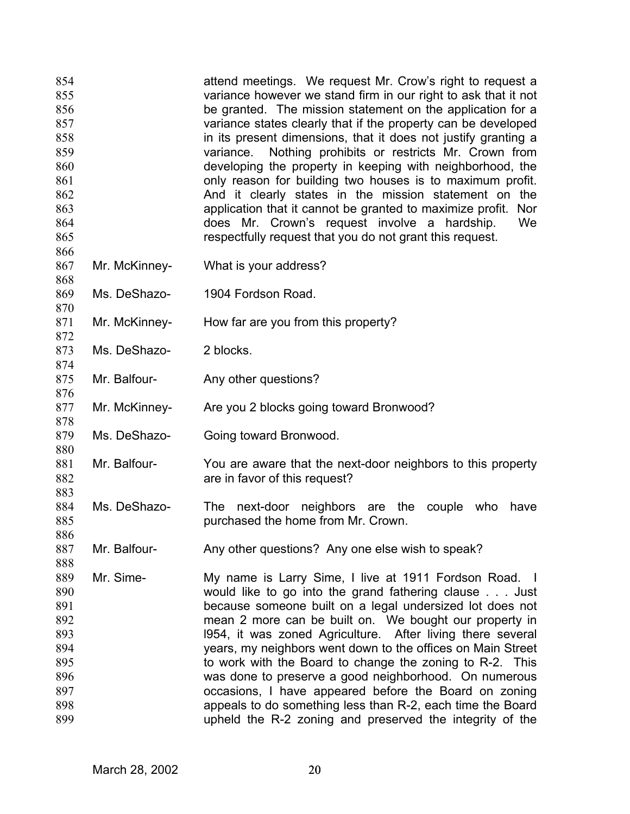| 854<br>855<br>856<br>857<br>858<br>859<br>860<br>861<br>862<br>863<br>864<br>865 |               | attend meetings. We request Mr. Crow's right to request a<br>variance however we stand firm in our right to ask that it not<br>be granted. The mission statement on the application for a<br>variance states clearly that if the property can be developed<br>in its present dimensions, that it does not justify granting a<br>Nothing prohibits or restricts Mr. Crown from<br>variance.<br>developing the property in keeping with neighborhood, the<br>only reason for building two houses is to maximum profit.<br>And it clearly states in the mission statement on the<br>application that it cannot be granted to maximize profit.<br>Nor<br>does Mr. Crown's request involve a hardship.<br>We<br>respectfully request that you do not grant this request. |
|----------------------------------------------------------------------------------|---------------|---------------------------------------------------------------------------------------------------------------------------------------------------------------------------------------------------------------------------------------------------------------------------------------------------------------------------------------------------------------------------------------------------------------------------------------------------------------------------------------------------------------------------------------------------------------------------------------------------------------------------------------------------------------------------------------------------------------------------------------------------------------------|
| 866<br>867<br>868                                                                | Mr. McKinney- | What is your address?                                                                                                                                                                                                                                                                                                                                                                                                                                                                                                                                                                                                                                                                                                                                               |
| 869<br>870                                                                       | Ms. DeShazo-  | 1904 Fordson Road.                                                                                                                                                                                                                                                                                                                                                                                                                                                                                                                                                                                                                                                                                                                                                  |
| 871<br>872                                                                       | Mr. McKinney- | How far are you from this property?                                                                                                                                                                                                                                                                                                                                                                                                                                                                                                                                                                                                                                                                                                                                 |
| 873<br>874                                                                       | Ms. DeShazo-  | 2 blocks.                                                                                                                                                                                                                                                                                                                                                                                                                                                                                                                                                                                                                                                                                                                                                           |
| 875<br>876                                                                       | Mr. Balfour-  | Any other questions?                                                                                                                                                                                                                                                                                                                                                                                                                                                                                                                                                                                                                                                                                                                                                |
| 877<br>878                                                                       | Mr. McKinney- | Are you 2 blocks going toward Bronwood?                                                                                                                                                                                                                                                                                                                                                                                                                                                                                                                                                                                                                                                                                                                             |
| 879<br>880                                                                       | Ms. DeShazo-  | Going toward Bronwood.                                                                                                                                                                                                                                                                                                                                                                                                                                                                                                                                                                                                                                                                                                                                              |
| 881<br>882<br>883                                                                | Mr. Balfour-  | You are aware that the next-door neighbors to this property<br>are in favor of this request?                                                                                                                                                                                                                                                                                                                                                                                                                                                                                                                                                                                                                                                                        |
| 884<br>885<br>886                                                                | Ms. DeShazo-  | The next-door neighbors are the<br>couple<br>who<br>have<br>purchased the home from Mr. Crown.                                                                                                                                                                                                                                                                                                                                                                                                                                                                                                                                                                                                                                                                      |
| 887<br>888                                                                       | Mr. Balfour-  | Any other questions? Any one else wish to speak?                                                                                                                                                                                                                                                                                                                                                                                                                                                                                                                                                                                                                                                                                                                    |
| 889<br>890<br>891<br>892<br>893<br>894<br>895<br>896<br>897<br>898<br>899        | Mr. Sime-     | My name is Larry Sime, I live at 1911 Fordson Road. I<br>would like to go into the grand fathering clause Just<br>because someone built on a legal undersized lot does not<br>mean 2 more can be built on. We bought our property in<br>1954, it was zoned Agriculture. After living there several<br>years, my neighbors went down to the offices on Main Street<br>to work with the Board to change the zoning to R-2. This<br>was done to preserve a good neighborhood. On numerous<br>occasions, I have appeared before the Board on zoning<br>appeals to do something less than R-2, each time the Board<br>upheld the R-2 zoning and preserved the integrity of the                                                                                           |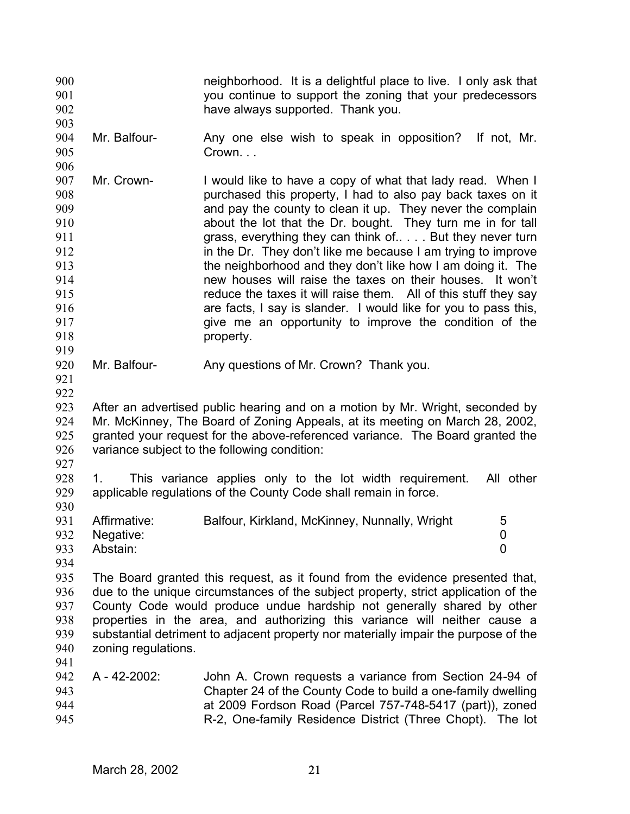| 900        |                     | neighborhood. It is a delightful place to live. I only ask that                                                                                               |  |
|------------|---------------------|---------------------------------------------------------------------------------------------------------------------------------------------------------------|--|
| 901        |                     | you continue to support the zoning that your predecessors                                                                                                     |  |
| 902        |                     | have always supported. Thank you.                                                                                                                             |  |
| 903<br>904 | Mr. Balfour-        |                                                                                                                                                               |  |
| 905        |                     | Any one else wish to speak in opposition? If not, Mr.<br>Crown                                                                                                |  |
| 906        |                     |                                                                                                                                                               |  |
| 907        | Mr. Crown-          | I would like to have a copy of what that lady read. When I                                                                                                    |  |
| 908        |                     | purchased this property, I had to also pay back taxes on it                                                                                                   |  |
| 909        |                     | and pay the county to clean it up. They never the complain                                                                                                    |  |
| 910        |                     | about the lot that the Dr. bought. They turn me in for tall                                                                                                   |  |
| 911        |                     | grass, everything they can think of But they never turn                                                                                                       |  |
| 912        |                     | in the Dr. They don't like me because I am trying to improve                                                                                                  |  |
| 913        |                     | the neighborhood and they don't like how I am doing it. The                                                                                                   |  |
| 914        |                     | new houses will raise the taxes on their houses. It won't                                                                                                     |  |
| 915        |                     | reduce the taxes it will raise them. All of this stuff they say                                                                                               |  |
| 916        |                     | are facts, I say is slander. I would like for you to pass this,                                                                                               |  |
| 917        |                     | give me an opportunity to improve the condition of the                                                                                                        |  |
| 918        |                     | property.                                                                                                                                                     |  |
| 919        |                     |                                                                                                                                                               |  |
| 920        | Mr. Balfour-        | Any questions of Mr. Crown? Thank you.                                                                                                                        |  |
| 921        |                     |                                                                                                                                                               |  |
| 922        |                     |                                                                                                                                                               |  |
| 923        |                     | After an advertised public hearing and on a motion by Mr. Wright, seconded by                                                                                 |  |
| 924<br>925 |                     | Mr. McKinney, The Board of Zoning Appeals, at its meeting on March 28, 2002,<br>granted your request for the above-referenced variance. The Board granted the |  |
| 926        |                     | variance subject to the following condition:                                                                                                                  |  |
| 927        |                     |                                                                                                                                                               |  |
| 928        | 1.                  | This variance applies only to the lot width requirement.<br>All other                                                                                         |  |
| 929        |                     | applicable regulations of the County Code shall remain in force.                                                                                              |  |
| 930        |                     |                                                                                                                                                               |  |
| 931        | Affirmative:        | Balfour, Kirkland, McKinney, Nunnally, Wright<br>5                                                                                                            |  |
| 932        | Negative:           | 0                                                                                                                                                             |  |
| 933        | Abstain:            | 0                                                                                                                                                             |  |
| 934        |                     |                                                                                                                                                               |  |
| 935        |                     | The Board granted this request, as it found from the evidence presented that,                                                                                 |  |
| 936        |                     | due to the unique circumstances of the subject property, strict application of the                                                                            |  |
| 937        |                     | County Code would produce undue hardship not generally shared by other                                                                                        |  |
| 938        |                     | properties in the area, and authorizing this variance will neither cause a                                                                                    |  |
| 939        |                     | substantial detriment to adjacent property nor materially impair the purpose of the                                                                           |  |
| 940        | zoning regulations. |                                                                                                                                                               |  |
| 941        |                     |                                                                                                                                                               |  |
| 942        | A - 42-2002:        | John A. Crown requests a variance from Section 24-94 of                                                                                                       |  |
| 943<br>944 |                     | Chapter 24 of the County Code to build a one-family dwelling<br>at 2009 Fordson Road (Parcel 757-748-5417 (part)), zoned                                      |  |
| 945        |                     | R-2, One-family Residence District (Three Chopt). The lot                                                                                                     |  |
|            |                     |                                                                                                                                                               |  |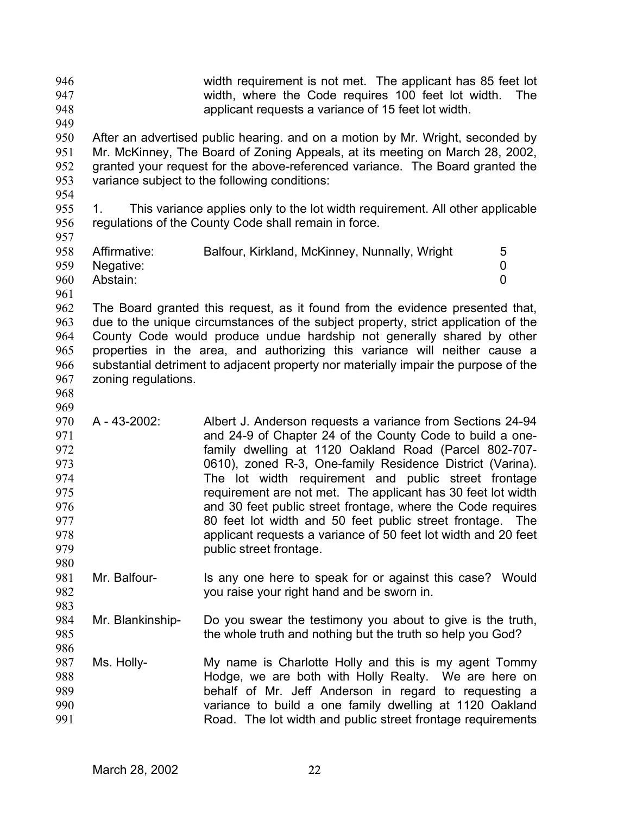| 946<br>947<br>948<br>949                                                         |                                       | width requirement is not met. The applicant has 85 feet lot<br>width, where the Code requires 100 feet lot width.<br>applicant requests a variance of 15 feet lot width.                                                                                                                                                                                                                                                                                                                                                                                                                   | <b>The</b>  |
|----------------------------------------------------------------------------------|---------------------------------------|--------------------------------------------------------------------------------------------------------------------------------------------------------------------------------------------------------------------------------------------------------------------------------------------------------------------------------------------------------------------------------------------------------------------------------------------------------------------------------------------------------------------------------------------------------------------------------------------|-------------|
| 950<br>951<br>952<br>953                                                         |                                       | After an advertised public hearing. and on a motion by Mr. Wright, seconded by<br>Mr. McKinney, The Board of Zoning Appeals, at its meeting on March 28, 2002,<br>granted your request for the above-referenced variance. The Board granted the<br>variance subject to the following conditions:                                                                                                                                                                                                                                                                                           |             |
| 954<br>955<br>956<br>957                                                         | 1.                                    | This variance applies only to the lot width requirement. All other applicable<br>regulations of the County Code shall remain in force.                                                                                                                                                                                                                                                                                                                                                                                                                                                     |             |
| 958<br>959<br>960<br>961                                                         | Affirmative:<br>Negative:<br>Abstain: | Balfour, Kirkland, McKinney, Nunnally, Wright                                                                                                                                                                                                                                                                                                                                                                                                                                                                                                                                              | 5<br>0<br>0 |
| 962<br>963<br>964<br>965<br>966<br>967<br>968                                    | zoning regulations.                   | The Board granted this request, as it found from the evidence presented that,<br>due to the unique circumstances of the subject property, strict application of the<br>County Code would produce undue hardship not generally shared by other<br>properties in the area, and authorizing this variance will neither cause a<br>substantial detriment to adjacent property nor materially impair the purpose of the                                                                                                                                                                         |             |
| 969<br>970<br>971<br>972<br>973<br>974<br>975<br>976<br>977<br>978<br>979<br>980 | A - 43-2002:                          | Albert J. Anderson requests a variance from Sections 24-94<br>and 24-9 of Chapter 24 of the County Code to build a one-<br>family dwelling at 1120 Oakland Road (Parcel 802-707-<br>0610), zoned R-3, One-family Residence District (Varina).<br>The lot width requirement and public street frontage<br>requirement are not met. The applicant has 30 feet lot width<br>and 30 feet public street frontage, where the Code requires<br>80 feet lot width and 50 feet public street frontage.<br>applicant requests a variance of 50 feet lot width and 20 feet<br>public street frontage. | The         |
| 981<br>982                                                                       | Mr. Balfour-                          | Is any one here to speak for or against this case? Would<br>you raise your right hand and be sworn in.                                                                                                                                                                                                                                                                                                                                                                                                                                                                                     |             |
| 983<br>984<br>985<br>986                                                         | Mr. Blankinship-                      | Do you swear the testimony you about to give is the truth,<br>the whole truth and nothing but the truth so help you God?                                                                                                                                                                                                                                                                                                                                                                                                                                                                   |             |
| 987<br>988<br>989<br>990<br>991                                                  | Ms. Holly-                            | My name is Charlotte Holly and this is my agent Tommy<br>Hodge, we are both with Holly Realty. We are here on<br>behalf of Mr. Jeff Anderson in regard to requesting a<br>variance to build a one family dwelling at 1120 Oakland<br>Road. The lot width and public street frontage requirements                                                                                                                                                                                                                                                                                           |             |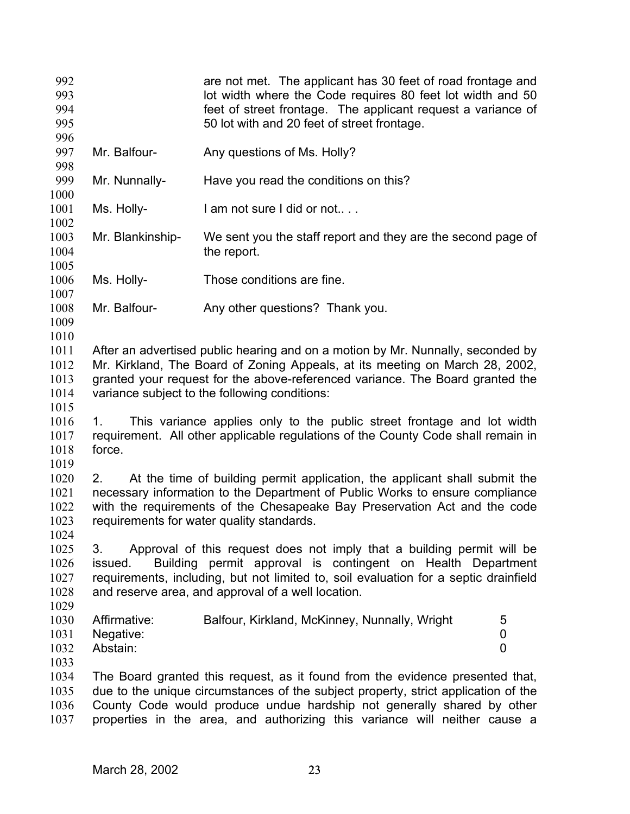| 992<br>993<br>994<br>995<br>996              |                                       | are not met. The applicant has 30 feet of road frontage and<br>lot width where the Code requires 80 feet lot width and 50<br>feet of street frontage. The applicant request a variance of<br>50 lot with and 20 feet of street frontage.                                                                                    |
|----------------------------------------------|---------------------------------------|-----------------------------------------------------------------------------------------------------------------------------------------------------------------------------------------------------------------------------------------------------------------------------------------------------------------------------|
| 997<br>998                                   | Mr. Balfour-                          | Any questions of Ms. Holly?                                                                                                                                                                                                                                                                                                 |
| 999<br>1000                                  | Mr. Nunnally-                         | Have you read the conditions on this?                                                                                                                                                                                                                                                                                       |
| 1001<br>1002                                 | Ms. Holly-                            | I am not sure I did or not                                                                                                                                                                                                                                                                                                  |
| 1003<br>1004                                 | Mr. Blankinship-                      | We sent you the staff report and they are the second page of<br>the report.                                                                                                                                                                                                                                                 |
| 1005<br>1006<br>1007                         | Ms. Holly-                            | Those conditions are fine.                                                                                                                                                                                                                                                                                                  |
| 1008<br>1009<br>1010                         | Mr. Balfour-                          | Any other questions? Thank you.                                                                                                                                                                                                                                                                                             |
| 1011<br>1012<br>1013<br>1014<br>1015<br>1016 |                                       | After an advertised public hearing and on a motion by Mr. Nunnally, seconded by<br>Mr. Kirkland, The Board of Zoning Appeals, at its meeting on March 28, 2002,<br>granted your request for the above-referenced variance. The Board granted the<br>variance subject to the following conditions:                           |
| 1017<br>1018<br>1019                         | 1.<br>force.                          | This variance applies only to the public street frontage and lot width<br>requirement. All other applicable regulations of the County Code shall remain in                                                                                                                                                                  |
| 1020<br>1021<br>1022<br>1023<br>1024         | 2.                                    | At the time of building permit application, the applicant shall submit the<br>necessary information to the Department of Public Works to ensure compliance<br>with the requirements of the Chesapeake Bay Preservation Act and the code<br>requirements for water quality standards.                                        |
| 1025<br>1026<br>1027<br>1028<br>1029         | 3.<br>issued.                         | Approval of this request does not imply that a building permit will be<br>Building permit approval is contingent on Health Department<br>requirements, including, but not limited to, soil evaluation for a septic drainfield<br>and reserve area, and approval of a well location.                                         |
| 1030<br>1031<br>1032<br>1033                 | Affirmative:<br>Negative:<br>Abstain: | Balfour, Kirkland, McKinney, Nunnally, Wright<br>5<br>0<br>0                                                                                                                                                                                                                                                                |
| 1034<br>1035<br>1036<br>1037                 |                                       | The Board granted this request, as it found from the evidence presented that,<br>due to the unique circumstances of the subject property, strict application of the<br>County Code would produce undue hardship not generally shared by other<br>properties in the area, and authorizing this variance will neither cause a |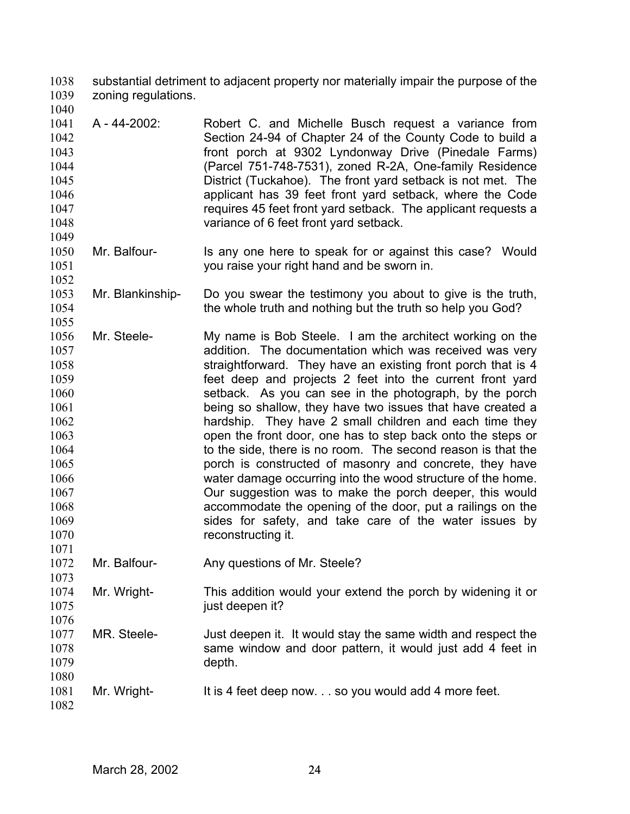substantial detriment to adjacent property nor materially impair the purpose of the zoning regulations. 1038 1039

- 1041 1042 1043 1044 1045 1046 1047 1048 A - 44-2002: Robert C. and Michelle Busch request a variance from Section 24-94 of Chapter 24 of the County Code to build a front porch at 9302 Lyndonway Drive (Pinedale Farms) (Parcel 751-748-7531), zoned R-2A, One-family Residence District (Tuckahoe). The front yard setback is not met. The applicant has 39 feet front yard setback, where the Code requires 45 feet front yard setback. The applicant requests a variance of 6 feet front yard setback.
- 1050 1051 1052 Mr. Balfour- Is any one here to speak for or against this case? Would you raise your right hand and be sworn in.
- 1053 1054 Mr. Blankinship- Do you swear the testimony you about to give is the truth, the whole truth and nothing but the truth so help you God?
- 1056 1057 1058 1059 1060 1061 1062 1063 1064 1065 1066 1067 1068 1069 1070 Mr. Steele- My name is Bob Steele. I am the architect working on the addition. The documentation which was received was very straightforward. They have an existing front porch that is 4 feet deep and projects 2 feet into the current front yard setback. As you can see in the photograph, by the porch being so shallow, they have two issues that have created a hardship. They have 2 small children and each time they open the front door, one has to step back onto the steps or to the side, there is no room. The second reason is that the porch is constructed of masonry and concrete, they have water damage occurring into the wood structure of the home. Our suggestion was to make the porch deeper, this would accommodate the opening of the door, put a railings on the sides for safety, and take care of the water issues by reconstructing it.
- 1072 Mr. Balfour- Any questions of Mr. Steele?
- 1074 1075 1076 Mr. Wright- This addition would your extend the porch by widening it or just deepen it?
- 1077 1078 1079 MR. Steele- Just deepen it. It would stay the same width and respect the same window and door pattern, it would just add 4 feet in depth.
- 1081 Mr. Wright- It is 4 feet deep now. . . so you would add 4 more feet.

1082

1080

1071

1073

1040

1049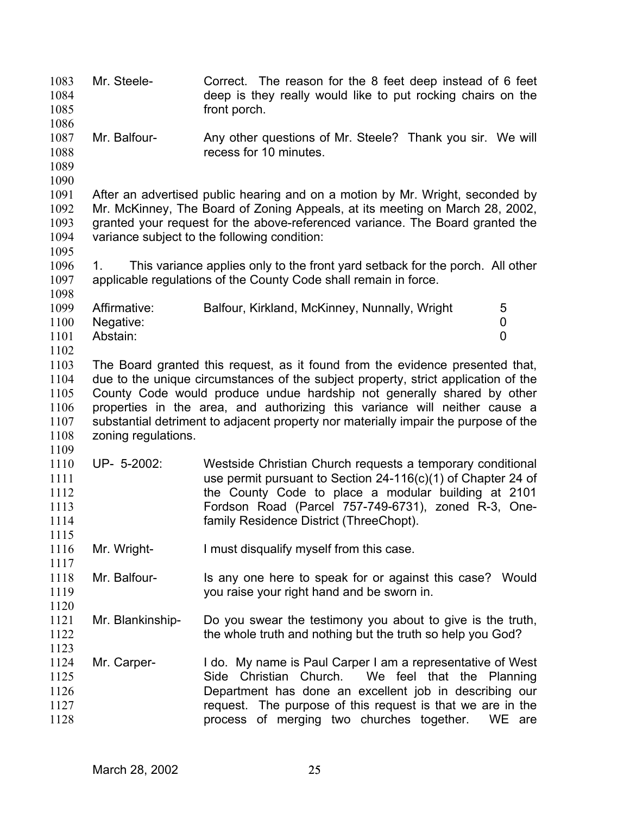Mr. Steele- Correct. The reason for the 8 feet deep instead of 6 feet deep is they really would like to put rocking chairs on the front porch. 1083 1084 1085 1086 1087 1088 1089 1090 1091 1092 1093 1094 1095 1096 1097 1098 1099 1100 1101 1102 1103 1104 1105 1106 1107 1108 1109 1110 1111 1112 1113 1114 1115 1116 1117 1118 1119 1120 1121 1122 1123 1124 1125 1126 1127 1128 Mr. Balfour- Any other questions of Mr. Steele? Thank you sir. We will recess for 10 minutes. After an advertised public hearing and on a motion by Mr. Wright, seconded by Mr. McKinney, The Board of Zoning Appeals, at its meeting on March 28, 2002, granted your request for the above-referenced variance. The Board granted the variance subject to the following condition: 1. This variance applies only to the front yard setback for the porch. All other applicable regulations of the County Code shall remain in force. Affirmative: Balfour, Kirkland, McKinney, Nunnally, Wright 5 Negative: 0 Abstain: 0 The Board granted this request, as it found from the evidence presented that, due to the unique circumstances of the subject property, strict application of the County Code would produce undue hardship not generally shared by other properties in the area, and authorizing this variance will neither cause a substantial detriment to adjacent property nor materially impair the purpose of the zoning regulations. UP- 5-2002: Westside Christian Church requests a temporary conditional use permit pursuant to Section 24-116(c)(1) of Chapter 24 of the County Code to place a modular building at 2101 Fordson Road (Parcel 757-749-6731), zoned R-3, Onefamily Residence District (ThreeChopt). Mr. Wright- I must disqualify myself from this case. Mr. Balfour- Is any one here to speak for or against this case? Would you raise your right hand and be sworn in. Mr. Blankinship- Do you swear the testimony you about to give is the truth, the whole truth and nothing but the truth so help you God? Mr. Carper- I do. My name is Paul Carper I am a representative of West Side Christian Church. We feel that the Planning Department has done an excellent job in describing our request. The purpose of this request is that we are in the process of merging two churches together. WE are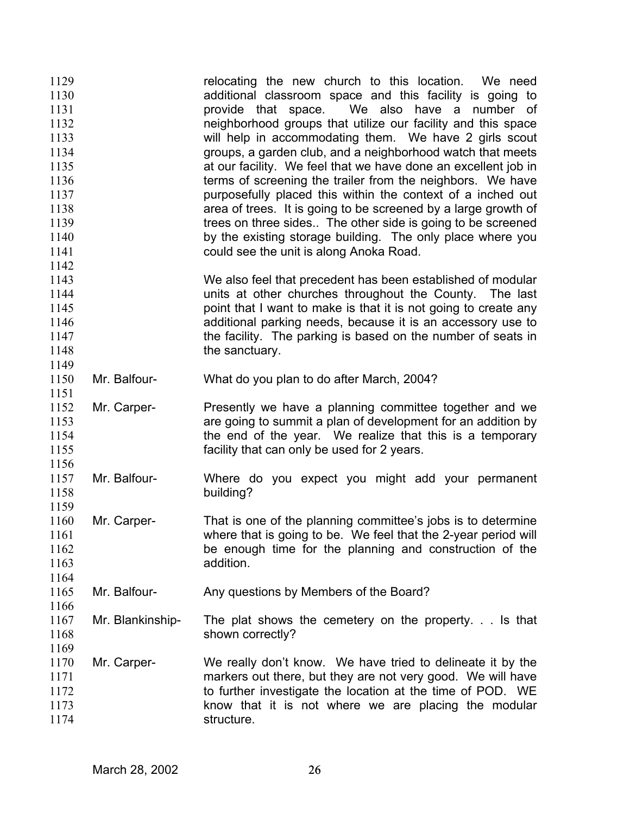| 1129 |                  | relocating the new church to this location. We need             |
|------|------------------|-----------------------------------------------------------------|
| 1130 |                  | additional classroom space and this facility is going to        |
| 1131 |                  | provide that space. We also have a number of                    |
| 1132 |                  | neighborhood groups that utilize our facility and this space    |
| 1133 |                  | will help in accommodating them. We have 2 girls scout          |
| 1134 |                  | groups, a garden club, and a neighborhood watch that meets      |
| 1135 |                  | at our facility. We feel that we have done an excellent job in  |
| 1136 |                  | terms of screening the trailer from the neighbors. We have      |
| 1137 |                  | purposefully placed this within the context of a inched out     |
|      |                  |                                                                 |
| 1138 |                  | area of trees. It is going to be screened by a large growth of  |
| 1139 |                  | trees on three sides The other side is going to be screened     |
| 1140 |                  | by the existing storage building. The only place where you      |
| 1141 |                  | could see the unit is along Anoka Road.                         |
| 1142 |                  |                                                                 |
| 1143 |                  | We also feel that precedent has been established of modular     |
| 1144 |                  | units at other churches throughout the County. The last         |
| 1145 |                  | point that I want to make is that it is not going to create any |
| 1146 |                  | additional parking needs, because it is an accessory use to     |
| 1147 |                  | the facility. The parking is based on the number of seats in    |
| 1148 |                  | the sanctuary.                                                  |
| 1149 |                  |                                                                 |
| 1150 | Mr. Balfour-     | What do you plan to do after March, 2004?                       |
| 1151 |                  |                                                                 |
|      |                  |                                                                 |
| 1152 | Mr. Carper-      | Presently we have a planning committee together and we          |
| 1153 |                  | are going to summit a plan of development for an addition by    |
| 1154 |                  | the end of the year. We realize that this is a temporary        |
| 1155 |                  | facility that can only be used for 2 years.                     |
| 1156 |                  |                                                                 |
| 1157 | Mr. Balfour-     | Where do you expect you might add your permanent                |
| 1158 |                  | building?                                                       |
| 1159 |                  |                                                                 |
| 1160 | Mr. Carper-      | That is one of the planning committee's jobs is to determine    |
| 1161 |                  | where that is going to be. We feel that the 2-year period will  |
| 1162 |                  | be enough time for the planning and construction of the         |
| 1163 |                  | addition.                                                       |
| 1164 |                  |                                                                 |
| 1165 | Mr. Balfour-     | Any questions by Members of the Board?                          |
| 1166 |                  |                                                                 |
|      |                  |                                                                 |
| 1167 | Mr. Blankinship- | The plat shows the cemetery on the property. $\ldots$ is that   |
| 1168 |                  | shown correctly?                                                |
| 1169 |                  |                                                                 |
| 1170 | Mr. Carper-      | We really don't know. We have tried to delineate it by the      |
| 1171 |                  | markers out there, but they are not very good. We will have     |
| 1172 |                  | to further investigate the location at the time of POD. WE      |
| 1173 |                  | know that it is not where we are placing the modular            |
| 1174 |                  | structure.                                                      |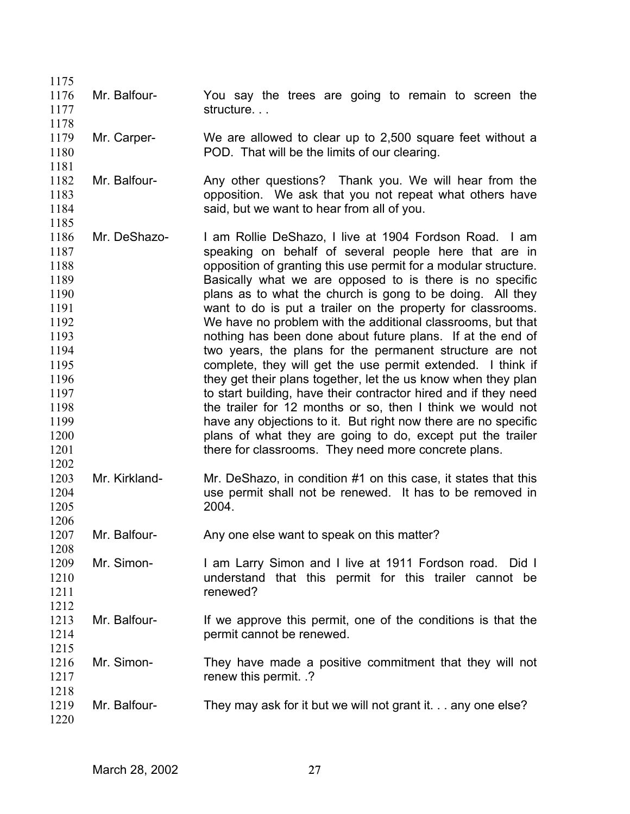| 1175<br>1176<br>1177<br>1178                                                                                                         | Mr. Balfour-  | You say the trees are going to remain to screen the<br>structure                                                                                                                                                                                                                                                                                                                                                                                                                                                                                                                                                                                                                                                                                                                                                                                                                                                                                                                                                             |
|--------------------------------------------------------------------------------------------------------------------------------------|---------------|------------------------------------------------------------------------------------------------------------------------------------------------------------------------------------------------------------------------------------------------------------------------------------------------------------------------------------------------------------------------------------------------------------------------------------------------------------------------------------------------------------------------------------------------------------------------------------------------------------------------------------------------------------------------------------------------------------------------------------------------------------------------------------------------------------------------------------------------------------------------------------------------------------------------------------------------------------------------------------------------------------------------------|
| 1179<br>1180<br>1181                                                                                                                 | Mr. Carper-   | We are allowed to clear up to 2,500 square feet without a<br>POD. That will be the limits of our clearing.                                                                                                                                                                                                                                                                                                                                                                                                                                                                                                                                                                                                                                                                                                                                                                                                                                                                                                                   |
| 1182<br>1183<br>1184<br>1185                                                                                                         | Mr. Balfour-  | Any other questions? Thank you. We will hear from the<br>opposition. We ask that you not repeat what others have<br>said, but we want to hear from all of you.                                                                                                                                                                                                                                                                                                                                                                                                                                                                                                                                                                                                                                                                                                                                                                                                                                                               |
| 1186<br>1187<br>1188<br>1189<br>1190<br>1191<br>1192<br>1193<br>1194<br>1195<br>1196<br>1197<br>1198<br>1199<br>1200<br>1201<br>1202 | Mr. DeShazo-  | I am Rollie DeShazo, I live at 1904 Fordson Road. I am<br>speaking on behalf of several people here that are in<br>opposition of granting this use permit for a modular structure.<br>Basically what we are opposed to is there is no specific<br>plans as to what the church is gong to be doing. All they<br>want to do is put a trailer on the property for classrooms.<br>We have no problem with the additional classrooms, but that<br>nothing has been done about future plans. If at the end of<br>two years, the plans for the permanent structure are not<br>complete, they will get the use permit extended. I think if<br>they get their plans together, let the us know when they plan<br>to start building, have their contractor hired and if they need<br>the trailer for 12 months or so, then I think we would not<br>have any objections to it. But right now there are no specific<br>plans of what they are going to do, except put the trailer<br>there for classrooms. They need more concrete plans. |
| 1203<br>1204<br>1205<br>1206                                                                                                         | Mr. Kirkland- | Mr. DeShazo, in condition #1 on this case, it states that this<br>use permit shall not be renewed. It has to be removed in<br>2004.                                                                                                                                                                                                                                                                                                                                                                                                                                                                                                                                                                                                                                                                                                                                                                                                                                                                                          |
| 1207<br>1208                                                                                                                         | Mr. Balfour-  | Any one else want to speak on this matter?                                                                                                                                                                                                                                                                                                                                                                                                                                                                                                                                                                                                                                                                                                                                                                                                                                                                                                                                                                                   |
| 1209<br>1210<br>1211<br>1212                                                                                                         | Mr. Simon-    | I am Larry Simon and I live at 1911 Fordson road. Did I<br>understand that this permit for this trailer cannot be<br>renewed?                                                                                                                                                                                                                                                                                                                                                                                                                                                                                                                                                                                                                                                                                                                                                                                                                                                                                                |
| 1213<br>1214<br>1215                                                                                                                 | Mr. Balfour-  | If we approve this permit, one of the conditions is that the<br>permit cannot be renewed.                                                                                                                                                                                                                                                                                                                                                                                                                                                                                                                                                                                                                                                                                                                                                                                                                                                                                                                                    |
| 1216<br>1217<br>1218                                                                                                                 | Mr. Simon-    | They have made a positive commitment that they will not<br>renew this permit. .?                                                                                                                                                                                                                                                                                                                                                                                                                                                                                                                                                                                                                                                                                                                                                                                                                                                                                                                                             |
| 1219<br>1220                                                                                                                         | Mr. Balfour-  | They may ask for it but we will not grant it. any one else?                                                                                                                                                                                                                                                                                                                                                                                                                                                                                                                                                                                                                                                                                                                                                                                                                                                                                                                                                                  |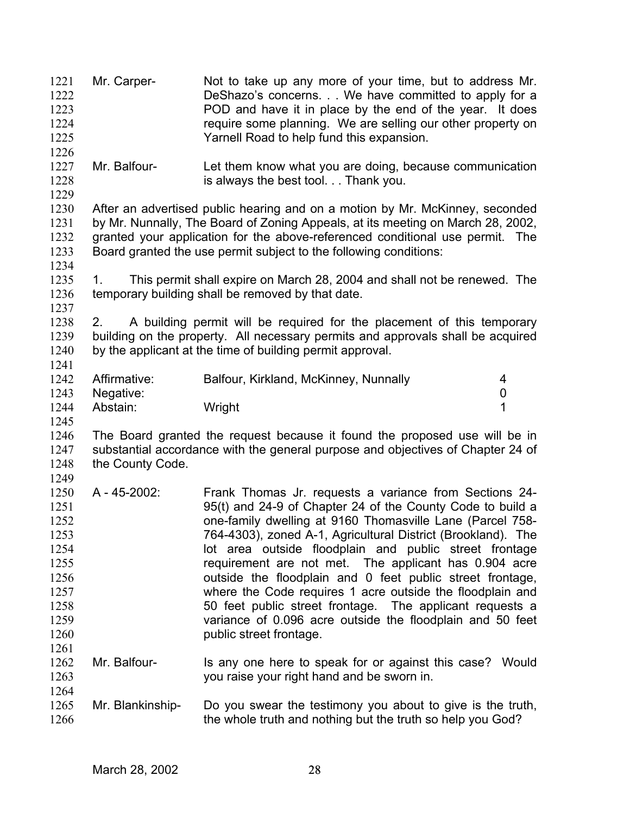Mr. Carper- Not to take up any more of your time, but to address Mr. DeShazo's concerns. . . We have committed to apply for a POD and have it in place by the end of the year. It does require some planning. We are selling our other property on Yarnell Road to help fund this expansion. 1221 1222 1223 1224 1225 1226 1227 1228 1229 1230 1231 1232 1233 1234 1235 1236 1237 1238 1239 1240 1241 1242 1243 1244 1245 1246 1247 1248 1249 1250 1251 1252 1253 1254 1255 1256 1257 1258 1259 1260 1261 1262 1263 1264 1265 1266 Mr. Balfour- Let them know what you are doing, because communication is always the best tool. . . Thank you. After an advertised public hearing and on a motion by Mr. McKinney, seconded by Mr. Nunnally, The Board of Zoning Appeals, at its meeting on March 28, 2002, granted your application for the above-referenced conditional use permit. The Board granted the use permit subject to the following conditions: 1. This permit shall expire on March 28, 2004 and shall not be renewed. The temporary building shall be removed by that date. 2. A building permit will be required for the placement of this temporary building on the property. All necessary permits and approvals shall be acquired by the applicant at the time of building permit approval. Affirmative: Balfour, Kirkland, McKinney, Nunnally 4 Negative: 0 Abstain: Wright 1 The Board granted the request because it found the proposed use will be in substantial accordance with the general purpose and objectives of Chapter 24 of the County Code. A - 45-2002: Frank Thomas Jr. requests a variance from Sections 24- 95(t) and 24-9 of Chapter 24 of the County Code to build a one-family dwelling at 9160 Thomasville Lane (Parcel 758- 764-4303), zoned A-1, Agricultural District (Brookland). The lot area outside floodplain and public street frontage requirement are not met. The applicant has 0.904 acre outside the floodplain and 0 feet public street frontage, where the Code requires 1 acre outside the floodplain and 50 feet public street frontage. The applicant requests a variance of 0.096 acre outside the floodplain and 50 feet public street frontage. Mr. Balfour- Is any one here to speak for or against this case? Would you raise your right hand and be sworn in. Mr. Blankinship- Do you swear the testimony you about to give is the truth, the whole truth and nothing but the truth so help you God?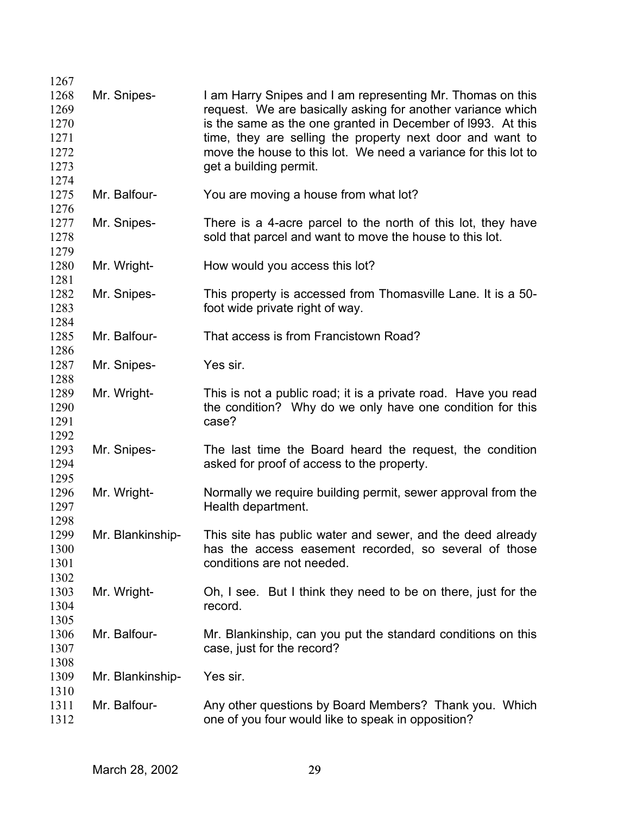| 1267 |                  |                                                                |
|------|------------------|----------------------------------------------------------------|
| 1268 | Mr. Snipes-      | I am Harry Snipes and I am representing Mr. Thomas on this     |
| 1269 |                  | request. We are basically asking for another variance which    |
| 1270 |                  | is the same as the one granted in December of 1993. At this    |
| 1271 |                  | time, they are selling the property next door and want to      |
| 1272 |                  | move the house to this lot. We need a variance for this lot to |
| 1273 |                  |                                                                |
| 1274 |                  | get a building permit.                                         |
|      |                  |                                                                |
| 1275 | Mr. Balfour-     | You are moving a house from what lot?                          |
| 1276 |                  |                                                                |
| 1277 | Mr. Snipes-      | There is a 4-acre parcel to the north of this lot, they have   |
| 1278 |                  | sold that parcel and want to move the house to this lot.       |
| 1279 |                  |                                                                |
| 1280 | Mr. Wright-      | How would you access this lot?                                 |
| 1281 |                  |                                                                |
| 1282 | Mr. Snipes-      | This property is accessed from Thomasville Lane. It is a 50-   |
| 1283 |                  | foot wide private right of way.                                |
| 1284 |                  |                                                                |
| 1285 | Mr. Balfour-     | That access is from Francistown Road?                          |
| 1286 |                  |                                                                |
| 1287 | Mr. Snipes-      | Yes sir.                                                       |
| 1288 |                  |                                                                |
| 1289 | Mr. Wright-      | This is not a public road; it is a private road. Have you read |
|      |                  |                                                                |
| 1290 |                  | the condition? Why do we only have one condition for this      |
| 1291 |                  | case?                                                          |
| 1292 |                  |                                                                |
| 1293 | Mr. Snipes-      | The last time the Board heard the request, the condition       |
| 1294 |                  | asked for proof of access to the property.                     |
| 1295 |                  |                                                                |
| 1296 | Mr. Wright-      | Normally we require building permit, sewer approval from the   |
| 1297 |                  | Health department.                                             |
| 1298 |                  |                                                                |
| 1299 | Mr. Blankinship- | This site has public water and sewer, and the deed already     |
| 1300 |                  | has the access easement recorded, so several of those          |
| 1301 |                  | conditions are not needed.                                     |
| 1302 |                  |                                                                |
| 1303 | Mr. Wright-      | Oh, I see. But I think they need to be on there, just for the  |
| 1304 |                  | record.                                                        |
| 1305 |                  |                                                                |
|      |                  |                                                                |
| 1306 | Mr. Balfour-     | Mr. Blankinship, can you put the standard conditions on this   |
| 1307 |                  | case, just for the record?                                     |
| 1308 |                  |                                                                |
| 1309 | Mr. Blankinship- | Yes sir.                                                       |
| 1310 |                  |                                                                |
| 1311 | Mr. Balfour-     | Any other questions by Board Members? Thank you. Which         |
| 1312 |                  | one of you four would like to speak in opposition?             |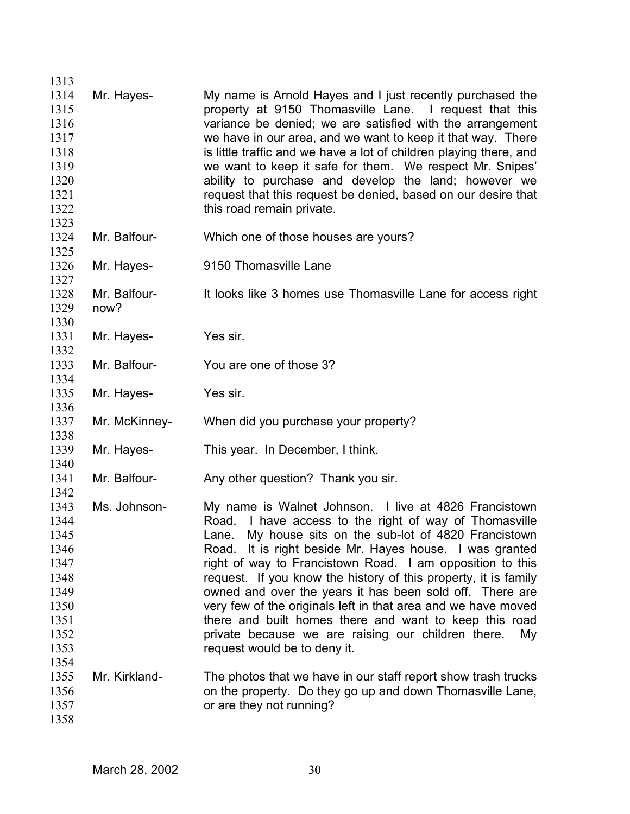| 1313 |               |                                                                    |
|------|---------------|--------------------------------------------------------------------|
| 1314 | Mr. Hayes-    | My name is Arnold Hayes and I just recently purchased the          |
| 1315 |               | property at 9150 Thomasville Lane. I request that this             |
| 1316 |               | variance be denied; we are satisfied with the arrangement          |
| 1317 |               | we have in our area, and we want to keep it that way. There        |
| 1318 |               | is little traffic and we have a lot of children playing there, and |
| 1319 |               | we want to keep it safe for them. We respect Mr. Snipes'           |
| 1320 |               | ability to purchase and develop the land; however we               |
| 1321 |               | request that this request be denied, based on our desire that      |
| 1322 |               | this road remain private.                                          |
| 1323 |               |                                                                    |
|      |               |                                                                    |
| 1324 | Mr. Balfour-  | Which one of those houses are yours?                               |
| 1325 |               |                                                                    |
| 1326 | Mr. Hayes-    | 9150 Thomasville Lane                                              |
| 1327 |               |                                                                    |
| 1328 | Mr. Balfour-  | It looks like 3 homes use Thomasville Lane for access right        |
| 1329 | now?          |                                                                    |
| 1330 |               |                                                                    |
| 1331 | Mr. Hayes-    | Yes sir.                                                           |
| 1332 |               |                                                                    |
| 1333 | Mr. Balfour-  | You are one of those 3?                                            |
| 1334 |               |                                                                    |
| 1335 | Mr. Hayes-    | Yes sir.                                                           |
| 1336 |               |                                                                    |
| 1337 | Mr. McKinney- | When did you purchase your property?                               |
| 1338 |               |                                                                    |
| 1339 | Mr. Hayes-    | This year. In December, I think.                                   |
| 1340 |               |                                                                    |
| 1341 | Mr. Balfour-  | Any other question? Thank you sir.                                 |
| 1342 |               |                                                                    |
| 1343 | Ms. Johnson-  | My name is Walnet Johnson. I live at 4826 Francistown              |
| 1344 |               | Road. I have access to the right of way of Thomasville             |
| 1345 |               | Lane. My house sits on the sub-lot of 4820 Francistown             |
| 1346 |               | Road. It is right beside Mr. Hayes house. I was granted            |
| 1347 |               | right of way to Francistown Road. I am opposition to this          |
| 1348 |               | request. If you know the history of this property, it is family    |
| 1349 |               | owned and over the years it has been sold off. There are           |
| 1350 |               | very few of the originals left in that area and we have moved      |
| 1351 |               | there and built homes there and want to keep this road             |
| 1352 |               | private because we are raising our children there.<br>My           |
| 1353 |               | request would be to deny it.                                       |
| 1354 |               |                                                                    |
| 1355 | Mr. Kirkland- | The photos that we have in our staff report show trash trucks      |
| 1356 |               | on the property. Do they go up and down Thomasville Lane,          |
| 1357 |               | or are they not running?                                           |
| 1358 |               |                                                                    |
|      |               |                                                                    |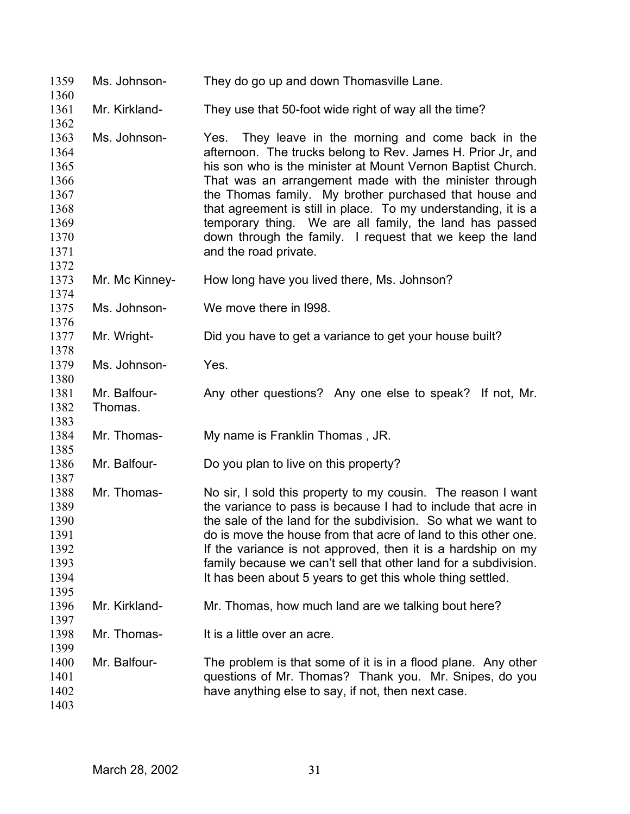| 1359<br>1360                                                                 | Ms. Johnson-            | They do go up and down Thomasville Lane.                                                                                                                                                                                                                                                                                                                                                                                                                                                                                |
|------------------------------------------------------------------------------|-------------------------|-------------------------------------------------------------------------------------------------------------------------------------------------------------------------------------------------------------------------------------------------------------------------------------------------------------------------------------------------------------------------------------------------------------------------------------------------------------------------------------------------------------------------|
| 1361<br>1362                                                                 | Mr. Kirkland-           | They use that 50-foot wide right of way all the time?                                                                                                                                                                                                                                                                                                                                                                                                                                                                   |
| 1363<br>1364<br>1365<br>1366<br>1367<br>1368<br>1369<br>1370<br>1371<br>1372 | Ms. Johnson-            | Yes. They leave in the morning and come back in the<br>afternoon. The trucks belong to Rev. James H. Prior Jr, and<br>his son who is the minister at Mount Vernon Baptist Church.<br>That was an arrangement made with the minister through<br>the Thomas family. My brother purchased that house and<br>that agreement is still in place. To my understanding, it is a<br>temporary thing. We are all family, the land has passed<br>down through the family. I request that we keep the land<br>and the road private. |
| 1373<br>1374                                                                 | Mr. Mc Kinney-          | How long have you lived there, Ms. Johnson?                                                                                                                                                                                                                                                                                                                                                                                                                                                                             |
| 1375<br>1376                                                                 | Ms. Johnson-            | We move there in 1998.                                                                                                                                                                                                                                                                                                                                                                                                                                                                                                  |
| 1377<br>1378                                                                 | Mr. Wright-             | Did you have to get a variance to get your house built?                                                                                                                                                                                                                                                                                                                                                                                                                                                                 |
| 1379<br>1380                                                                 | Ms. Johnson-            | Yes.                                                                                                                                                                                                                                                                                                                                                                                                                                                                                                                    |
| 1381<br>1382<br>1383                                                         | Mr. Balfour-<br>Thomas. | Any other questions? Any one else to speak? If not, Mr.                                                                                                                                                                                                                                                                                                                                                                                                                                                                 |
| 1384<br>1385                                                                 | Mr. Thomas-             | My name is Franklin Thomas, JR.                                                                                                                                                                                                                                                                                                                                                                                                                                                                                         |
| 1386<br>1387                                                                 | Mr. Balfour-            | Do you plan to live on this property?                                                                                                                                                                                                                                                                                                                                                                                                                                                                                   |
| 1388<br>1389<br>1390<br>1391<br>1392<br>1393<br>1394<br>1395                 | Mr. Thomas-             | No sir, I sold this property to my cousin. The reason I want<br>the variance to pass is because I had to include that acre in<br>the sale of the land for the subdivision. So what we want to<br>do is move the house from that acre of land to this other one.<br>If the variance is not approved, then it is a hardship on my<br>family because we can't sell that other land for a subdivision.<br>It has been about 5 years to get this whole thing settled.                                                        |
| 1396<br>1397                                                                 | Mr. Kirkland-           | Mr. Thomas, how much land are we talking bout here?                                                                                                                                                                                                                                                                                                                                                                                                                                                                     |
| 1398<br>1399                                                                 | Mr. Thomas-             | It is a little over an acre.                                                                                                                                                                                                                                                                                                                                                                                                                                                                                            |
| 1400<br>1401<br>1402<br>1403                                                 | Mr. Balfour-            | The problem is that some of it is in a flood plane. Any other<br>questions of Mr. Thomas? Thank you. Mr. Snipes, do you<br>have anything else to say, if not, then next case.                                                                                                                                                                                                                                                                                                                                           |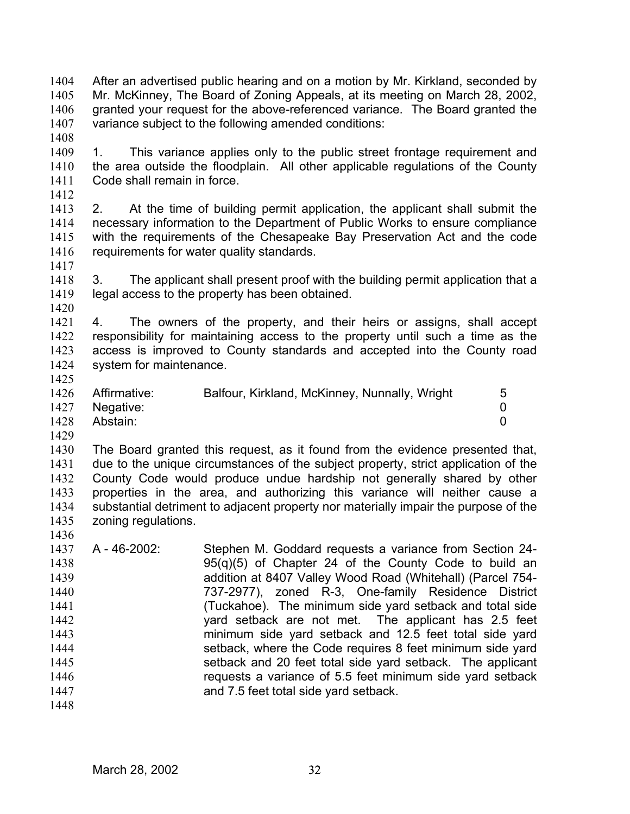After an advertised public hearing and on a motion by Mr. Kirkland, seconded by Mr. McKinney, The Board of Zoning Appeals, at its meeting on March 28, 2002, granted your request for the above-referenced variance. The Board granted the variance subject to the following amended conditions: 1404 1405 1406 1407

1408

1409 1410 1411 1. This variance applies only to the public street frontage requirement and the area outside the floodplain. All other applicable regulations of the County Code shall remain in force.

1412

1413 1414 1415 1416 1417 2. At the time of building permit application, the applicant shall submit the necessary information to the Department of Public Works to ensure compliance with the requirements of the Chesapeake Bay Preservation Act and the code requirements for water quality standards.

1418 1419 3. The applicant shall present proof with the building permit application that a legal access to the property has been obtained.

1420

1421 1422 1423 1424 4. The owners of the property, and their heirs or assigns, shall accept responsibility for maintaining access to the property until such a time as the access is improved to County standards and accepted into the County road system for maintenance.

1425

1426 1427 Affirmative: Balfour, Kirkland, McKinney, Nunnally, Wright 5 Negative: 0

1428 Abstain: 0

1429

1436

1430 1431 1432 1433 1434 1435 The Board granted this request, as it found from the evidence presented that, due to the unique circumstances of the subject property, strict application of the County Code would produce undue hardship not generally shared by other properties in the area, and authorizing this variance will neither cause a substantial detriment to adjacent property nor materially impair the purpose of the zoning regulations.

1437 1438 1439 1440 1441 1442 1443 1444 1445 1446 1447 A - 46-2002: Stephen M. Goddard requests a variance from Section 24- 95(q)(5) of Chapter 24 of the County Code to build an addition at 8407 Valley Wood Road (Whitehall) (Parcel 754- 737-2977), zoned R-3, One-family Residence District (Tuckahoe). The minimum side yard setback and total side yard setback are not met. The applicant has 2.5 feet minimum side yard setback and 12.5 feet total side yard setback, where the Code requires 8 feet minimum side yard setback and 20 feet total side yard setback. The applicant requests a variance of 5.5 feet minimum side yard setback and 7.5 feet total side yard setback.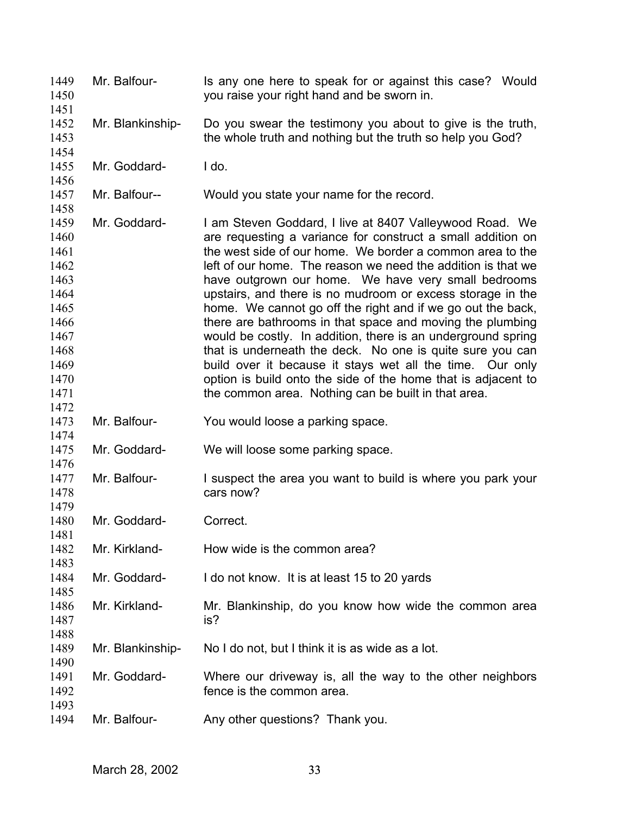| 1449<br>1450<br>1451                                                                                         | Mr. Balfour-     | Is any one here to speak for or against this case? Would<br>you raise your right hand and be sworn in.                                                                                                                                                                                                                                                                                                                                                                                                                                                                                                                                                                                                                                                                                                                 |
|--------------------------------------------------------------------------------------------------------------|------------------|------------------------------------------------------------------------------------------------------------------------------------------------------------------------------------------------------------------------------------------------------------------------------------------------------------------------------------------------------------------------------------------------------------------------------------------------------------------------------------------------------------------------------------------------------------------------------------------------------------------------------------------------------------------------------------------------------------------------------------------------------------------------------------------------------------------------|
| 1452<br>1453<br>1454                                                                                         | Mr. Blankinship- | Do you swear the testimony you about to give is the truth,<br>the whole truth and nothing but the truth so help you God?                                                                                                                                                                                                                                                                                                                                                                                                                                                                                                                                                                                                                                                                                               |
| 1455<br>1456                                                                                                 | Mr. Goddard-     | I do.                                                                                                                                                                                                                                                                                                                                                                                                                                                                                                                                                                                                                                                                                                                                                                                                                  |
| 1457<br>1458                                                                                                 | Mr. Balfour--    | Would you state your name for the record.                                                                                                                                                                                                                                                                                                                                                                                                                                                                                                                                                                                                                                                                                                                                                                              |
| 1459<br>1460<br>1461<br>1462<br>1463<br>1464<br>1465<br>1466<br>1467<br>1468<br>1469<br>1470<br>1471<br>1472 | Mr. Goddard-     | I am Steven Goddard, I live at 8407 Valleywood Road. We<br>are requesting a variance for construct a small addition on<br>the west side of our home. We border a common area to the<br>left of our home. The reason we need the addition is that we<br>have outgrown our home. We have very small bedrooms<br>upstairs, and there is no mudroom or excess storage in the<br>home. We cannot go off the right and if we go out the back,<br>there are bathrooms in that space and moving the plumbing<br>would be costly. In addition, there is an underground spring<br>that is underneath the deck. No one is quite sure you can<br>build over it because it stays wet all the time. Our only<br>option is build onto the side of the home that is adjacent to<br>the common area. Nothing can be built in that area. |
| 1473<br>1474                                                                                                 | Mr. Balfour-     | You would loose a parking space.                                                                                                                                                                                                                                                                                                                                                                                                                                                                                                                                                                                                                                                                                                                                                                                       |
| 1475<br>1476                                                                                                 | Mr. Goddard-     | We will loose some parking space.                                                                                                                                                                                                                                                                                                                                                                                                                                                                                                                                                                                                                                                                                                                                                                                      |
| 1477<br>1478<br>1479                                                                                         | Mr. Balfour-     | I suspect the area you want to build is where you park your<br>cars now?                                                                                                                                                                                                                                                                                                                                                                                                                                                                                                                                                                                                                                                                                                                                               |
| 1480<br>1481                                                                                                 | Mr. Goddard-     | Correct.                                                                                                                                                                                                                                                                                                                                                                                                                                                                                                                                                                                                                                                                                                                                                                                                               |
| 1482<br>1483                                                                                                 | Mr. Kirkland-    | How wide is the common area?                                                                                                                                                                                                                                                                                                                                                                                                                                                                                                                                                                                                                                                                                                                                                                                           |
| 1484<br>1485                                                                                                 | Mr. Goddard-     | I do not know. It is at least 15 to 20 yards                                                                                                                                                                                                                                                                                                                                                                                                                                                                                                                                                                                                                                                                                                                                                                           |
| 1486<br>1487<br>1488                                                                                         | Mr. Kirkland-    | Mr. Blankinship, do you know how wide the common area<br>is?                                                                                                                                                                                                                                                                                                                                                                                                                                                                                                                                                                                                                                                                                                                                                           |
| 1489<br>1490                                                                                                 | Mr. Blankinship- | No I do not, but I think it is as wide as a lot.                                                                                                                                                                                                                                                                                                                                                                                                                                                                                                                                                                                                                                                                                                                                                                       |
| 1491<br>1492<br>1493                                                                                         | Mr. Goddard-     | Where our driveway is, all the way to the other neighbors<br>fence is the common area.                                                                                                                                                                                                                                                                                                                                                                                                                                                                                                                                                                                                                                                                                                                                 |
| 1494                                                                                                         | Mr. Balfour-     | Any other questions? Thank you.                                                                                                                                                                                                                                                                                                                                                                                                                                                                                                                                                                                                                                                                                                                                                                                        |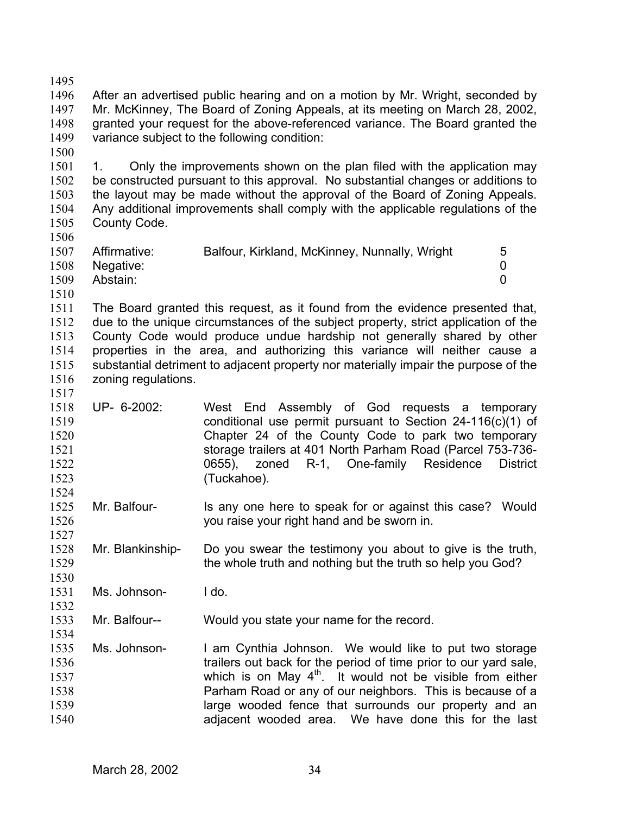1497 1498 1499 1500 1501 1502 1503 1504 1505 1506 1507 1508 1509 1510 1511 1512 1513 1514 1515 1516 1517 1518 1519 1520 1521 1522 1523 1524 1525 1526 1527 1528 1529 1530 1531 1532 1533 1534 1535 1536 1537 1538 1539 1540 Mr. McKinney, The Board of Zoning Appeals, at its meeting on March 28, 2002, granted your request for the above-referenced variance. The Board granted the variance subject to the following condition: 1. Only the improvements shown on the plan filed with the application may be constructed pursuant to this approval. No substantial changes or additions to the layout may be made without the approval of the Board of Zoning Appeals. Any additional improvements shall comply with the applicable regulations of the County Code. Affirmative: Balfour, Kirkland, McKinney, Nunnally, Wright 5 Negative: 0 Abstain: 0 The Board granted this request, as it found from the evidence presented that, due to the unique circumstances of the subject property, strict application of the County Code would produce undue hardship not generally shared by other properties in the area, and authorizing this variance will neither cause a substantial detriment to adjacent property nor materially impair the purpose of the zoning regulations. UP- 6-2002: West End Assembly of God requests a temporary conditional use permit pursuant to Section 24-116(c)(1) of Chapter 24 of the County Code to park two temporary storage trailers at 401 North Parham Road (Parcel 753-736- 0655), zoned R-1, One-family Residence District (Tuckahoe). Mr. Balfour- Is any one here to speak for or against this case? Would you raise your right hand and be sworn in. Mr. Blankinship- Do you swear the testimony you about to give is the truth, the whole truth and nothing but the truth so help you God? Ms. Johnson- I do. Mr. Balfour-- Would you state your name for the record. Ms. Johnson- I am Cynthia Johnson. We would like to put two storage trailers out back for the period of time prior to our yard sale, which is on May  $4<sup>th</sup>$ . It would not be visible from either Parham Road or any of our neighbors. This is because of a large wooded fence that surrounds our property and an adjacent wooded area. We have done this for the last

After an advertised public hearing and on a motion by Mr. Wright, seconded by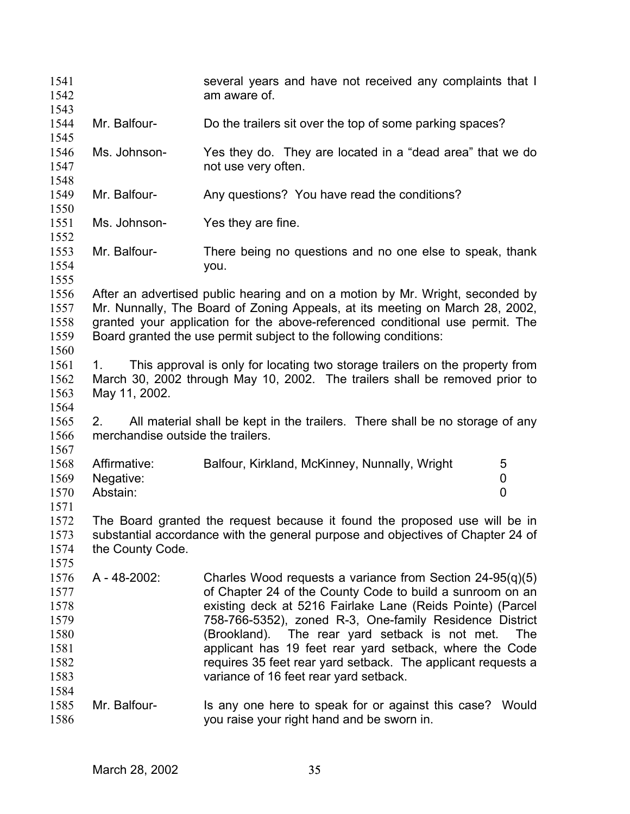| 1541<br>1542<br>1543                                         |                                         | several years and have not received any complaints that I<br>am aware of.                                                                                                                                                                                                                                                                                                                                                                                                   |            |
|--------------------------------------------------------------|-----------------------------------------|-----------------------------------------------------------------------------------------------------------------------------------------------------------------------------------------------------------------------------------------------------------------------------------------------------------------------------------------------------------------------------------------------------------------------------------------------------------------------------|------------|
| 1544<br>1545                                                 | Mr. Balfour-                            | Do the trailers sit over the top of some parking spaces?                                                                                                                                                                                                                                                                                                                                                                                                                    |            |
| 1546<br>1547<br>1548                                         | Ms. Johnson-                            | Yes they do. They are located in a "dead area" that we do<br>not use very often.                                                                                                                                                                                                                                                                                                                                                                                            |            |
| 1549<br>1550                                                 | Mr. Balfour-                            | Any questions? You have read the conditions?                                                                                                                                                                                                                                                                                                                                                                                                                                |            |
| 1551<br>1552                                                 | Ms. Johnson-                            | Yes they are fine.                                                                                                                                                                                                                                                                                                                                                                                                                                                          |            |
| 1553<br>1554<br>1555                                         | Mr. Balfour-                            | There being no questions and no one else to speak, thank<br>you.                                                                                                                                                                                                                                                                                                                                                                                                            |            |
| 1556<br>1557<br>1558<br>1559<br>1560                         |                                         | After an advertised public hearing and on a motion by Mr. Wright, seconded by<br>Mr. Nunnally, The Board of Zoning Appeals, at its meeting on March 28, 2002,<br>granted your application for the above-referenced conditional use permit. The<br>Board granted the use permit subject to the following conditions:                                                                                                                                                         |            |
| 1561<br>1562<br>1563<br>1564                                 | 1.<br>May 11, 2002.                     | This approval is only for locating two storage trailers on the property from<br>March 30, 2002 through May 10, 2002. The trailers shall be removed prior to                                                                                                                                                                                                                                                                                                                 |            |
| 1565<br>1566<br>1567                                         | 2.<br>merchandise outside the trailers. | All material shall be kept in the trailers. There shall be no storage of any                                                                                                                                                                                                                                                                                                                                                                                                |            |
| 1568<br>1569<br>1570<br>1571                                 | Affirmative:<br>Negative:<br>Abstain:   | Balfour, Kirkland, McKinney, Nunnally, Wright<br>5<br>0<br>0                                                                                                                                                                                                                                                                                                                                                                                                                |            |
| 1572<br>1573<br>1574<br>1575                                 | the County Code.                        | The Board granted the request because it found the proposed use will be in<br>substantial accordance with the general purpose and objectives of Chapter 24 of                                                                                                                                                                                                                                                                                                               |            |
| 1576<br>1577<br>1578<br>1579<br>1580<br>1581<br>1582<br>1583 | A - 48-2002:                            | Charles Wood requests a variance from Section $24-95(q)(5)$<br>of Chapter 24 of the County Code to build a sunroom on an<br>existing deck at 5216 Fairlake Lane (Reids Pointe) (Parcel<br>758-766-5352), zoned R-3, One-family Residence District<br>The rear yard setback is not met.<br>(Brookland).<br>applicant has 19 feet rear yard setback, where the Code<br>requires 35 feet rear yard setback. The applicant requests a<br>variance of 16 feet rear yard setback. | <b>The</b> |
| 1584<br>1585<br>1586                                         | Mr. Balfour-                            | Is any one here to speak for or against this case? Would<br>you raise your right hand and be sworn in.                                                                                                                                                                                                                                                                                                                                                                      |            |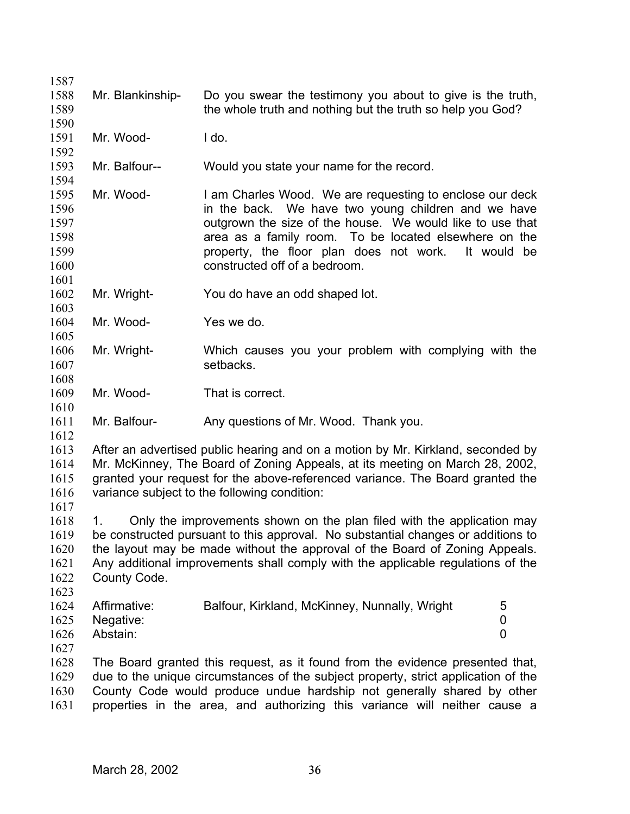| 1587 |                  |                                                                                    |                |
|------|------------------|------------------------------------------------------------------------------------|----------------|
| 1588 | Mr. Blankinship- | Do you swear the testimony you about to give is the truth,                         |                |
| 1589 |                  | the whole truth and nothing but the truth so help you God?                         |                |
| 1590 |                  |                                                                                    |                |
| 1591 | Mr. Wood-        | I do.                                                                              |                |
| 1592 |                  |                                                                                    |                |
| 1593 | Mr. Balfour--    | Would you state your name for the record.                                          |                |
| 1594 |                  |                                                                                    |                |
| 1595 | Mr. Wood-        | I am Charles Wood. We are requesting to enclose our deck                           |                |
| 1596 |                  | in the back. We have two young children and we have                                |                |
| 1597 |                  | outgrown the size of the house. We would like to use that                          |                |
| 1598 |                  | area as a family room. To be located elsewhere on the                              |                |
| 1599 |                  | property, the floor plan does not work.                                            | It would<br>be |
| 1600 |                  | constructed off of a bedroom.                                                      |                |
| 1601 |                  |                                                                                    |                |
| 1602 | Mr. Wright-      | You do have an odd shaped lot.                                                     |                |
| 1603 |                  |                                                                                    |                |
| 1604 | Mr. Wood-        | Yes we do.                                                                         |                |
| 1605 |                  |                                                                                    |                |
| 1606 | Mr. Wright-      | Which causes you your problem with complying with the                              |                |
| 1607 |                  | setbacks.                                                                          |                |
| 1608 |                  |                                                                                    |                |
| 1609 | Mr. Wood-        | That is correct.                                                                   |                |
| 1610 |                  |                                                                                    |                |
| 1611 | Mr. Balfour-     | Any questions of Mr. Wood. Thank you.                                              |                |
| 1612 |                  |                                                                                    |                |
| 1613 |                  | After an advertised public hearing and on a motion by Mr. Kirkland, seconded by    |                |
| 1614 |                  | Mr. McKinney, The Board of Zoning Appeals, at its meeting on March 28, 2002,       |                |
| 1615 |                  | granted your request for the above-referenced variance. The Board granted the      |                |
| 1616 |                  | variance subject to the following condition:                                       |                |
| 1617 |                  |                                                                                    |                |
| 1618 | 1.               | Only the improvements shown on the plan filed with the application may             |                |
| 1619 |                  | be constructed pursuant to this approval. No substantial changes or additions to   |                |
| 1620 |                  | the layout may be made without the approval of the Board of Zoning Appeals.        |                |
| 1621 |                  | Any additional improvements shall comply with the applicable regulations of the    |                |
| 1622 | County Code.     |                                                                                    |                |
| 1623 |                  |                                                                                    |                |
| 1624 | Affirmative:     | Balfour, Kirkland, McKinney, Nunnally, Wright                                      | 5              |
| 1625 | Negative:        |                                                                                    | 0              |
| 1626 | Abstain:         |                                                                                    | 0              |
| 1627 |                  |                                                                                    |                |
| 1628 |                  | The Board granted this request, as it found from the evidence presented that,      |                |
| 1629 |                  | due to the unique circumstances of the subject property, strict application of the |                |
| 1630 |                  | County Code would produce undue hardship not generally shared by other             |                |
| 1631 |                  | properties in the area, and authorizing this variance will neither cause a         |                |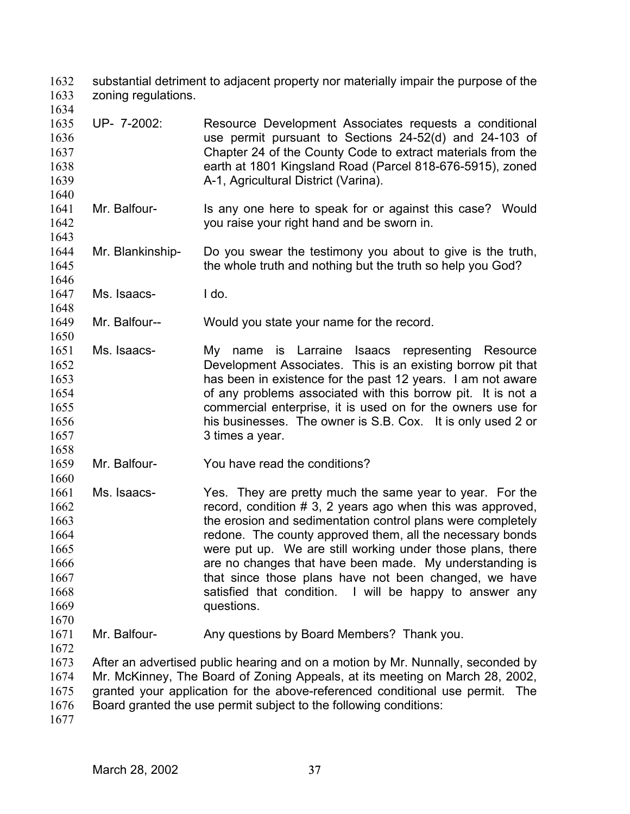substantial detriment to adjacent property nor materially impair the purpose of the zoning regulations. 1632 1633

- 1635 1636 1637 1638 1639 UP- 7-2002: Resource Development Associates requests a conditional use permit pursuant to Sections 24-52(d) and 24-103 of Chapter 24 of the County Code to extract materials from the earth at 1801 Kingsland Road (Parcel 818-676-5915), zoned A-1, Agricultural District (Varina).
- 1641 1642 1643 Mr. Balfour- Is any one here to speak for or against this case? Would you raise your right hand and be sworn in.
- 1644 1645 Mr. Blankinship- Do you swear the testimony you about to give is the truth, the whole truth and nothing but the truth so help you God?
- 1647 Ms. Isaacs- I do.

1634

1640

1646

1648

1650

1658

1660

1649 Mr. Balfour-- Would you state your name for the record.

- 1651 1652 1653 1654 1655 1656 1657 Ms. Isaacs- My name is Larraine Isaacs representing Resource Development Associates. This is an existing borrow pit that has been in existence for the past 12 years. I am not aware of any problems associated with this borrow pit. It is not a commercial enterprise, it is used on for the owners use for his businesses. The owner is S.B. Cox. It is only used 2 or 3 times a year.
- 1659 Mr. Balfour- You have read the conditions?
- 1661 1662 1663 1664 1665 1666 1667 1668 1669 Ms. Isaacs- Yes. They are pretty much the same year to year. For the record, condition # 3, 2 years ago when this was approved, the erosion and sedimentation control plans were completely redone. The county approved them, all the necessary bonds were put up. We are still working under those plans, there are no changes that have been made. My understanding is that since those plans have not been changed, we have satisfied that condition. I will be happy to answer any questions.
- 1671 Mr. Balfour- Any questions by Board Members? Thank you.
- 1673 1674 1675 1676 After an advertised public hearing and on a motion by Mr. Nunnally, seconded by Mr. McKinney, The Board of Zoning Appeals, at its meeting on March 28, 2002, granted your application for the above-referenced conditional use permit. The Board granted the use permit subject to the following conditions:
- 1677

1670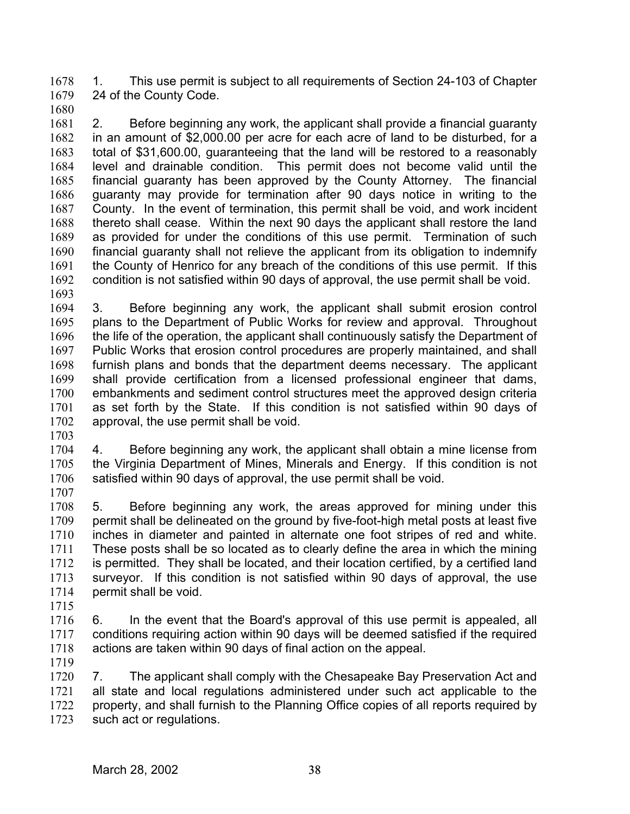1. This use permit is subject to all requirements of Section 24-103 of Chapter 24 of the County Code. 1678 1679

1680

1681 1682 1683 1684 1685 1686 1687 1688 1689 1690 1691 1692 2. Before beginning any work, the applicant shall provide a financial guaranty in an amount of \$2,000.00 per acre for each acre of land to be disturbed, for a total of \$31,600.00, guaranteeing that the land will be restored to a reasonably level and drainable condition. This permit does not become valid until the financial guaranty has been approved by the County Attorney. The financial guaranty may provide for termination after 90 days notice in writing to the County. In the event of termination, this permit shall be void, and work incident thereto shall cease. Within the next 90 days the applicant shall restore the land as provided for under the conditions of this use permit. Termination of such financial guaranty shall not relieve the applicant from its obligation to indemnify the County of Henrico for any breach of the conditions of this use permit. If this condition is not satisfied within 90 days of approval, the use permit shall be void.

1693

1694 1695 1696 1697 1698 1699 1700 1701 1702 3. Before beginning any work, the applicant shall submit erosion control plans to the Department of Public Works for review and approval. Throughout the life of the operation, the applicant shall continuously satisfy the Department of Public Works that erosion control procedures are properly maintained, and shall furnish plans and bonds that the department deems necessary. The applicant shall provide certification from a licensed professional engineer that dams, embankments and sediment control structures meet the approved design criteria as set forth by the State. If this condition is not satisfied within 90 days of approval, the use permit shall be void.

1703

1704 1705 1706 1707 4. Before beginning any work, the applicant shall obtain a mine license from the Virginia Department of Mines, Minerals and Energy. If this condition is not satisfied within 90 days of approval, the use permit shall be void.

1708 1709 1710 1711 1712 1713 1714 5. Before beginning any work, the areas approved for mining under this permit shall be delineated on the ground by five-foot-high metal posts at least five inches in diameter and painted in alternate one foot stripes of red and white. These posts shall be so located as to clearly define the area in which the mining is permitted. They shall be located, and their location certified, by a certified land surveyor. If this condition is not satisfied within 90 days of approval, the use permit shall be void.

1715

1716 1717 1718 6. In the event that the Board's approval of this use permit is appealed, all conditions requiring action within 90 days will be deemed satisfied if the required actions are taken within 90 days of final action on the appeal.

1719

1720 1721 1722 1723 7. The applicant shall comply with the Chesapeake Bay Preservation Act and all state and local regulations administered under such act applicable to the property, and shall furnish to the Planning Office copies of all reports required by such act or regulations.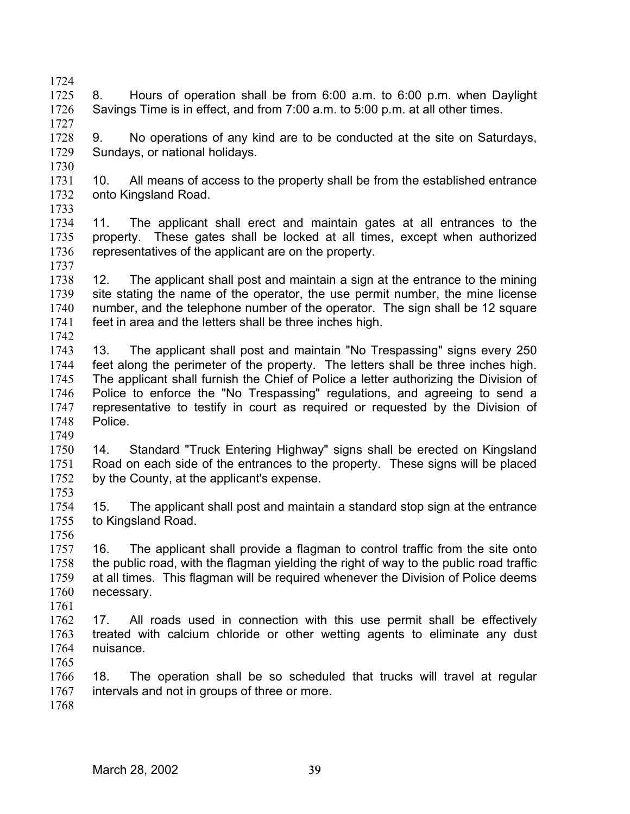- 1724 1725 1726 8. Hours of operation shall be from 6:00 a.m. to 6:00 p.m. when Daylight Savings Time is in effect, and from 7:00 a.m. to 5:00 p.m. at all other times.
- 1728 1729 1730 9. No operations of any kind are to be conducted at the site on Saturdays, Sundays, or national holidays.
- 1731 1732 10. All means of access to the property shall be from the established entrance onto Kingsland Road.
- 1733

1727

- 1734 1735 1736 1737 11. The applicant shall erect and maintain gates at all entrances to the property. These gates shall be locked at all times, except when authorized representatives of the applicant are on the property.
- 1738 1739 1740 1741 1742 12. The applicant shall post and maintain a sign at the entrance to the mining site stating the name of the operator, the use permit number, the mine license number, and the telephone number of the operator. The sign shall be 12 square feet in area and the letters shall be three inches high.
- 1743 1744 1745 1746 1747 1748 13. The applicant shall post and maintain "No Trespassing" signs every 250 feet along the perimeter of the property. The letters shall be three inches high. The applicant shall furnish the Chief of Police a letter authorizing the Division of Police to enforce the "No Trespassing" regulations, and agreeing to send a representative to testify in court as required or requested by the Division of Police.
- 1750 1751 1752 14. Standard "Truck Entering Highway" signs shall be erected on Kingsland Road on each side of the entrances to the property. These signs will be placed by the County, at the applicant's expense.
- 1753

- 1754 1755 15. The applicant shall post and maintain a standard stop sign at the entrance to Kingsland Road.
- 1756 1757
- 1758 1759 1760 16. The applicant shall provide a flagman to control traffic from the site onto the public road, with the flagman yielding the right of way to the public road traffic at all times. This flagman will be required whenever the Division of Police deems necessary.
- 1761
- 1762 1763 1764 17. All roads used in connection with this use permit shall be effectively treated with calcium chloride or other wetting agents to eliminate any dust nuisance.
- 1765
- 1766 1767 1768 18. The operation shall be so scheduled that trucks will travel at regular intervals and not in groups of three or more.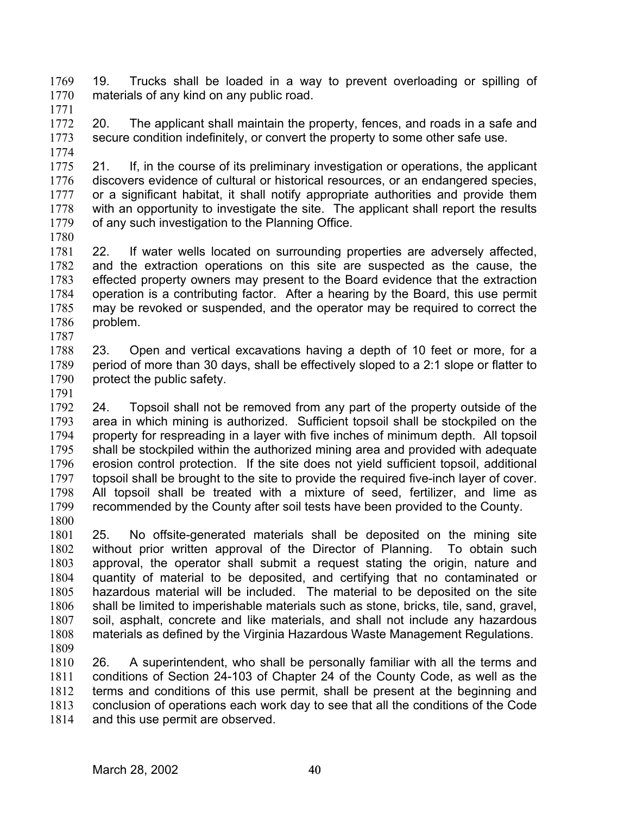19. Trucks shall be loaded in a way to prevent overloading or spilling of materials of any kind on any public road. 1769 1770 1771

- 1772 1773 20. The applicant shall maintain the property, fences, and roads in a safe and secure condition indefinitely, or convert the property to some other safe use.
- 1774

1775 1776 1777 1778 1779 21. If, in the course of its preliminary investigation or operations, the applicant discovers evidence of cultural or historical resources, or an endangered species, or a significant habitat, it shall notify appropriate authorities and provide them with an opportunity to investigate the site. The applicant shall report the results of any such investigation to the Planning Office.

1780

1781 1782 1783 1784 1785 1786 1787 22. If water wells located on surrounding properties are adversely affected, and the extraction operations on this site are suspected as the cause, the effected property owners may present to the Board evidence that the extraction operation is a contributing factor. After a hearing by the Board, this use permit may be revoked or suspended, and the operator may be required to correct the problem.

1788 1789 1790 23. Open and vertical excavations having a depth of 10 feet or more, for a period of more than 30 days, shall be effectively sloped to a 2:1 slope or flatter to protect the public safety.

1791

1792 1793 1794 1795 1796 1797 1798 1799 1800 24. Topsoil shall not be removed from any part of the property outside of the area in which mining is authorized. Sufficient topsoil shall be stockpiled on the property for respreading in a layer with five inches of minimum depth. All topsoil shall be stockpiled within the authorized mining area and provided with adequate erosion control protection. If the site does not yield sufficient topsoil, additional topsoil shall be brought to the site to provide the required five-inch layer of cover. All topsoil shall be treated with a mixture of seed, fertilizer, and lime as recommended by the County after soil tests have been provided to the County.

1801 1802 1803 1804 1805 1806 1807 1808 1809 25. No offsite-generated materials shall be deposited on the mining site without prior written approval of the Director of Planning. To obtain such approval, the operator shall submit a request stating the origin, nature and quantity of material to be deposited, and certifying that no contaminated or hazardous material will be included. The material to be deposited on the site shall be limited to imperishable materials such as stone, bricks, tile, sand, gravel, soil, asphalt, concrete and like materials, and shall not include any hazardous materials as defined by the Virginia Hazardous Waste Management Regulations.

1810 1811 1812 1813 1814 26. A superintendent, who shall be personally familiar with all the terms and conditions of Section 24-103 of Chapter 24 of the County Code, as well as the terms and conditions of this use permit, shall be present at the beginning and conclusion of operations each work day to see that all the conditions of the Code and this use permit are observed.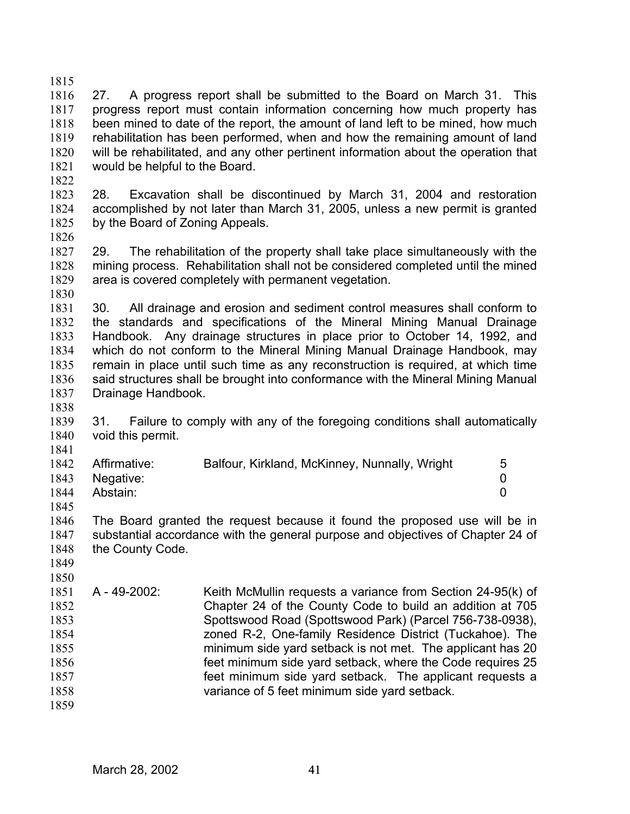1815 1816 1817 1818 1819 1820 1821 1822 27. A progress report shall be submitted to the Board on March 31. This progress report must contain information concerning how much property has been mined to date of the report, the amount of land left to be mined, how much rehabilitation has been performed, when and how the remaining amount of land will be rehabilitated, and any other pertinent information about the operation that would be helpful to the Board.

1823 1824 1825 28. Excavation shall be discontinued by March 31, 2004 and restoration accomplished by not later than March 31, 2005, unless a new permit is granted by the Board of Zoning Appeals.

1826

1827 1828 1829 29. The rehabilitation of the property shall take place simultaneously with the mining process. Rehabilitation shall not be considered completed until the mined area is covered completely with permanent vegetation.

1830

1831 1832 1833 1834 1835 1836 1837 30. All drainage and erosion and sediment control measures shall conform to the standards and specifications of the Mineral Mining Manual Drainage Handbook. Any drainage structures in place prior to October 14, 1992, and which do not conform to the Mineral Mining Manual Drainage Handbook, may remain in place until such time as any reconstruction is required, at which time said structures shall be brought into conformance with the Mineral Mining Manual Drainage Handbook.

1838

1839 1840 1841 31. Failure to comply with any of the foregoing conditions shall automatically void this permit.

|      | 1842 Affirmative: | Balfour, Kirkland, McKinney, Nunnally, Wright | 5 |
|------|-------------------|-----------------------------------------------|---|
|      | 1843 Negative:    |                                               |   |
| 1844 | Abstain:          |                                               |   |

1845

1846 1847 1848 The Board granted the request because it found the proposed use will be in substantial accordance with the general purpose and objectives of Chapter 24 of the County Code.

- 1849 1850
- 1851 1852 1853 1854 1855 1856 1857 1858 1859 A - 49-2002: Keith McMullin requests a variance from Section 24-95(k) of Chapter 24 of the County Code to build an addition at 705 Spottswood Road (Spottswood Park) (Parcel 756-738-0938), zoned R-2, One-family Residence District (Tuckahoe). The minimum side yard setback is not met. The applicant has 20 feet minimum side yard setback, where the Code requires 25 feet minimum side yard setback. The applicant requests a variance of 5 feet minimum side yard setback.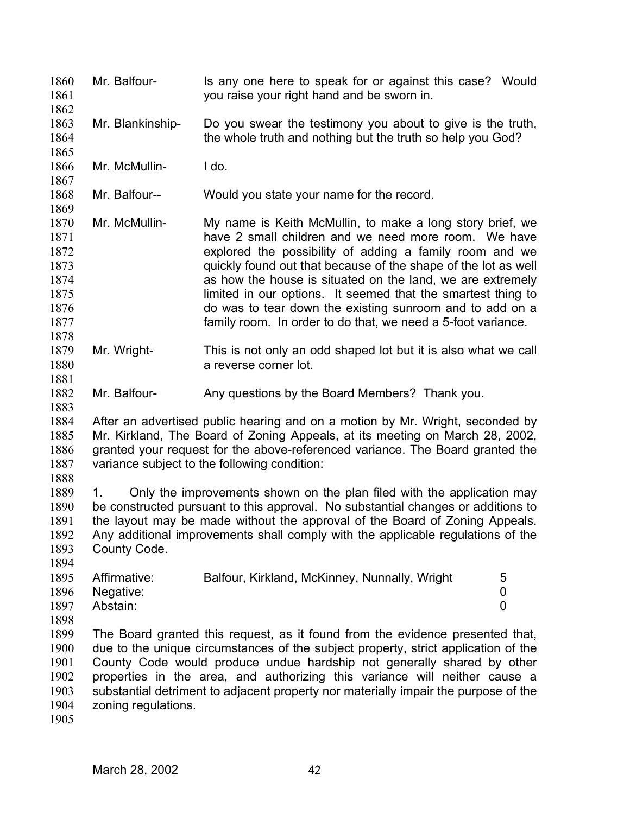Mr. Balfour- Is any one here to speak for or against this case? Would you raise your right hand and be sworn in. 1860 1861 1862 1863 1864 1865 1866 1867 1868 1869 1870 1871 1872 1873 1874 1875 1876 1877 1878 1879 1880 1881 1882 1883 1884 1885 1886 1887 1888 1889 1890 1891 1892 1893 1894 1895 1896 1897 1898 1899 1900 1901 1902 1903 1904 1905 Mr. Blankinship- Do you swear the testimony you about to give is the truth, the whole truth and nothing but the truth so help you God? Mr. McMullin- I do. Mr. Balfour-- Would you state your name for the record. Mr. McMullin- My name is Keith McMullin, to make a long story brief, we have 2 small children and we need more room. We have explored the possibility of adding a family room and we quickly found out that because of the shape of the lot as well as how the house is situated on the land, we are extremely limited in our options. It seemed that the smartest thing to do was to tear down the existing sunroom and to add on a family room. In order to do that, we need a 5-foot variance. Mr. Wright- This is not only an odd shaped lot but it is also what we call a reverse corner lot. Mr. Balfour- Any questions by the Board Members? Thank you. After an advertised public hearing and on a motion by Mr. Wright, seconded by Mr. Kirkland, The Board of Zoning Appeals, at its meeting on March 28, 2002, granted your request for the above-referenced variance. The Board granted the variance subject to the following condition: 1. Only the improvements shown on the plan filed with the application may be constructed pursuant to this approval. No substantial changes or additions to the layout may be made without the approval of the Board of Zoning Appeals. Any additional improvements shall comply with the applicable regulations of the County Code. Affirmative: Balfour, Kirkland, McKinney, Nunnally, Wright 5 Negative: 0 Abstain: 0 The Board granted this request, as it found from the evidence presented that, due to the unique circumstances of the subject property, strict application of the County Code would produce undue hardship not generally shared by other properties in the area, and authorizing this variance will neither cause a substantial detriment to adjacent property nor materially impair the purpose of the zoning regulations.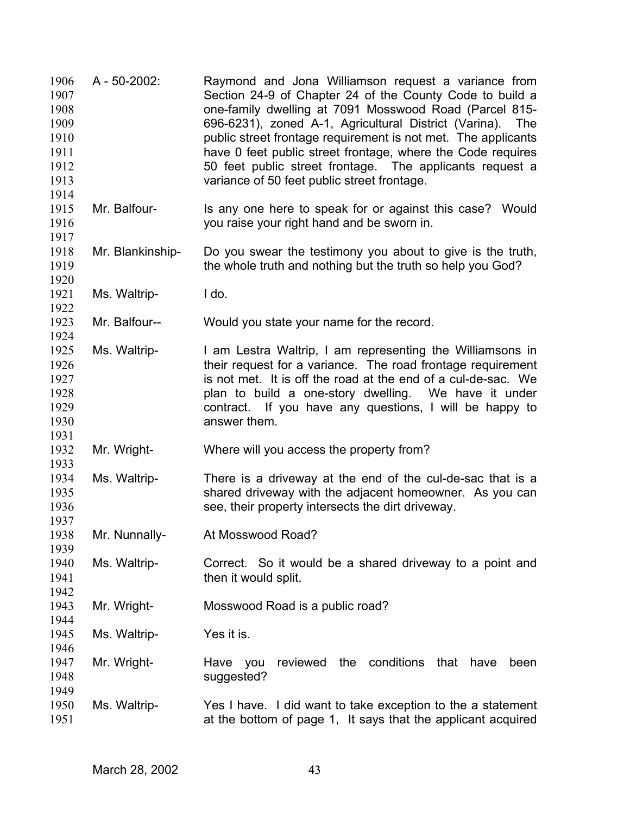| 1906<br>1907<br>1908<br>1909<br>1910<br>1911<br>1912<br>1913<br>1914 | A - 50-2002:     | Raymond and Jona Williamson request a variance from<br>Section 24-9 of Chapter 24 of the County Code to build a<br>one-family dwelling at 7091 Mosswood Road (Parcel 815-<br>696-6231), zoned A-1, Agricultural District (Varina).<br>The<br>public street frontage requirement is not met. The applicants<br>have 0 feet public street frontage, where the Code requires<br>50 feet public street frontage. The applicants request a<br>variance of 50 feet public street frontage. |
|----------------------------------------------------------------------|------------------|--------------------------------------------------------------------------------------------------------------------------------------------------------------------------------------------------------------------------------------------------------------------------------------------------------------------------------------------------------------------------------------------------------------------------------------------------------------------------------------|
| 1915<br>1916<br>1917                                                 | Mr. Balfour-     | Is any one here to speak for or against this case? Would<br>you raise your right hand and be sworn in.                                                                                                                                                                                                                                                                                                                                                                               |
| 1918<br>1919<br>1920                                                 | Mr. Blankinship- | Do you swear the testimony you about to give is the truth,<br>the whole truth and nothing but the truth so help you God?                                                                                                                                                                                                                                                                                                                                                             |
| 1921<br>1922                                                         | Ms. Waltrip-     | I do.                                                                                                                                                                                                                                                                                                                                                                                                                                                                                |
| 1923<br>1924                                                         | Mr. Balfour--    | Would you state your name for the record.                                                                                                                                                                                                                                                                                                                                                                                                                                            |
| 1925<br>1926<br>1927<br>1928<br>1929<br>1930                         | Ms. Waltrip-     | I am Lestra Waltrip, I am representing the Williamsons in<br>their request for a variance. The road frontage requirement<br>is not met. It is off the road at the end of a cul-de-sac. We<br>plan to build a one-story dwelling. We have it under<br>contract. If you have any questions, I will be happy to<br>answer them.                                                                                                                                                         |
| 1931<br>1932<br>1933                                                 | Mr. Wright-      | Where will you access the property from?                                                                                                                                                                                                                                                                                                                                                                                                                                             |
| 1934<br>1935<br>1936<br>1937                                         | Ms. Waltrip-     | There is a driveway at the end of the cul-de-sac that is a<br>shared driveway with the adjacent homeowner. As you can<br>see, their property intersects the dirt driveway.                                                                                                                                                                                                                                                                                                           |
| 1938<br>1939                                                         | Mr. Nunnally-    | At Mosswood Road?                                                                                                                                                                                                                                                                                                                                                                                                                                                                    |
| 1940<br>1941<br>1942                                                 | Ms. Waltrip-     | Correct. So it would be a shared driveway to a point and<br>then it would split.                                                                                                                                                                                                                                                                                                                                                                                                     |
| 1943<br>1944                                                         | Mr. Wright-      | Mosswood Road is a public road?                                                                                                                                                                                                                                                                                                                                                                                                                                                      |
| 1945<br>1946                                                         | Ms. Waltrip-     | Yes it is.                                                                                                                                                                                                                                                                                                                                                                                                                                                                           |
| 1947<br>1948<br>1949                                                 | Mr. Wright-      | conditions<br>reviewed<br>the<br>that<br>Have<br>you<br>have<br>been<br>suggested?                                                                                                                                                                                                                                                                                                                                                                                                   |
| 1950<br>1951                                                         | Ms. Waltrip-     | Yes I have. I did want to take exception to the a statement<br>at the bottom of page 1, It says that the applicant acquired                                                                                                                                                                                                                                                                                                                                                          |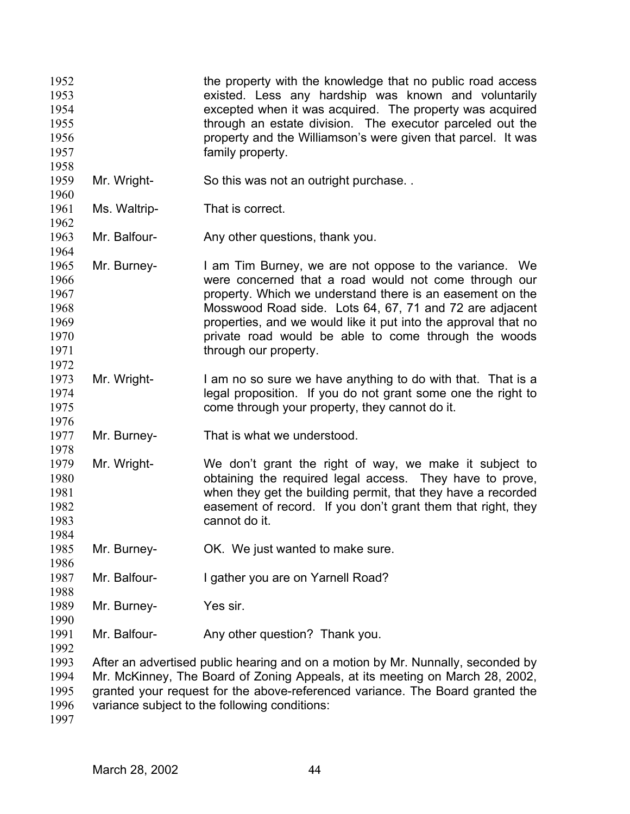| 1952 |              | the property with the knowledge that no public road access                      |
|------|--------------|---------------------------------------------------------------------------------|
| 1953 |              | existed. Less any hardship was known and voluntarily                            |
| 1954 |              | excepted when it was acquired. The property was acquired                        |
| 1955 |              | through an estate division. The executor parceled out the                       |
| 1956 |              | property and the Williamson's were given that parcel. It was                    |
|      |              |                                                                                 |
| 1957 |              | family property.                                                                |
| 1958 |              |                                                                                 |
| 1959 | Mr. Wright-  | So this was not an outright purchase                                            |
| 1960 |              |                                                                                 |
| 1961 | Ms. Waltrip- | That is correct.                                                                |
| 1962 |              |                                                                                 |
| 1963 | Mr. Balfour- | Any other questions, thank you.                                                 |
| 1964 |              |                                                                                 |
| 1965 | Mr. Burney-  | I am Tim Burney, we are not oppose to the variance. We                          |
| 1966 |              | were concerned that a road would not come through our                           |
| 1967 |              | property. Which we understand there is an easement on the                       |
|      |              |                                                                                 |
| 1968 |              | Mosswood Road side. Lots 64, 67, 71 and 72 are adjacent                         |
| 1969 |              | properties, and we would like it put into the approval that no                  |
| 1970 |              | private road would be able to come through the woods                            |
| 1971 |              | through our property.                                                           |
| 1972 |              |                                                                                 |
| 1973 | Mr. Wright-  | I am no so sure we have anything to do with that. That is a                     |
| 1974 |              | legal proposition. If you do not grant some one the right to                    |
| 1975 |              | come through your property, they cannot do it.                                  |
| 1976 |              |                                                                                 |
| 1977 | Mr. Burney-  | That is what we understood.                                                     |
| 1978 |              |                                                                                 |
| 1979 | Mr. Wright-  | We don't grant the right of way, we make it subject to                          |
| 1980 |              | obtaining the required legal access. They have to prove,                        |
|      |              |                                                                                 |
| 1981 |              | when they get the building permit, that they have a recorded                    |
| 1982 |              | easement of record. If you don't grant them that right, they                    |
| 1983 |              | cannot do it.                                                                   |
| 1984 |              |                                                                                 |
| 1985 | Mr. Burney-  | OK. We just wanted to make sure.                                                |
| 1986 |              |                                                                                 |
| 1987 | Mr. Balfour- | I gather you are on Yarnell Road?                                               |
| 1988 |              |                                                                                 |
| 1989 | Mr. Burney-  | Yes sir.                                                                        |
| 1990 |              |                                                                                 |
| 1991 | Mr. Balfour- | Any other question? Thank you.                                                  |
|      |              |                                                                                 |
| 1992 |              |                                                                                 |
| 1993 |              | After an advertised public hearing and on a motion by Mr. Nunnally, seconded by |
| 1994 |              | Mr. McKinney, The Board of Zoning Appeals, at its meeting on March 28, 2002,    |
| 1995 |              | granted your request for the above-referenced variance. The Board granted the   |
| 1996 |              | variance subject to the following conditions:                                   |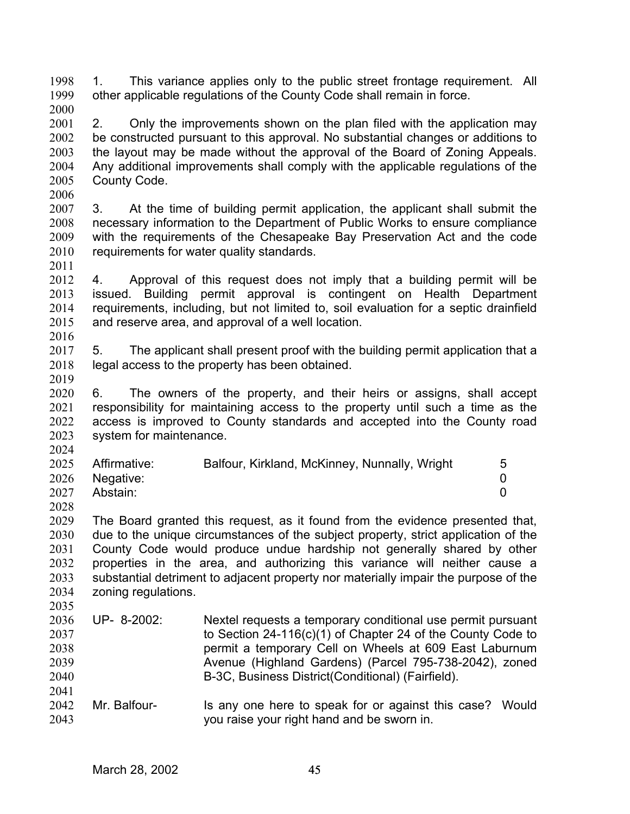1. This variance applies only to the public street frontage requirement. All other applicable regulations of the County Code shall remain in force. 1998 1999 2000

- 2001 2002 2003 2004 2005 2. Only the improvements shown on the plan filed with the application may be constructed pursuant to this approval. No substantial changes or additions to the layout may be made without the approval of the Board of Zoning Appeals. Any additional improvements shall comply with the applicable regulations of the County Code.
- 2006

2007 2008 2009 2010 3. At the time of building permit application, the applicant shall submit the necessary information to the Department of Public Works to ensure compliance with the requirements of the Chesapeake Bay Preservation Act and the code requirements for water quality standards.

2011

2012 2013 2014 2015 2016 4. Approval of this request does not imply that a building permit will be issued. Building permit approval is contingent on Health Department requirements, including, but not limited to, soil evaluation for a septic drainfield and reserve area, and approval of a well location.

2017 2018 5. The applicant shall present proof with the building permit application that a legal access to the property has been obtained.

2019

2020 2021 2022 2023 2024 6. The owners of the property, and their heirs or assigns, shall accept responsibility for maintaining access to the property until such a time as the access is improved to County standards and accepted into the County road system for maintenance.

|      | 2025 Affirmative: | Balfour, Kirkland, McKinney, Nunnally, Wright |  |
|------|-------------------|-----------------------------------------------|--|
|      | 2026 Negative:    |                                               |  |
| 2027 | Abstain:          |                                               |  |

2028

2035

2029 2030 2031 2032 2033 2034 The Board granted this request, as it found from the evidence presented that, due to the unique circumstances of the subject property, strict application of the County Code would produce undue hardship not generally shared by other properties in the area, and authorizing this variance will neither cause a substantial detriment to adjacent property nor materially impair the purpose of the zoning regulations.

- 2036 2037 2038 2039 2040 2041 UP- 8-2002: Nextel requests a temporary conditional use permit pursuant to Section 24-116(c)(1) of Chapter 24 of the County Code to permit a temporary Cell on Wheels at 609 East Laburnum Avenue (Highland Gardens) (Parcel 795-738-2042), zoned B-3C, Business District(Conditional) (Fairfield).
- 2042 2043 Mr. Balfour- Is any one here to speak for or against this case? Would you raise your right hand and be sworn in.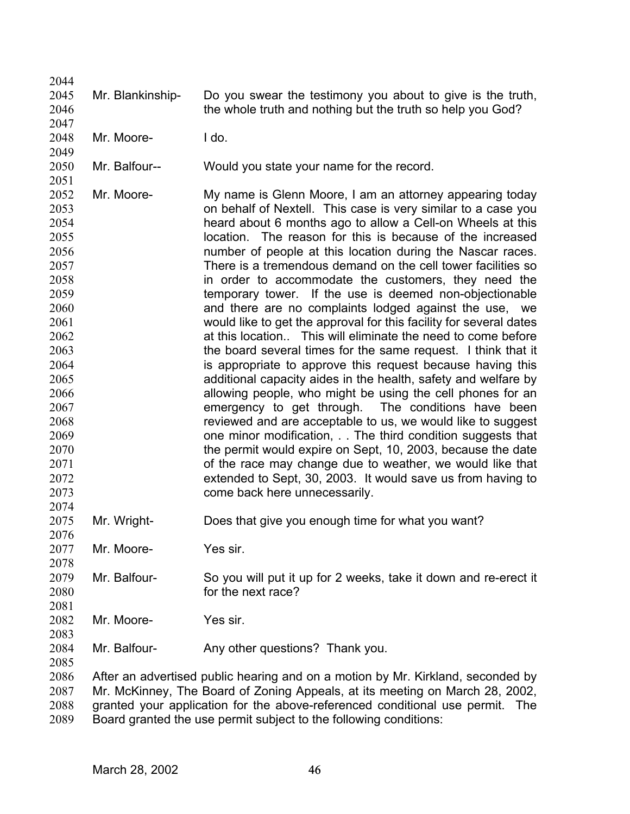2045 2046 Mr. Blankinship- Do you swear the testimony you about to give is the truth, the whole truth and nothing but the truth so help you God?

2048 Mr. Moore- I do.

2044

2047

2049

2051

2074

2076

2078

2081

2083

2050 Mr. Balfour-- Would you state your name for the record.

2052 2053 2054 2055 2056 2057 2058 2059 2060 2061 2062 2063 2064 2065 2066 2067 2068 2069 2070 2071 2072 2073 Mr. Moore- My name is Glenn Moore, I am an attorney appearing today on behalf of Nextell. This case is very similar to a case you heard about 6 months ago to allow a Cell-on Wheels at this location. The reason for this is because of the increased number of people at this location during the Nascar races. There is a tremendous demand on the cell tower facilities so in order to accommodate the customers, they need the temporary tower. If the use is deemed non-objectionable and there are no complaints lodged against the use, we would like to get the approval for this facility for several dates at this location.. This will eliminate the need to come before the board several times for the same request. I think that it is appropriate to approve this request because having this additional capacity aides in the health, safety and welfare by allowing people, who might be using the cell phones for an emergency to get through. The conditions have been reviewed and are acceptable to us, we would like to suggest one minor modification, . . The third condition suggests that the permit would expire on Sept, 10, 2003, because the date of the race may change due to weather, we would like that extended to Sept, 30, 2003. It would save us from having to come back here unnecessarily.

- 2075 Mr. Wright- Does that give you enough time for what you want?
- 2077 Mr. Moore- Yes sir.
- 2079 2080 Mr. Balfour- So you will put it up for 2 weeks, take it down and re-erect it for the next race?
- 2082 Mr. Moore- Yes sir.
- 2084 Mr. Balfour- Any other questions? Thank you.

2085 2086

2087 2088 2089 After an advertised public hearing and on a motion by Mr. Kirkland, seconded by Mr. McKinney, The Board of Zoning Appeals, at its meeting on March 28, 2002, granted your application for the above-referenced conditional use permit. The Board granted the use permit subject to the following conditions: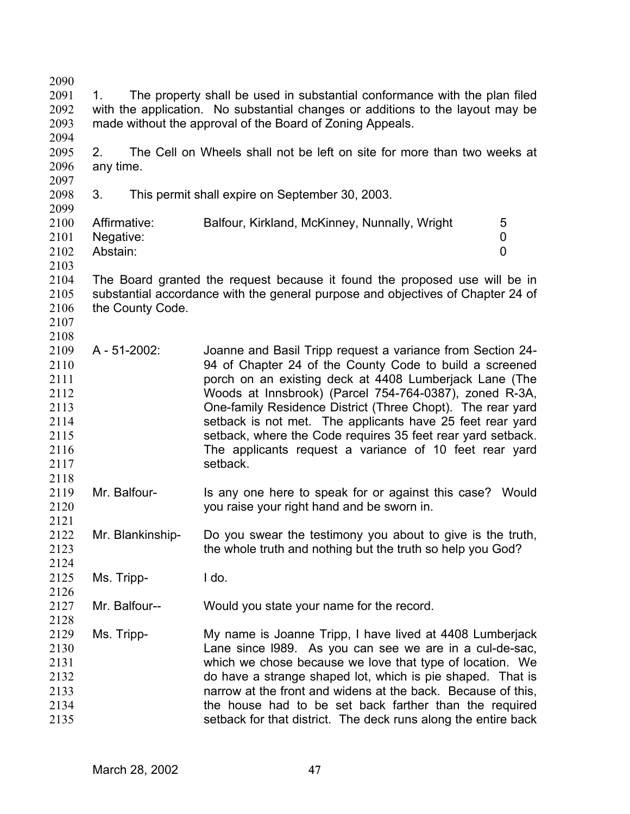| 2090         |              |                                                                                |                                                                                 |  |  |  |  |
|--------------|--------------|--------------------------------------------------------------------------------|---------------------------------------------------------------------------------|--|--|--|--|
| 2091         | 1.           | The property shall be used in substantial conformance with the plan filed      |                                                                                 |  |  |  |  |
| 2092         |              | with the application. No substantial changes or additions to the layout may be |                                                                                 |  |  |  |  |
| 2093         |              | made without the approval of the Board of Zoning Appeals.                      |                                                                                 |  |  |  |  |
| 2094         |              |                                                                                |                                                                                 |  |  |  |  |
| 2095         | 2.           |                                                                                | The Cell on Wheels shall not be left on site for more than two weeks at         |  |  |  |  |
| 2096         | any time.    |                                                                                |                                                                                 |  |  |  |  |
| 2097         |              |                                                                                |                                                                                 |  |  |  |  |
| 2098         | 3.           |                                                                                | This permit shall expire on September 30, 2003.                                 |  |  |  |  |
| 2099         |              |                                                                                |                                                                                 |  |  |  |  |
| 2100         | Affirmative: |                                                                                | Balfour, Kirkland, McKinney, Nunnally, Wright<br>5                              |  |  |  |  |
| 2101         | Negative:    |                                                                                | 0                                                                               |  |  |  |  |
| 2102         | Abstain:     |                                                                                | $\overline{0}$                                                                  |  |  |  |  |
| 2103         |              |                                                                                |                                                                                 |  |  |  |  |
| 2104         |              |                                                                                | The Board granted the request because it found the proposed use will be in      |  |  |  |  |
| 2105         |              |                                                                                | substantial accordance with the general purpose and objectives of Chapter 24 of |  |  |  |  |
| 2106         |              | the County Code.                                                               |                                                                                 |  |  |  |  |
| 2107         |              |                                                                                |                                                                                 |  |  |  |  |
| 2108         |              |                                                                                |                                                                                 |  |  |  |  |
| 2109         |              | A - 51-2002:                                                                   | Joanne and Basil Tripp request a variance from Section 24-                      |  |  |  |  |
| 2110         |              |                                                                                | 94 of Chapter 24 of the County Code to build a screened                         |  |  |  |  |
| 2111         |              |                                                                                | porch on an existing deck at 4408 Lumberjack Lane (The                          |  |  |  |  |
| 2112         |              |                                                                                | Woods at Innsbrook) (Parcel 754-764-0387), zoned R-3A,                          |  |  |  |  |
| 2113         |              |                                                                                | One-family Residence District (Three Chopt). The rear yard                      |  |  |  |  |
| 2114         |              |                                                                                | setback is not met. The applicants have 25 feet rear yard                       |  |  |  |  |
| 2115         |              |                                                                                | setback, where the Code requires 35 feet rear yard setback.                     |  |  |  |  |
| 2116         |              |                                                                                | The applicants request a variance of 10 feet rear yard                          |  |  |  |  |
| 2117         |              |                                                                                | setback.                                                                        |  |  |  |  |
| 2118         |              |                                                                                |                                                                                 |  |  |  |  |
| 2119         |              | Mr. Balfour-                                                                   | Is any one here to speak for or against this case? Would                        |  |  |  |  |
| 2120         |              |                                                                                | you raise your right hand and be sworn in.                                      |  |  |  |  |
| 2121         |              |                                                                                |                                                                                 |  |  |  |  |
| 2122         |              | Mr. Blankinship-                                                               | Do you swear the testimony you about to give is the truth,                      |  |  |  |  |
| 2123         |              |                                                                                | the whole truth and nothing but the truth so help you God?                      |  |  |  |  |
| 2124         |              |                                                                                |                                                                                 |  |  |  |  |
| 2125         | Ms. Tripp-   |                                                                                | I do.                                                                           |  |  |  |  |
| 2126         |              |                                                                                |                                                                                 |  |  |  |  |
|              |              |                                                                                |                                                                                 |  |  |  |  |
| 2127<br>2128 |              | Mr. Balfour--                                                                  | Would you state your name for the record.                                       |  |  |  |  |
|              |              |                                                                                |                                                                                 |  |  |  |  |
| 2129         | Ms. Tripp-   |                                                                                | My name is Joanne Tripp, I have lived at 4408 Lumberjack                        |  |  |  |  |
| 2130         |              |                                                                                | Lane since 1989. As you can see we are in a cul-de-sac,                         |  |  |  |  |
| 2131         |              |                                                                                | which we chose because we love that type of location. We                        |  |  |  |  |
| 2132         |              |                                                                                | do have a strange shaped lot, which is pie shaped. That is                      |  |  |  |  |
| 2133         |              |                                                                                | narrow at the front and widens at the back. Because of this,                    |  |  |  |  |
| 2134         |              |                                                                                | the house had to be set back farther than the required                          |  |  |  |  |
| 2135         |              |                                                                                | setback for that district. The deck runs along the entire back                  |  |  |  |  |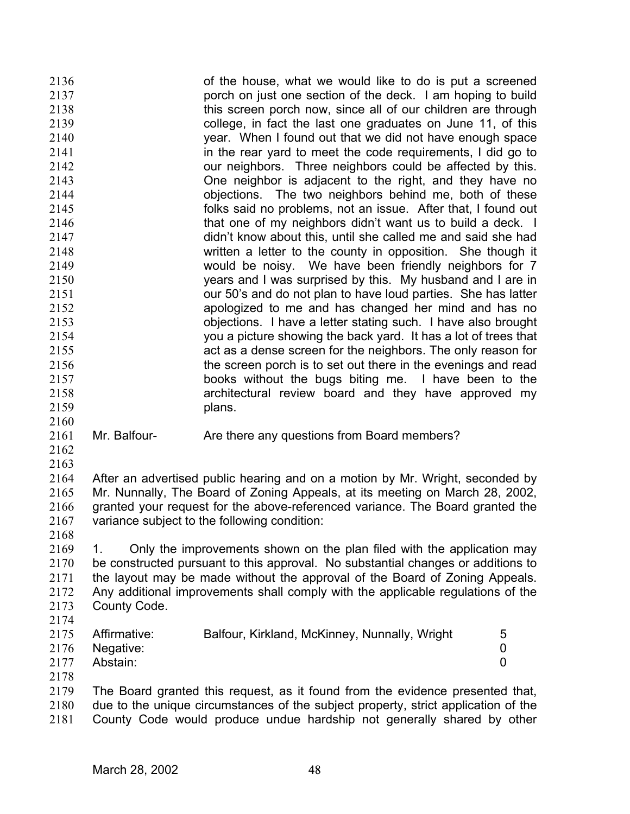of the house, what we would like to do is put a screened porch on just one section of the deck. I am hoping to build this screen porch now, since all of our children are through college, in fact the last one graduates on June 11, of this year. When I found out that we did not have enough space in the rear yard to meet the code requirements, I did go to our neighbors. Three neighbors could be affected by this. One neighbor is adjacent to the right, and they have no objections. The two neighbors behind me, both of these folks said no problems, not an issue. After that, I found out that one of my neighbors didn't want us to build a deck. I didn't know about this, until she called me and said she had written a letter to the county in opposition. She though it would be noisy. We have been friendly neighbors for 7 years and I was surprised by this. My husband and I are in our 50's and do not plan to have loud parties. She has latter apologized to me and has changed her mind and has no objections. I have a letter stating such. I have also brought you a picture showing the back yard. It has a lot of trees that act as a dense screen for the neighbors. The only reason for the screen porch is to set out there in the evenings and read books without the bugs biting me. I have been to the architectural review board and they have approved my plans. 2136 2137 2138 2139 2140 2141 2142 2143 2144 2145 2146 2147 2148 2149 2150 2151 2152 2153 2154 2155 2156 2157 2158 2159 2160

- 2161 Mr. Balfour- Are there any questions from Board members?
- 2162 2163

2164 2165 2166 2167 After an advertised public hearing and on a motion by Mr. Wright, seconded by Mr. Nunnally, The Board of Zoning Appeals, at its meeting on March 28, 2002, granted your request for the above-referenced variance. The Board granted the variance subject to the following condition:

2168

2174

2169 2170 2171 2172 2173 1. Only the improvements shown on the plan filed with the application may be constructed pursuant to this approval. No substantial changes or additions to the layout may be made without the approval of the Board of Zoning Appeals. Any additional improvements shall comply with the applicable regulations of the County Code.

| 2175 | Affirmative:   | Balfour, Kirkland, McKinney, Nunnally, Wright |  |
|------|----------------|-----------------------------------------------|--|
|      | 2176 Negative: |                                               |  |
| 2177 | Abstain:       |                                               |  |
| 2178 |                |                                               |  |

2179 2180 2181 The Board granted this request, as it found from the evidence presented that, due to the unique circumstances of the subject property, strict application of the County Code would produce undue hardship not generally shared by other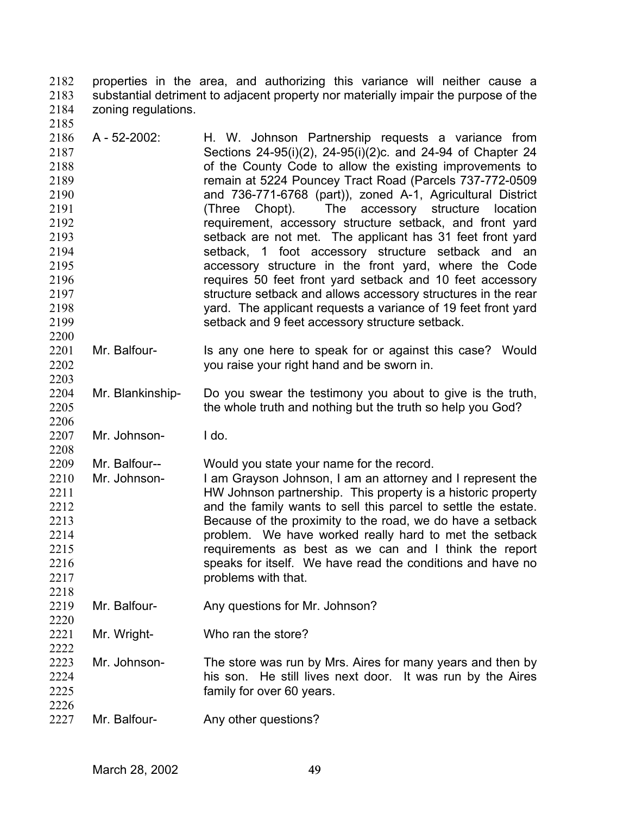properties in the area, and authorizing this variance will neither cause a substantial detriment to adjacent property nor materially impair the purpose of the zoning regulations. 2182 2183 2184

2186 2187 2188 2189 2190 2191 2192 2193 2194 2195 2196 2197 2198 2199 2200 A - 52-2002: H. W. Johnson Partnership requests a variance from Sections 24-95(i)(2), 24-95(i)(2)c. and 24-94 of Chapter 24 of the County Code to allow the existing improvements to remain at 5224 Pouncey Tract Road (Parcels 737-772-0509 and 736-771-6768 (part)), zoned A-1, Agricultural District (Three Chopt). The accessory structure location requirement, accessory structure setback, and front yard setback are not met. The applicant has 31 feet front yard setback, 1 foot accessory structure setback and an accessory structure in the front yard, where the Code requires 50 feet front yard setback and 10 feet accessory structure setback and allows accessory structures in the rear yard. The applicant requests a variance of 19 feet front yard setback and 9 feet accessory structure setback.

- 2201 2202 2203 Mr. Balfour- Is any one here to speak for or against this case? Would you raise your right hand and be sworn in.
- 2204 2205 Mr. Blankinship- Do you swear the testimony you about to give is the truth, the whole truth and nothing but the truth so help you God?

2207 Mr. Johnson- I do.

2185

2206

2208

2218

2222

- 2209 Mr. Balfour-- Would you state your name for the record.
- 2210 2211 2212 2213 2214 2215 2216 2217 Mr. Johnson- I am Grayson Johnson, I am an attorney and I represent the HW Johnson partnership. This property is a historic property and the family wants to sell this parcel to settle the estate. Because of the proximity to the road, we do have a setback problem. We have worked really hard to met the setback requirements as best as we can and I think the report speaks for itself. We have read the conditions and have no problems with that.
- 2219 2220 Mr. Balfour- Any questions for Mr. Johnson?
- 2221 Mr. Wright- Who ran the store?
- 2223 2224 2225 Mr. Johnson- The store was run by Mrs. Aires for many years and then by his son. He still lives next door. It was run by the Aires family for over 60 years.
- 2227 Mr. Balfour-<br>
Any other questions?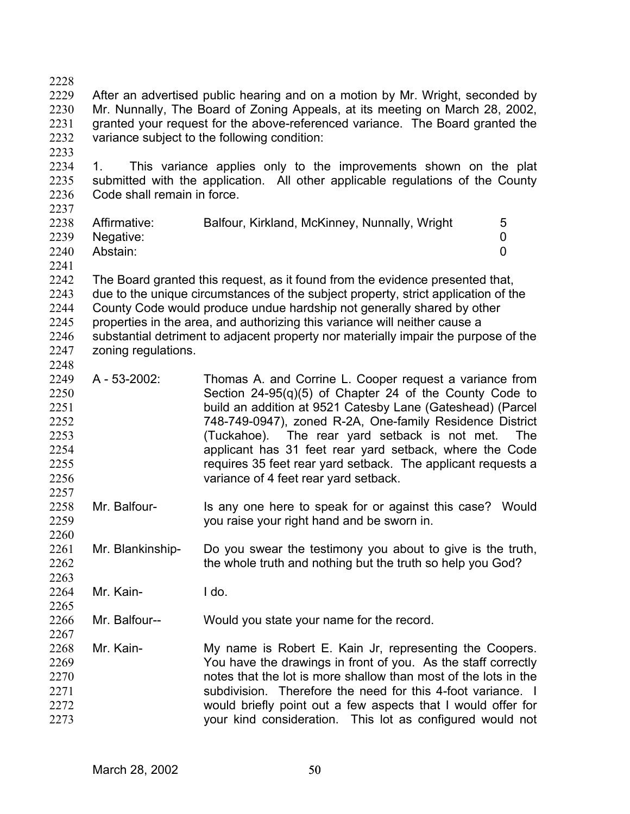- 2229 2230 2231 2232 After an advertised public hearing and on a motion by Mr. Wright, seconded by Mr. Nunnally, The Board of Zoning Appeals, at its meeting on March 28, 2002, granted your request for the above-referenced variance. The Board granted the variance subject to the following condition:
- 2233

2228

2234 2235 2236 1. This variance applies only to the improvements shown on the plat submitted with the application. All other applicable regulations of the County Code shall remain in force.

2237

2248

2257

2260

| 2238 | Affirmative:   | Balfour, Kirkland, McKinney, Nunnally, Wright | 5 |
|------|----------------|-----------------------------------------------|---|
|      | 2239 Negative: |                                               |   |
| 2240 | Abstain:       |                                               |   |
| 2241 |                |                                               |   |

2242 2243 2244 2245 2246 2247 The Board granted this request, as it found from the evidence presented that, due to the unique circumstances of the subject property, strict application of the County Code would produce undue hardship not generally shared by other properties in the area, and authorizing this variance will neither cause a substantial detriment to adjacent property nor materially impair the purpose of the zoning regulations.

- 2249 2250 2251 2252 2253 2254 2255 2256 A - 53-2002: Thomas A. and Corrine L. Cooper request a variance from Section 24-95(q)(5) of Chapter 24 of the County Code to build an addition at 9521 Catesby Lane (Gateshead) (Parcel 748-749-0947), zoned R-2A, One-family Residence District (Tuckahoe). The rear yard setback is not met. The applicant has 31 feet rear yard setback, where the Code requires 35 feet rear yard setback. The applicant requests a variance of 4 feet rear yard setback.
- 2258 2259 Mr. Balfour- Is any one here to speak for or against this case? Would you raise your right hand and be sworn in.
- 2261 2262 2263 Mr. Blankinship- Do you swear the testimony you about to give is the truth, the whole truth and nothing but the truth so help you God?
- 2264 2265 Mr. Kain- I do.
- 2266 2267 Mr. Balfour-- Would you state your name for the record.
- 2268 2269 2270 2271 2272 2273 Mr. Kain- My name is Robert E. Kain Jr, representing the Coopers. You have the drawings in front of you. As the staff correctly notes that the lot is more shallow than most of the lots in the subdivision. Therefore the need for this 4-foot variance. I would briefly point out a few aspects that I would offer for your kind consideration. This lot as configured would not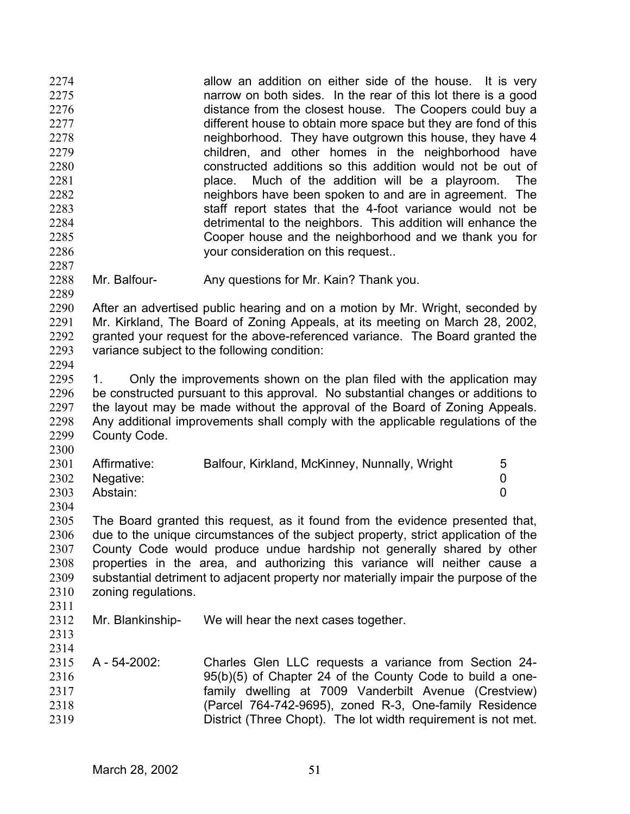allow an addition on either side of the house. It is very narrow on both sides. In the rear of this lot there is a good distance from the closest house. The Coopers could buy a different house to obtain more space but they are fond of this neighborhood. They have outgrown this house, they have 4 children, and other homes in the neighborhood have constructed additions so this addition would not be out of place. Much of the addition will be a playroom. The neighbors have been spoken to and are in agreement. The staff report states that the 4-foot variance would not be detrimental to the neighbors. This addition will enhance the Cooper house and the neighborhood and we thank you for your consideration on this request.. 2274 2275 2276 2277 2278 2279 2280 2281 2282 2283 2284 2285 2286 2287

- 2288 2289
- Mr. Balfour- Any questions for Mr. Kain? Thank you.

2290 2291 2292 2293 After an advertised public hearing and on a motion by Mr. Wright, seconded by Mr. Kirkland, The Board of Zoning Appeals, at its meeting on March 28, 2002, granted your request for the above-referenced variance. The Board granted the variance subject to the following condition:

2294

2295 2296 2297 2298 2299 1. Only the improvements shown on the plan filed with the application may be constructed pursuant to this approval. No substantial changes or additions to the layout may be made without the approval of the Board of Zoning Appeals. Any additional improvements shall comply with the applicable regulations of the County Code.

| 2301 | Affirmative:   | Balfour, Kirkland, McKinney, Nunnally, Wright | 5 |
|------|----------------|-----------------------------------------------|---|
|      | 2302 Negative: |                                               |   |
| 2303 | Abstain:       |                                               |   |

2304

2300

2305 2306 2307 2308 2309 2310 2311 The Board granted this request, as it found from the evidence presented that, due to the unique circumstances of the subject property, strict application of the County Code would produce undue hardship not generally shared by other properties in the area, and authorizing this variance will neither cause a substantial detriment to adjacent property nor materially impair the purpose of the zoning regulations.

2312 Mr. Blankinship- We will hear the next cases together.

2313 2314

2315 2316 2317 2318 2319 A - 54-2002: Charles Glen LLC requests a variance from Section 24- 95(b)(5) of Chapter 24 of the County Code to build a onefamily dwelling at 7009 Vanderbilt Avenue (Crestview) (Parcel 764-742-9695), zoned R-3, One-family Residence District (Three Chopt). The lot width requirement is not met.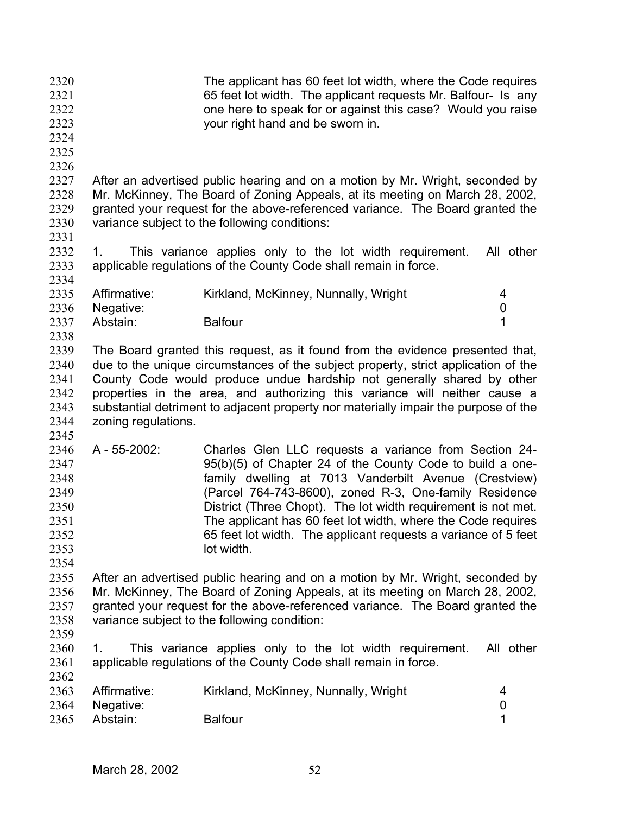The applicant has 60 feet lot width, where the Code requires 65 feet lot width. The applicant requests Mr. Balfour- Is any one here to speak for or against this case? Would you raise your right hand and be sworn in. 2320 2321 2322 2323 2324 2325 2326 2327 2328 2329 2330 2331 2332 2333 2334 2335 2336 2337 2338 2339 2340 2341 2342 2343 2344 2345 2346 2347 2348 2349 2350 2351 2352 2353 2354 2355 2356 2357 2358 2359 2360 2361 2362 2363 2364 2365 After an advertised public hearing and on a motion by Mr. Wright, seconded by Mr. McKinney, The Board of Zoning Appeals, at its meeting on March 28, 2002, granted your request for the above-referenced variance. The Board granted the variance subject to the following conditions: 1. This variance applies only to the lot width requirement. All other applicable regulations of the County Code shall remain in force. Affirmative: Kirkland, McKinney, Nunnally, Wright 4 Negative: 0 Abstain: Balfour 1 The Board granted this request, as it found from the evidence presented that, due to the unique circumstances of the subject property, strict application of the County Code would produce undue hardship not generally shared by other properties in the area, and authorizing this variance will neither cause a substantial detriment to adjacent property nor materially impair the purpose of the zoning regulations. A - 55-2002: Charles Glen LLC requests a variance from Section 24- 95(b)(5) of Chapter 24 of the County Code to build a onefamily dwelling at 7013 Vanderbilt Avenue (Crestview) (Parcel 764-743-8600), zoned R-3, One-family Residence District (Three Chopt). The lot width requirement is not met. The applicant has 60 feet lot width, where the Code requires 65 feet lot width. The applicant requests a variance of 5 feet lot width. After an advertised public hearing and on a motion by Mr. Wright, seconded by Mr. McKinney, The Board of Zoning Appeals, at its meeting on March 28, 2002, granted your request for the above-referenced variance. The Board granted the variance subject to the following condition: 1. This variance applies only to the lot width requirement. All other applicable regulations of the County Code shall remain in force. Affirmative: Kirkland, McKinney, Nunnally, Wright 4 Negative: 0 Abstain: Balfour 1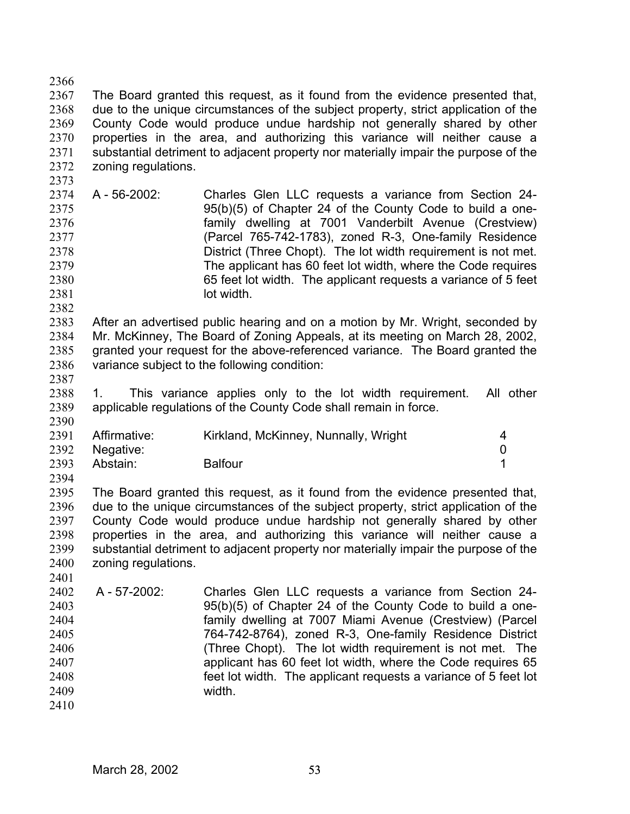2366 2367 2368 2369 2370 2371 2372 The Board granted this request, as it found from the evidence presented that, due to the unique circumstances of the subject property, strict application of the County Code would produce undue hardship not generally shared by other properties in the area, and authorizing this variance will neither cause a substantial detriment to adjacent property nor materially impair the purpose of the zoning regulations.

2374 2375 2376 2377 2378 2379 2380 2381 A - 56-2002: Charles Glen LLC requests a variance from Section 24- 95(b)(5) of Chapter 24 of the County Code to build a onefamily dwelling at 7001 Vanderbilt Avenue (Crestview) (Parcel 765-742-1783), zoned R-3, One-family Residence District (Three Chopt). The lot width requirement is not met. The applicant has 60 feet lot width, where the Code requires 65 feet lot width. The applicant requests a variance of 5 feet lot width.

2382

2373

2383 2384 2385 2386 After an advertised public hearing and on a motion by Mr. Wright, seconded by Mr. McKinney, The Board of Zoning Appeals, at its meeting on March 28, 2002, granted your request for the above-referenced variance. The Board granted the variance subject to the following condition:

2387

2390

2394

2401

2388 2389 1. This variance applies only to the lot width requirement. All other applicable regulations of the County Code shall remain in force.

| 2391 | Affirmative:   | Kirkland, McKinney, Nunnally, Wright |  |
|------|----------------|--------------------------------------|--|
|      | 2392 Negative: |                                      |  |
| 2393 | Abstain:       | <b>Balfour</b>                       |  |

2395 2396 2397 2398 2399 2400 The Board granted this request, as it found from the evidence presented that, due to the unique circumstances of the subject property, strict application of the County Code would produce undue hardship not generally shared by other properties in the area, and authorizing this variance will neither cause a substantial detriment to adjacent property nor materially impair the purpose of the zoning regulations.

2402 2403 2404 2405 2406 2407 2408 2409 2410 A - 57-2002: Charles Glen LLC requests a variance from Section 24- 95(b)(5) of Chapter 24 of the County Code to build a onefamily dwelling at 7007 Miami Avenue (Crestview) (Parcel 764-742-8764), zoned R-3, One-family Residence District (Three Chopt). The lot width requirement is not met. The applicant has 60 feet lot width, where the Code requires 65 feet lot width. The applicant requests a variance of 5 feet lot width.

March 28, 2002 53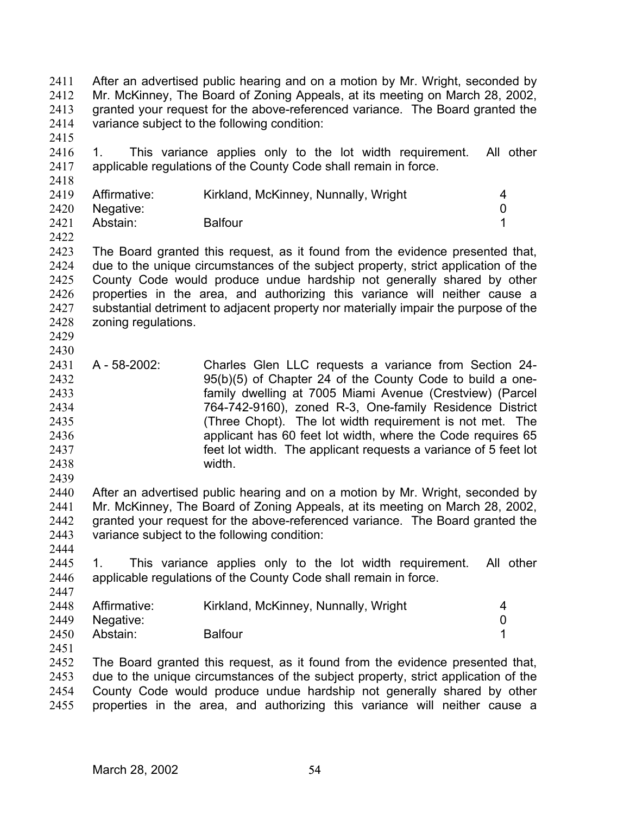After an advertised public hearing and on a motion by Mr. Wright, seconded by Mr. McKinney, The Board of Zoning Appeals, at its meeting on March 28, 2002, granted your request for the above-referenced variance. The Board granted the variance subject to the following condition: 2411 2412 2413 2414

2415

2418

2416 2417 1. This variance applies only to the lot width requirement. All other applicable regulations of the County Code shall remain in force.

| 2419 | Affirmative:   | Kirkland, McKinney, Nunnally, Wright | 4 |
|------|----------------|--------------------------------------|---|
|      | 2420 Negative: |                                      |   |
| 2421 | Abstain:       | <b>Balfour</b>                       |   |

2422

2423 2424 2425 2426 2427 2428 The Board granted this request, as it found from the evidence presented that, due to the unique circumstances of the subject property, strict application of the County Code would produce undue hardship not generally shared by other properties in the area, and authorizing this variance will neither cause a substantial detriment to adjacent property nor materially impair the purpose of the zoning regulations.

2429 2430

2439

2444

2431 2432 2433 2434 2435 2436 2437 2438 A - 58-2002: Charles Glen LLC requests a variance from Section 24- 95(b)(5) of Chapter 24 of the County Code to build a onefamily dwelling at 7005 Miami Avenue (Crestview) (Parcel 764-742-9160), zoned R-3, One-family Residence District (Three Chopt). The lot width requirement is not met. The applicant has 60 feet lot width, where the Code requires 65 feet lot width. The applicant requests a variance of 5 feet lot width.

2440 2441 2442 2443 After an advertised public hearing and on a motion by Mr. Wright, seconded by Mr. McKinney, The Board of Zoning Appeals, at its meeting on March 28, 2002, granted your request for the above-referenced variance. The Board granted the variance subject to the following condition:

2445 2446 2447 1. This variance applies only to the lot width requirement. All other applicable regulations of the County Code shall remain in force.

| 2448 | Affirmative: | Kirkland, McKinney, Nunnally, Wright |  |
|------|--------------|--------------------------------------|--|
| 2449 | Negative:    |                                      |  |
| 2450 | Abstain:     | <b>Balfour</b>                       |  |

2451

2452 2453 2454 2455 The Board granted this request, as it found from the evidence presented that, due to the unique circumstances of the subject property, strict application of the County Code would produce undue hardship not generally shared by other properties in the area, and authorizing this variance will neither cause a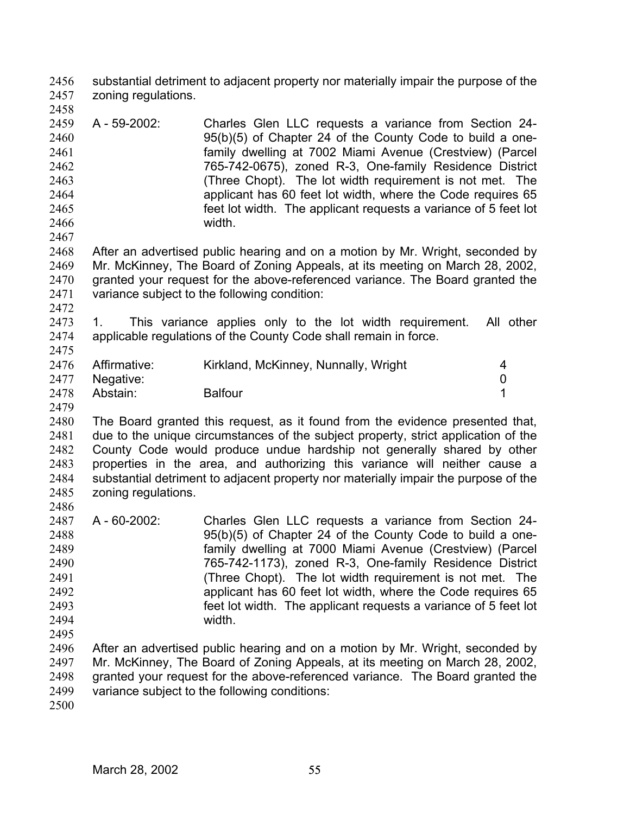substantial detriment to adjacent property nor materially impair the purpose of the zoning regulations. 2456 2457

2459 2460 2461 2462 2463 2464 2465 2466 2467 A - 59-2002: Charles Glen LLC requests a variance from Section 24- 95(b)(5) of Chapter 24 of the County Code to build a onefamily dwelling at 7002 Miami Avenue (Crestview) (Parcel 765-742-0675), zoned R-3, One-family Residence District (Three Chopt). The lot width requirement is not met. The applicant has 60 feet lot width, where the Code requires 65 feet lot width. The applicant requests a variance of 5 feet lot width.

2468 2469 2470 2471 After an advertised public hearing and on a motion by Mr. Wright, seconded by Mr. McKinney, The Board of Zoning Appeals, at its meeting on March 28, 2002, granted your request for the above-referenced variance. The Board granted the variance subject to the following condition:

2472

2475

2486

2458

2473 2474 1. This variance applies only to the lot width requirement. All other applicable regulations of the County Code shall remain in force.

|      | 2476 Affirmative:<br>2477 Negative: | Kirkland, McKinney, Nunnally, Wright |  |
|------|-------------------------------------|--------------------------------------|--|
| 2478 | Abstain:                            | <b>Balfour</b>                       |  |

2479 2480 2481 2482 2483 2484 2485 The Board granted this request, as it found from the evidence presented that, due to the unique circumstances of the subject property, strict application of the County Code would produce undue hardship not generally shared by other properties in the area, and authorizing this variance will neither cause a substantial detriment to adjacent property nor materially impair the purpose of the zoning regulations.

- 2487 2488 2489 2490 2491 2492 2493 2494 2495 A - 60-2002: Charles Glen LLC requests a variance from Section 24- 95(b)(5) of Chapter 24 of the County Code to build a onefamily dwelling at 7000 Miami Avenue (Crestview) (Parcel 765-742-1173), zoned R-3, One-family Residence District (Three Chopt). The lot width requirement is not met. The applicant has 60 feet lot width, where the Code requires 65 feet lot width. The applicant requests a variance of 5 feet lot width.
- 2496 2497 2498 2499 After an advertised public hearing and on a motion by Mr. Wright, seconded by Mr. McKinney, The Board of Zoning Appeals, at its meeting on March 28, 2002, granted your request for the above-referenced variance. The Board granted the variance subject to the following conditions:
- 2500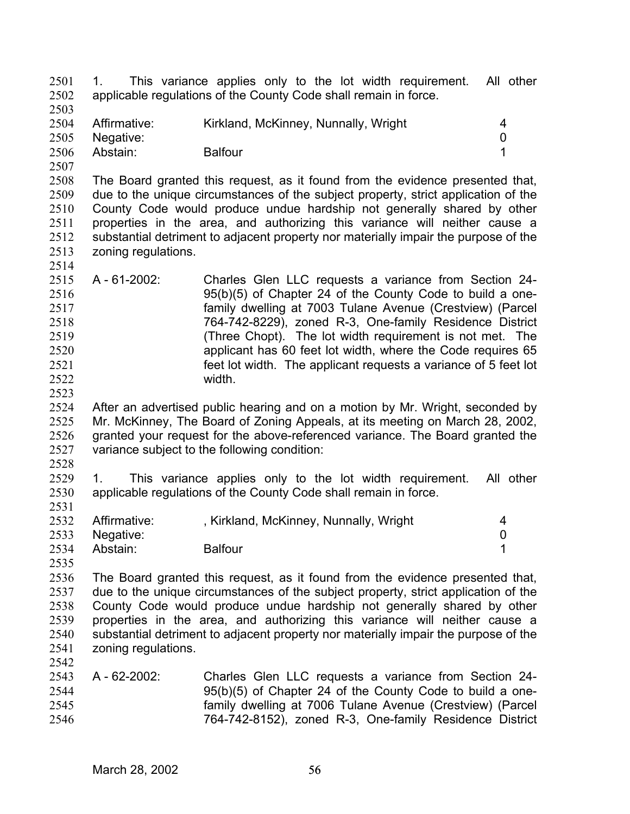1. This variance applies only to the lot width requirement. All other applicable regulations of the County Code shall remain in force. 2501 2502 2503

- 2504 2505 2506 Affirmative: Kirkland, McKinney, Nunnally, Wright 4 Negative: 0 Abstain: Balfour 1
- 2507

2508 2509 2510 2511 2512 2513 2514 The Board granted this request, as it found from the evidence presented that, due to the unique circumstances of the subject property, strict application of the County Code would produce undue hardship not generally shared by other properties in the area, and authorizing this variance will neither cause a substantial detriment to adjacent property nor materially impair the purpose of the zoning regulations.

2515 2516 2517 2518 2519 2520 2521 2522 A - 61-2002: Charles Glen LLC requests a variance from Section 24- 95(b)(5) of Chapter 24 of the County Code to build a onefamily dwelling at 7003 Tulane Avenue (Crestview) (Parcel 764-742-8229), zoned R-3, One-family Residence District (Three Chopt). The lot width requirement is not met. The applicant has 60 feet lot width, where the Code requires 65 feet lot width. The applicant requests a variance of 5 feet lot width.

2524 2525 2526 2527 After an advertised public hearing and on a motion by Mr. Wright, seconded by Mr. McKinney, The Board of Zoning Appeals, at its meeting on March 28, 2002, granted your request for the above-referenced variance. The Board granted the variance subject to the following condition:

2528

2531

2535

2523

2529 2530 1. This variance applies only to the lot width requirement. All other applicable regulations of the County Code shall remain in force.

|      | 2532 Affirmative: | , Kirkland, McKinney, Nunnally, Wright |  |
|------|-------------------|----------------------------------------|--|
|      | 2533 Negative:    |                                        |  |
| 2534 | Abstain:          | <b>Balfour</b>                         |  |

2536 2537 2538 2539 2540 2541 2542 The Board granted this request, as it found from the evidence presented that, due to the unique circumstances of the subject property, strict application of the County Code would produce undue hardship not generally shared by other properties in the area, and authorizing this variance will neither cause a substantial detriment to adjacent property nor materially impair the purpose of the zoning regulations.

2543 2544 2545 2546 A - 62-2002: Charles Glen LLC requests a variance from Section 24- 95(b)(5) of Chapter 24 of the County Code to build a onefamily dwelling at 7006 Tulane Avenue (Crestview) (Parcel 764-742-8152), zoned R-3, One-family Residence District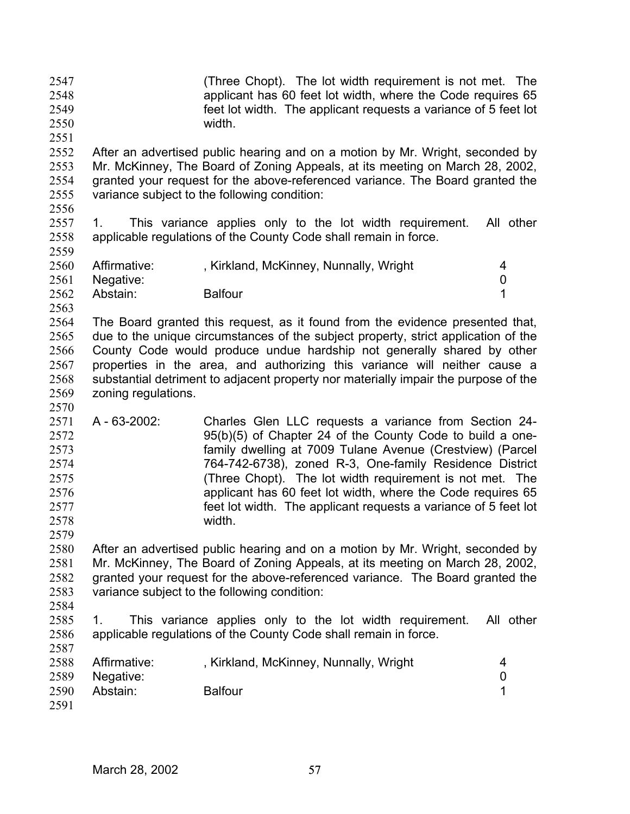| 2547<br>2548<br>2549<br>2550                                         |                                       | (Three Chopt). The lot width requirement is not met. The<br>applicant has 60 feet lot width, where the Code requires 65<br>feet lot width. The applicant requests a variance of 5 feet lot<br>width.                                                                                                                                                                                                                                               |                     |
|----------------------------------------------------------------------|---------------------------------------|----------------------------------------------------------------------------------------------------------------------------------------------------------------------------------------------------------------------------------------------------------------------------------------------------------------------------------------------------------------------------------------------------------------------------------------------------|---------------------|
| 2551<br>2552<br>2553<br>2554<br>2555<br>2556                         |                                       | After an advertised public hearing and on a motion by Mr. Wright, seconded by<br>Mr. McKinney, The Board of Zoning Appeals, at its meeting on March 28, 2002,<br>granted your request for the above-referenced variance. The Board granted the<br>variance subject to the following condition:                                                                                                                                                     |                     |
| 2557<br>2558<br>2559                                                 | 1.                                    | This variance applies only to the lot width requirement.<br>applicable regulations of the County Code shall remain in force.                                                                                                                                                                                                                                                                                                                       | All other           |
| 2560<br>2561                                                         | Affirmative:<br>Negative:             | , Kirkland, McKinney, Nunnally, Wright                                                                                                                                                                                                                                                                                                                                                                                                             | 4<br>0              |
| 2562<br>2563                                                         | Abstain:                              | <b>Balfour</b>                                                                                                                                                                                                                                                                                                                                                                                                                                     | 1                   |
| 2564<br>2565<br>2566<br>2567<br>2568<br>2569<br>2570                 | zoning regulations.                   | The Board granted this request, as it found from the evidence presented that,<br>due to the unique circumstances of the subject property, strict application of the<br>County Code would produce undue hardship not generally shared by other<br>properties in the area, and authorizing this variance will neither cause a<br>substantial detriment to adjacent property nor materially impair the purpose of the                                 |                     |
| 2571<br>2572<br>2573<br>2574<br>2575<br>2576<br>2577<br>2578<br>2579 | A - 63-2002:                          | Charles Glen LLC requests a variance from Section 24-<br>95(b)(5) of Chapter 24 of the County Code to build a one-<br>family dwelling at 7009 Tulane Avenue (Crestview) (Parcel<br>764-742-6738), zoned R-3, One-family Residence District<br>(Three Chopt). The lot width requirement is not met. The<br>applicant has 60 feet lot width, where the Code requires 65<br>feet lot width. The applicant requests a variance of 5 feet lot<br>width. |                     |
| 2580<br>2581<br>2582<br>2583                                         |                                       | After an advertised public hearing and on a motion by Mr. Wright, seconded by<br>Mr. McKinney, The Board of Zoning Appeals, at its meeting on March 28, 2002,<br>granted your request for the above-referenced variance. The Board granted the<br>variance subject to the following condition:                                                                                                                                                     |                     |
| 2584<br>2585<br>2586<br>2587                                         | 1.                                    | This variance applies only to the lot width requirement.<br>applicable regulations of the County Code shall remain in force.                                                                                                                                                                                                                                                                                                                       | All other           |
| 2588<br>2589<br>2590<br>2591                                         | Affirmative:<br>Negative:<br>Abstain: | , Kirkland, McKinney, Nunnally, Wright<br><b>Balfour</b>                                                                                                                                                                                                                                                                                                                                                                                           | 4<br>$\pmb{0}$<br>1 |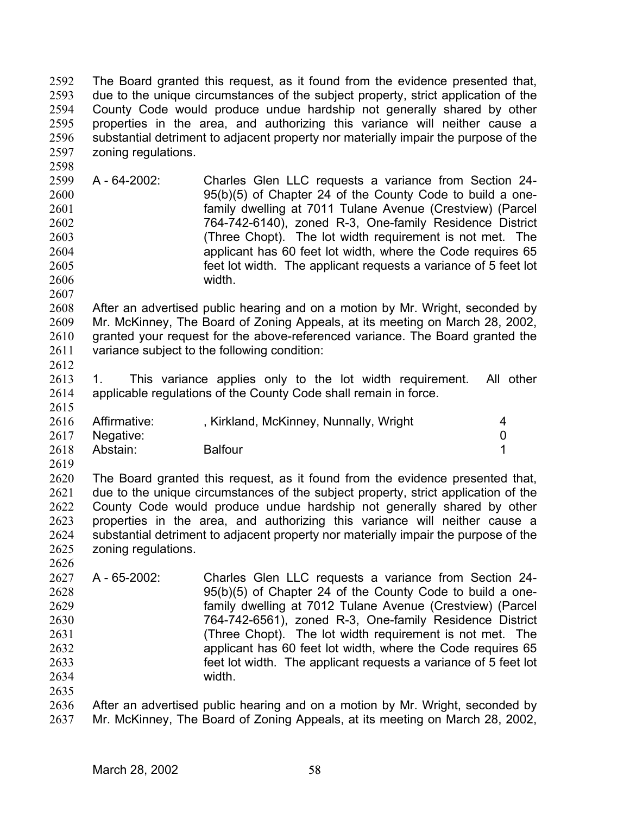The Board granted this request, as it found from the evidence presented that, due to the unique circumstances of the subject property, strict application of the County Code would produce undue hardship not generally shared by other properties in the area, and authorizing this variance will neither cause a substantial detriment to adjacent property nor materially impair the purpose of the zoning regulations. 2592 2593 2594 2595 2596 2597

2599 2600 2601 2602 2603 2604 2605 2606 A - 64-2002: Charles Glen LLC requests a variance from Section 24- 95(b)(5) of Chapter 24 of the County Code to build a onefamily dwelling at 7011 Tulane Avenue (Crestview) (Parcel 764-742-6140), zoned R-3, One-family Residence District (Three Chopt). The lot width requirement is not met. The applicant has 60 feet lot width, where the Code requires 65 feet lot width. The applicant requests a variance of 5 feet lot width.

2608 2609 2610 2611 After an advertised public hearing and on a motion by Mr. Wright, seconded by Mr. McKinney, The Board of Zoning Appeals, at its meeting on March 28, 2002, granted your request for the above-referenced variance. The Board granted the variance subject to the following condition:

2612

2607

2598

2613 2614 2615 1. This variance applies only to the lot width requirement. All other applicable regulations of the County Code shall remain in force.

|      | 2616 Affirmative: | , Kirkland, McKinney, Nunnally, Wright |  |
|------|-------------------|----------------------------------------|--|
|      | 2617 Negative:    |                                        |  |
| 2618 | Abstain:          | <b>Balfour</b>                         |  |

2619

2626

2620 2621 2622 2623 2624 2625 The Board granted this request, as it found from the evidence presented that, due to the unique circumstances of the subject property, strict application of the County Code would produce undue hardship not generally shared by other properties in the area, and authorizing this variance will neither cause a substantial detriment to adjacent property nor materially impair the purpose of the zoning regulations.

2627 2628 2629 2630 2631 2632 2633 2634 2635 A - 65-2002: Charles Glen LLC requests a variance from Section 24- 95(b)(5) of Chapter 24 of the County Code to build a onefamily dwelling at 7012 Tulane Avenue (Crestview) (Parcel 764-742-6561), zoned R-3, One-family Residence District (Three Chopt). The lot width requirement is not met. The applicant has 60 feet lot width, where the Code requires 65 feet lot width. The applicant requests a variance of 5 feet lot width.

2636 2637 After an advertised public hearing and on a motion by Mr. Wright, seconded by Mr. McKinney, The Board of Zoning Appeals, at its meeting on March 28, 2002,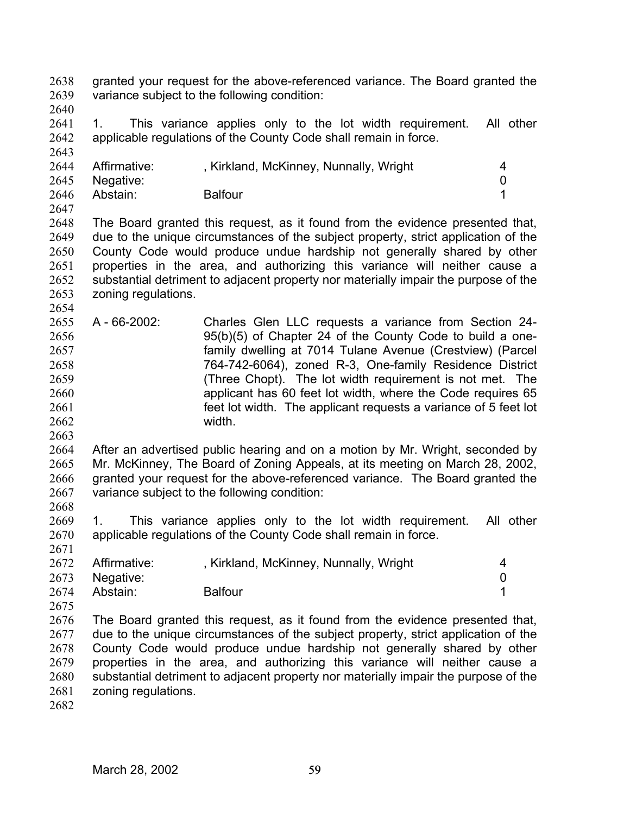granted your request for the above-referenced variance. The Board granted the variance subject to the following condition: 2638 2639

2640

2641 2642 2643 1. This variance applies only to the lot width requirement. All other applicable regulations of the County Code shall remain in force.

| 2644 | Affirmative: | , Kirkland, McKinney, Nunnally, Wright |  |
|------|--------------|----------------------------------------|--|
| 2645 | Negative:    |                                        |  |
| 2646 | Abstain:     | <b>Balfour</b>                         |  |
| 2647 |              |                                        |  |

2648 2649 2650 2651 2652 2653 2654 The Board granted this request, as it found from the evidence presented that, due to the unique circumstances of the subject property, strict application of the County Code would produce undue hardship not generally shared by other properties in the area, and authorizing this variance will neither cause a substantial detriment to adjacent property nor materially impair the purpose of the zoning regulations.

2655 2656 2657 2658 2659 2660 2661 2662 A - 66-2002: Charles Glen LLC requests a variance from Section 24- 95(b)(5) of Chapter 24 of the County Code to build a onefamily dwelling at 7014 Tulane Avenue (Crestview) (Parcel 764-742-6064), zoned R-3, One-family Residence District (Three Chopt). The lot width requirement is not met. The applicant has 60 feet lot width, where the Code requires 65 feet lot width. The applicant requests a variance of 5 feet lot width.

2664 2665 2666 2667 After an advertised public hearing and on a motion by Mr. Wright, seconded by Mr. McKinney, The Board of Zoning Appeals, at its meeting on March 28, 2002, granted your request for the above-referenced variance. The Board granted the variance subject to the following condition:

2669 2670 1. This variance applies only to the lot width requirement. All other applicable regulations of the County Code shall remain in force.

|      | 2672 Affirmative: | , Kirkland, McKinney, Nunnally, Wright |  |
|------|-------------------|----------------------------------------|--|
|      | 2673 Negative:    |                                        |  |
| 2674 | Abstain:          | <b>Balfour</b>                         |  |

2676 2677 2678 2679 2680 2681 The Board granted this request, as it found from the evidence presented that, due to the unique circumstances of the subject property, strict application of the County Code would produce undue hardship not generally shared by other properties in the area, and authorizing this variance will neither cause a substantial detriment to adjacent property nor materially impair the purpose of the zoning regulations.

2682

2663

2668

2671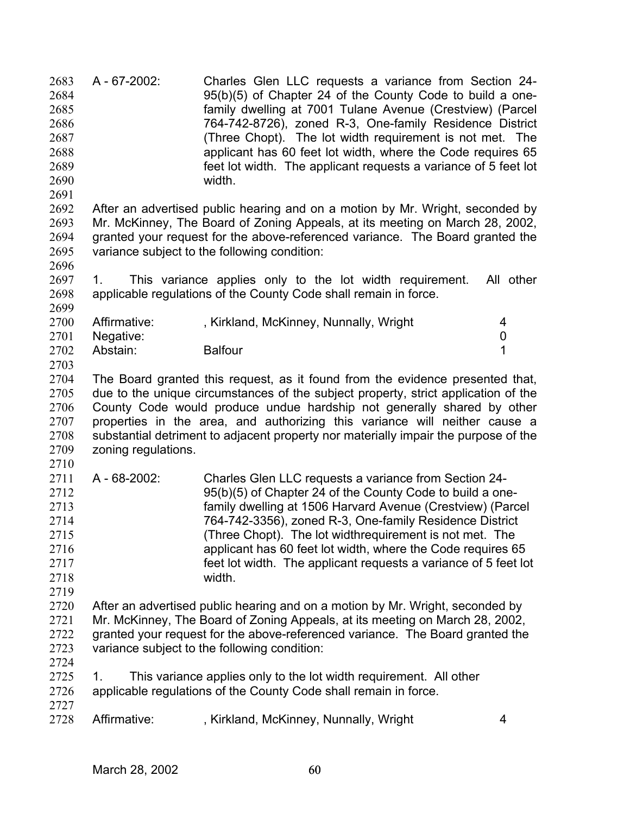A - 67-2002: Charles Glen LLC requests a variance from Section 24- 95(b)(5) of Chapter 24 of the County Code to build a onefamily dwelling at 7001 Tulane Avenue (Crestview) (Parcel 764-742-8726), zoned R-3, One-family Residence District (Three Chopt). The lot width requirement is not met. The applicant has 60 feet lot width, where the Code requires 65 feet lot width. The applicant requests a variance of 5 feet lot width. 2683 2684 2685 2686 2687 2688 2689 2690 2691 2692 2693 2694 2695 2696 2697 2698 2699 2700 2701 2702 2703 2704 2705 2706 2707 2708 2709 2710 2711 2712 2713 2714 2715 2716 2717 2718 2719 2720 2721 2722 2723 2724 2725 2726 2727 2728 After an advertised public hearing and on a motion by Mr. Wright, seconded by Mr. McKinney, The Board of Zoning Appeals, at its meeting on March 28, 2002, granted your request for the above-referenced variance. The Board granted the variance subject to the following condition: 1. This variance applies only to the lot width requirement. All other applicable regulations of the County Code shall remain in force. Affirmative: , Kirkland, McKinney, Nunnally, Wright 4 Negative: 0 Abstain: Balfour 1 The Board granted this request, as it found from the evidence presented that, due to the unique circumstances of the subject property, strict application of the County Code would produce undue hardship not generally shared by other properties in the area, and authorizing this variance will neither cause a substantial detriment to adjacent property nor materially impair the purpose of the zoning regulations. A - 68-2002: Charles Glen LLC requests a variance from Section 24- 95(b)(5) of Chapter 24 of the County Code to build a onefamily dwelling at 1506 Harvard Avenue (Crestview) (Parcel 764-742-3356), zoned R-3, One-family Residence District (Three Chopt). The lot widthrequirement is not met. The applicant has 60 feet lot width, where the Code requires 65 feet lot width. The applicant requests a variance of 5 feet lot width. After an advertised public hearing and on a motion by Mr. Wright, seconded by Mr. McKinney, The Board of Zoning Appeals, at its meeting on March 28, 2002, granted your request for the above-referenced variance. The Board granted the variance subject to the following condition: 1. This variance applies only to the lot width requirement. All other applicable regulations of the County Code shall remain in force. Affirmative: , Kirkland, McKinney, Nunnally, Wright 4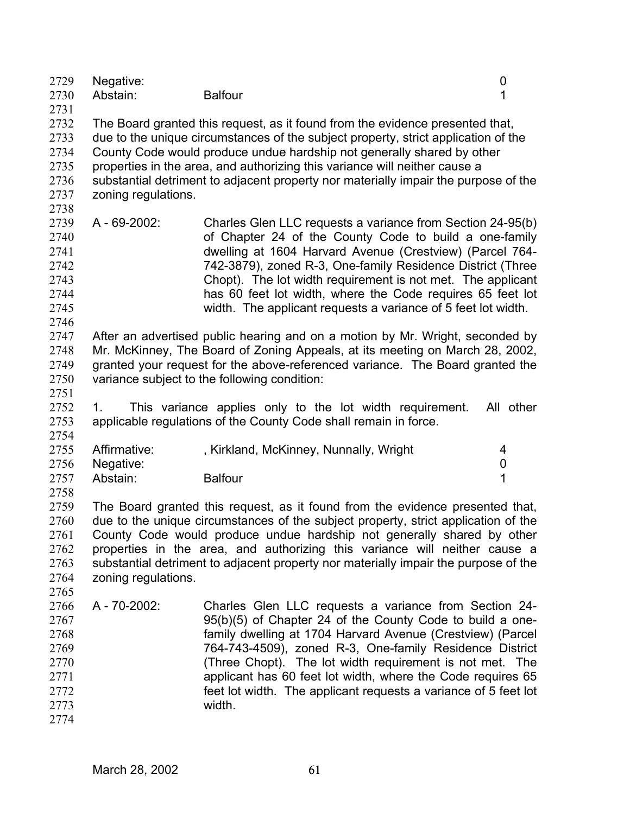| 2729<br>2730 | Negative:<br>Abstain:                                                         | <b>Balfour</b>                                                                      | 0           |  |
|--------------|-------------------------------------------------------------------------------|-------------------------------------------------------------------------------------|-------------|--|
| 2731         |                                                                               |                                                                                     |             |  |
| 2732         | The Board granted this request, as it found from the evidence presented that, |                                                                                     |             |  |
| 2733         |                                                                               | due to the unique circumstances of the subject property, strict application of the  |             |  |
| 2734         |                                                                               | County Code would produce undue hardship not generally shared by other              |             |  |
| 2735         |                                                                               | properties in the area, and authorizing this variance will neither cause a          |             |  |
| 2736         |                                                                               | substantial detriment to adjacent property nor materially impair the purpose of the |             |  |
| 2737         | zoning regulations.                                                           |                                                                                     |             |  |
| 2738         |                                                                               |                                                                                     |             |  |
| 2739         | A - 69-2002:                                                                  | Charles Glen LLC requests a variance from Section 24-95(b)                          |             |  |
| 2740         |                                                                               | of Chapter 24 of the County Code to build a one-family                              |             |  |
| 2741         |                                                                               | dwelling at 1604 Harvard Avenue (Crestview) (Parcel 764-                            |             |  |
| 2742         |                                                                               | 742-3879), zoned R-3, One-family Residence District (Three                          |             |  |
| 2743         |                                                                               | Chopt). The lot width requirement is not met. The applicant                         |             |  |
| 2744         |                                                                               | has 60 feet lot width, where the Code requires 65 feet lot                          |             |  |
| 2745         |                                                                               | width. The applicant requests a variance of 5 feet lot width.                       |             |  |
| 2746         |                                                                               |                                                                                     |             |  |
| 2747         |                                                                               | After an advertised public hearing and on a motion by Mr. Wright, seconded by       |             |  |
| 2748         |                                                                               | Mr. McKinney, The Board of Zoning Appeals, at its meeting on March 28, 2002,        |             |  |
| 2749         |                                                                               | granted your request for the above-referenced variance. The Board granted the       |             |  |
| 2750         |                                                                               | variance subject to the following condition:                                        |             |  |
| 2751         |                                                                               |                                                                                     |             |  |
| 2752         | 1.                                                                            | This variance applies only to the lot width requirement.                            | All other   |  |
| 2753         |                                                                               | applicable regulations of the County Code shall remain in force.                    |             |  |
| 2754         |                                                                               |                                                                                     |             |  |
| 2755         | Affirmative:                                                                  | , Kirkland, McKinney, Nunnally, Wright                                              | 4           |  |
| 2756         | Negative:                                                                     |                                                                                     | $\mathbf 0$ |  |
| 2757         | Abstain:                                                                      | <b>Balfour</b>                                                                      | 1           |  |
| 2758         |                                                                               |                                                                                     |             |  |
| 2759         |                                                                               | The Board granted this request, as it found from the evidence presented that,       |             |  |
| 2760         |                                                                               | due to the unique circumstances of the subject property, strict application of the  |             |  |
| 2761         |                                                                               | County Code would produce undue hardship not generally shared by other              |             |  |
| 2762         |                                                                               | properties in the area, and authorizing this variance will neither cause a          |             |  |
| 2763         |                                                                               | substantial detriment to adjacent property nor materially impair the purpose of the |             |  |
| 2764         | zoning regulations.                                                           |                                                                                     |             |  |
| 2765         |                                                                               |                                                                                     |             |  |
| 2766         | A - 70-2002:                                                                  | Charles Glen LLC requests a variance from Section 24-                               |             |  |
| 2767         |                                                                               | 95(b)(5) of Chapter 24 of the County Code to build a one-                           |             |  |
| 2768         |                                                                               | family dwelling at 1704 Harvard Avenue (Crestview) (Parcel                          |             |  |
| 2769         |                                                                               | 764-743-4509), zoned R-3, One-family Residence District                             |             |  |
| 2770         |                                                                               | (Three Chopt). The lot width requirement is not met. The                            |             |  |
| 2771         |                                                                               | applicant has 60 feet lot width, where the Code requires 65                         |             |  |
| 2772         |                                                                               | feet lot width. The applicant requests a variance of 5 feet lot                     |             |  |
| 2773         |                                                                               | width.                                                                              |             |  |
| 2774         |                                                                               |                                                                                     |             |  |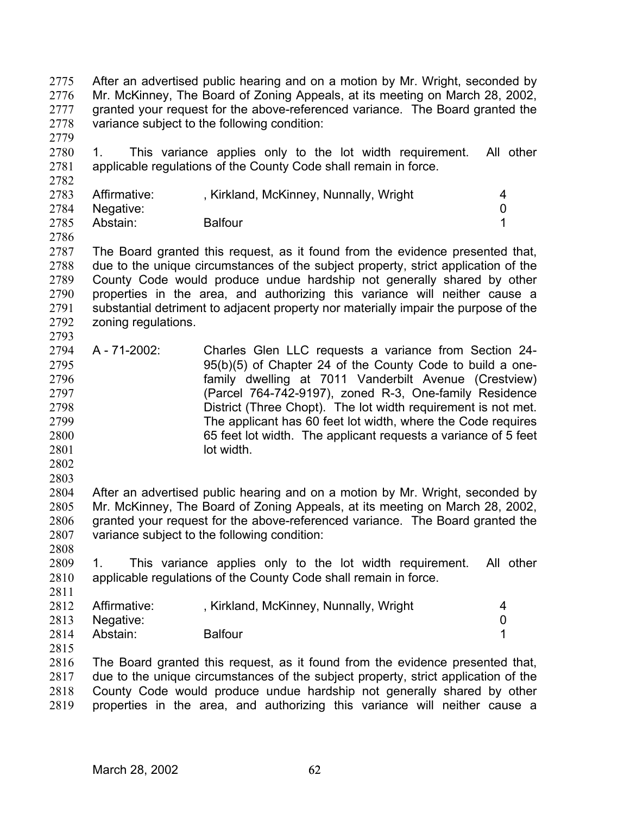After an advertised public hearing and on a motion by Mr. Wright, seconded by Mr. McKinney, The Board of Zoning Appeals, at its meeting on March 28, 2002, granted your request for the above-referenced variance. The Board granted the variance subject to the following condition: 2775 2776 2777 2778

2779

2782

2780 2781 1. This variance applies only to the lot width requirement. All other applicable regulations of the County Code shall remain in force.

| 2783 | Affirmative:   | , Kirkland, McKinney, Nunnally, Wright |  |
|------|----------------|----------------------------------------|--|
|      | 2784 Negative: |                                        |  |
| 2785 | Abstain:       | <b>Balfour</b>                         |  |

2786

2787 2788 2789 2790 2791 2792 2793 The Board granted this request, as it found from the evidence presented that, due to the unique circumstances of the subject property, strict application of the County Code would produce undue hardship not generally shared by other properties in the area, and authorizing this variance will neither cause a substantial detriment to adjacent property nor materially impair the purpose of the zoning regulations.

- 2794 2795 2796 2797 2798 2799 2800 2801 A - 71-2002: Charles Glen LLC requests a variance from Section 24- 95(b)(5) of Chapter 24 of the County Code to build a onefamily dwelling at 7011 Vanderbilt Avenue (Crestview) (Parcel 764-742-9197), zoned R-3, One-family Residence District (Three Chopt). The lot width requirement is not met. The applicant has 60 feet lot width, where the Code requires 65 feet lot width. The applicant requests a variance of 5 feet lot width.
- 2802
- 2803

2808

2804 2805 2806 2807 After an advertised public hearing and on a motion by Mr. Wright, seconded by Mr. McKinney, The Board of Zoning Appeals, at its meeting on March 28, 2002, granted your request for the above-referenced variance. The Board granted the variance subject to the following condition:

2809 2810 2811 1. This variance applies only to the lot width requirement. All other applicable regulations of the County Code shall remain in force.

|      | 2812 Affirmative: | , Kirkland, McKinney, Nunnally, Wright |  |
|------|-------------------|----------------------------------------|--|
|      | 2813 Negative:    |                                        |  |
| 2814 | Abstain:          | <b>Balfour</b>                         |  |

2815

2816 2817 2818 2819 The Board granted this request, as it found from the evidence presented that, due to the unique circumstances of the subject property, strict application of the County Code would produce undue hardship not generally shared by other properties in the area, and authorizing this variance will neither cause a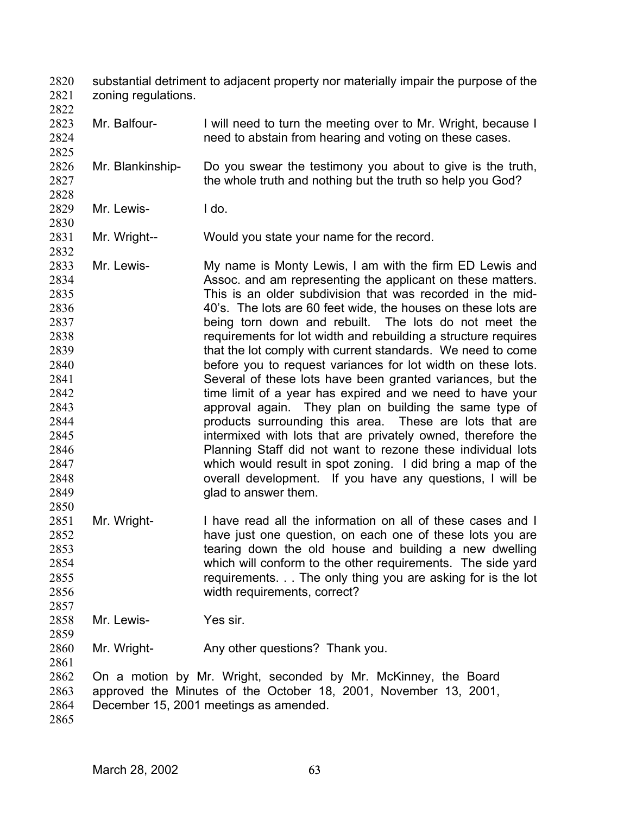substantial detriment to adjacent property nor materially impair the purpose of the zoning regulations. 2820 2821

- 2823 2824 2825 Mr. Balfour- I will need to turn the meeting over to Mr. Wright, because I need to abstain from hearing and voting on these cases.
- 2826 2827 2828 Mr. Blankinship- Do you swear the testimony you about to give is the truth, the whole truth and nothing but the truth so help you God?
- 2829 Mr. Lewis- I do.

2822

2830

2832

- 2831 Mr. Wright-- Would you state your name for the record.
- 2833 2834 2835 2836 2837 2838 2839 2840 2841 2842 2843 2844 2845 2846 2847 2848 2849 Mr. Lewis- My name is Monty Lewis, I am with the firm ED Lewis and Assoc. and am representing the applicant on these matters. This is an older subdivision that was recorded in the mid-40's. The lots are 60 feet wide, the houses on these lots are being torn down and rebuilt. The lots do not meet the requirements for lot width and rebuilding a structure requires that the lot comply with current standards. We need to come before you to request variances for lot width on these lots. Several of these lots have been granted variances, but the time limit of a year has expired and we need to have your approval again. They plan on building the same type of products surrounding this area. These are lots that are intermixed with lots that are privately owned, therefore the Planning Staff did not want to rezone these individual lots which would result in spot zoning. I did bring a map of the overall development. If you have any questions, I will be glad to answer them.
- 2851 2852 2853 2854 2855 2856 Mr. Wright- I have read all the information on all of these cases and I have just one question, on each one of these lots you are tearing down the old house and building a new dwelling which will conform to the other requirements. The side yard requirements. . . The only thing you are asking for is the lot width requirements, correct?
- 2858 Mr. Lewis- Yes sir.
- 2860 Mr. Wright- Any other questions? Thank you.
- 2862 2863 2864 On a motion by Mr. Wright, seconded by Mr. McKinney, the Board approved the Minutes of the October 18, 2001, November 13, 2001, December 15, 2001 meetings as amended.
- 2865

2850

2857

2859